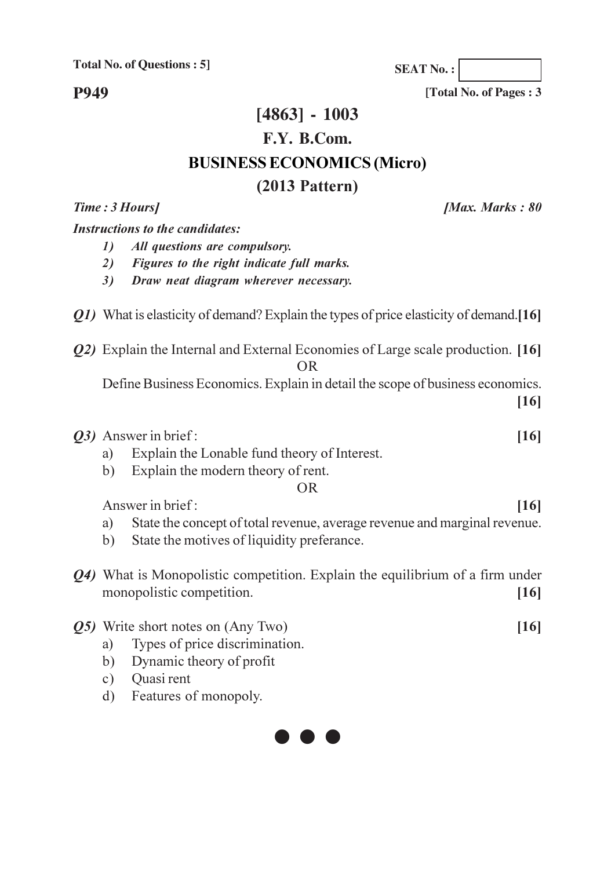**P949** 

## $[4863] - 1003$ F.Y. B.Com. **BUSINESS ECONOMICS (Micro)**  $(2013$  Pattern)

**IMax. Marks: 80** 

#### **Instructions to the candidates:**

Time: 3 Hours]

- All questions are compulsory.  $\mathcal{D}$
- 2) Figures to the right indicate full marks.
- Draw neat diagram wherever necessary.  $3)$
- Q1) What is elasticity of demand? Explain the types of price elasticity of demand. [16]
- *O2*) Explain the Internal and External Economies of Large scale production. [16]  $OR$ 
	- Define Business Economics. Explain in detail the scope of business economics.  $[16]$

*O3*) Answer in brief:  $[16]$ 

- Explain the Lonable fund theory of Interest. a)
- Explain the modern theory of rent.  $b)$

#### **OR**

Answer in brief:

- State the concept of total revenue, average revenue and marginal revenue. a)
- State the motives of liquidity preferance.  $b)$
- Q4) What is Monopolistic competition. Explain the equilibrium of a firm under monopolistic competition.  $[16]$

#### *O5* Write short notes on (Any Two)

- Types of price discrimination. a)
- Dynamic theory of profit  $b)$
- Quasi rent  $c)$
- Features of monopoly.  $\mathbf{d}$



**SEAT No.:** 

[Total No. of Pages: 3]

 $[16]$ 

 $[16]$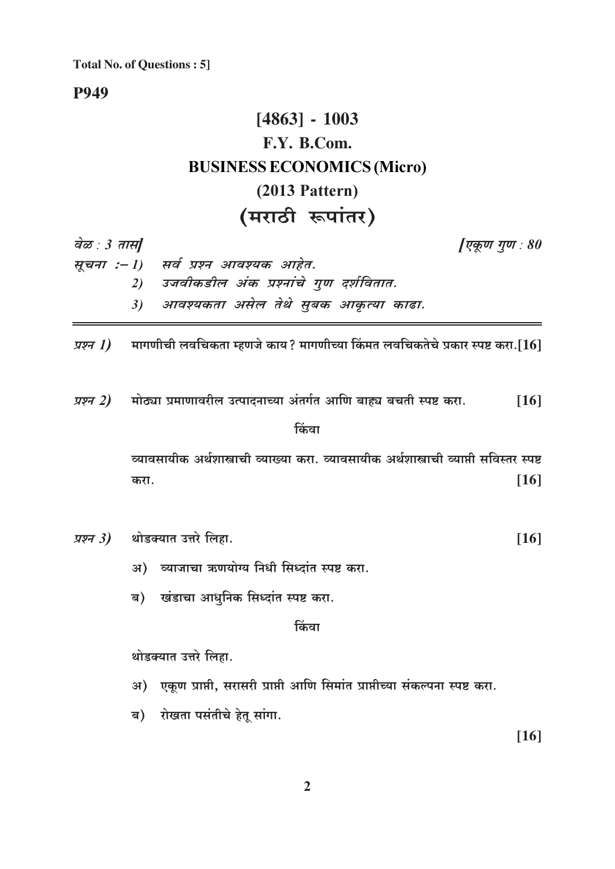**P949** 

# $[4863] - 1003$ F.Y. B.Com. **BUSINESS ECONOMICS (Micro)**  $(2013$  Pattern) (मराठी रूपांतर)

वेळ : 3 तास]

[एकूण गुण : 80

| मूचना :– l)   सर्व प्रश्न आवश्यक आहेत.    |
|-------------------------------------------|
| 2) उजवीकडील अंक प्रश्नांचे गुण दर्शवितात. |
| 3) आवश्यकता असेल तेथे सुबक आकृत्या काढा.  |

मागणीची लवचिकता म्हणजे काय? मागणीच्या किंमत लवचिकतेचे प्रकार स्पष्ट करा.[ $16$ ] प्रश्न 1)

प्रश्न 2) मोठ्या प्रमाणावरील उत्पादनाच्या अंतर्गत आणि बाह्य बचती स्पष्ट करा.  $[16]$ 

#### किंवा

व्यावसायीक अर्थशास्त्राची व्याख्या करा. व्यावसायीक अर्थशास्त्राची व्याप्ती सविस्तर स्पष्ट  $[16]$ करा.

*प्रश्न 3)* थोडक्यात उत्तरे लिहा.  $[16]$ 

अ) व्याजाचा ऋणयोग्य निधी सिध्दांत स्पष्ट करा.

ब) खंडाचा आधुनिक सिध्दांत स्पष्ट करा.

किंवा

थोडक्यात उत्तरे लिहा.

- अ) एकूण प्राप्ती, सरासरी प्राप्ती आणि सिमांत प्राप्तीच्या संकल्पना स्पष्ट करा.
- ब) रोखता पसंतीचे हेतू सांगा.

 $[16]$ 

 $\overline{2}$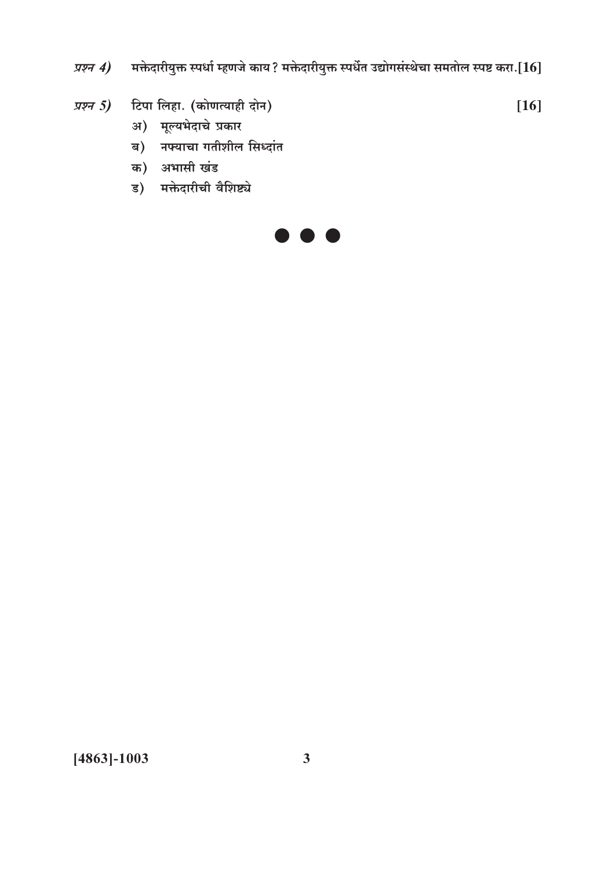मक्तेदारीयुक्त स्पर्धा म्हणजे काय? मक्तेदारीयुक्त स्पर्धेत उद्योगसंस्थेचा समतोल स्पष्ट करा.[ ${\bf 16}$ ] प्रश्न 4)

 $[16]$ 

- टिपा लिहा. (कोणत्याही दोन) प्रश्न  $5)$ 
	- अ) मूल्यभेदाचे प्रकार
	- ब) नफ्याचा गतीशील सिध्दांत
	- क) अभासी खंड
	- ड) मक्तेदारीची वैशिष्ट्ये



 $[4863] - 1003$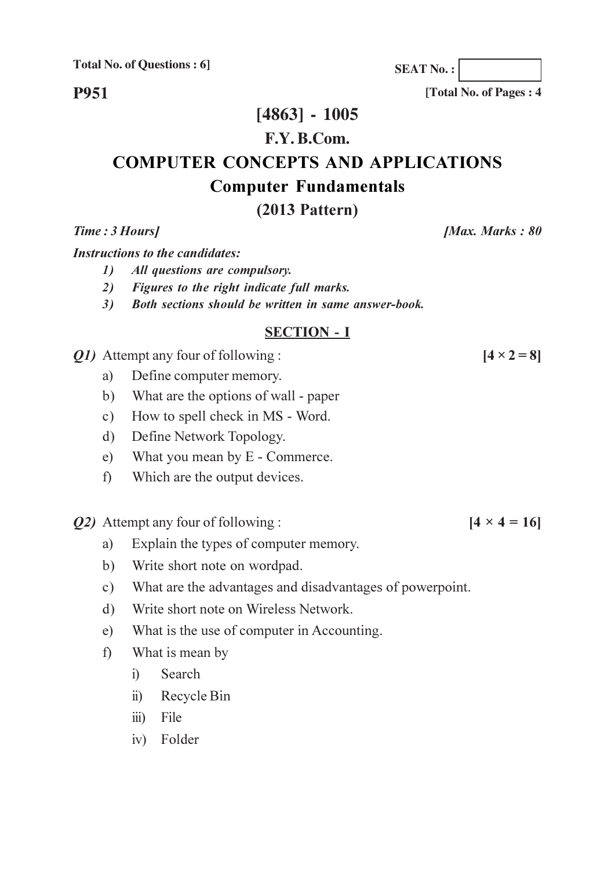**P951** 

## $[4863] - 1005$

#### F.Y. B.Com.

## **COMPUTER CONCEPTS AND APPLICATIONS Computer Fundamentals**

## $(2013$  Pattern)

Time: 3 Hours]

**Instructions to the candidates:** 

- 1) All questions are compulsory.
- 2) Figures to the right indicate full marks.
- 3) Both sections should be written in same answer-book.

#### **SECTION - I**

*O1*) Attempt any four of following :

- Define computer memory. a)
- What are the options of wall paper  $b)$
- How to spell check in MS Word.  $c)$
- Define Network Topology.  $\mathbf{d}$ )
- $e)$ What you mean by E - Commerce.
- Which are the output devices.  $f$ )
- **Q2**) Attempt any four of following :
	- Explain the types of computer memory. a)
	- Write short note on wordpad.  $b)$
	- What are the advantages and disadvantages of powerpoint.  $c)$
	- Write short note on Wireless Network.  $\mathbf{d}$ )
	- What is the use of computer in Accounting.  $e)$
	- What is mean by  $f$ 
		- Search  $i$
		- Recycle Bin  $\ddot{u}$
		- iii) File
		- iv) Folder

 $[4 \times 4 = 16]$ 

 $[4 \times 2 = 8]$ 

[Total No. of Pages: 4]

**IMax. Marks: 80** 

**SEAT No.:**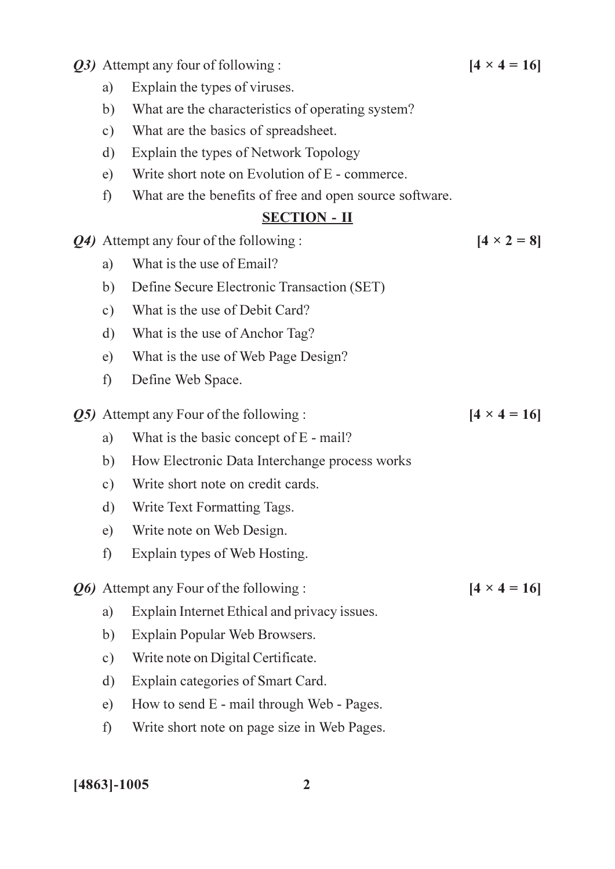*O3*) Attempt any four of following :

- Explain the types of viruses. a)
- $b)$ What are the characteristics of operating system?
- What are the basics of spreadsheet.  $c)$
- Explain the types of Network Topology  $\mathbf{d}$
- Write short note on Evolution of E commerce.  $e)$
- What are the benefits of free and open source software.  $f$ )

#### **SECTION - II**

- Q4) Attempt any four of the following :
	- What is the use of Email? a)
	- $b)$ Define Secure Electronic Transaction (SET)
	- $c)$ What is the use of Debit Card?
	- $\mathbf{d}$ What is the use of Anchor Tag?
	- $e)$ What is the use of Web Page Design?
	- $f$ ) Define Web Space.
- *Q5*) Attempt any Four of the following :
	- What is the basic concept of E mail? a)
	- $b)$ How Electronic Data Interchange process works
	- Write short note on credit cards.  $c)$
	- Write Text Formatting Tags.  $\mathbf{d}$
	- Write note on Web Design.  $e)$
	- Explain types of Web Hosting.  $f$

Q6) Attempt any Four of the following:

- Explain Internet Ethical and privacy issues. a)
- Explain Popular Web Browsers. b)
- Write note on Digital Certificate.  $c)$
- Explain categories of Smart Card.  $\mathbf{d}$
- $e)$ How to send E - mail through Web - Pages.
- $f$ ) Write short note on page size in Web Pages.

 $[4863] - 1005$ 

 $[4 \times 4 = 16]$ 

 $[4 \times 2 = 8]$ 

 $[4 \times 4 = 16]$ 

 $[4 \times 4 = 16]$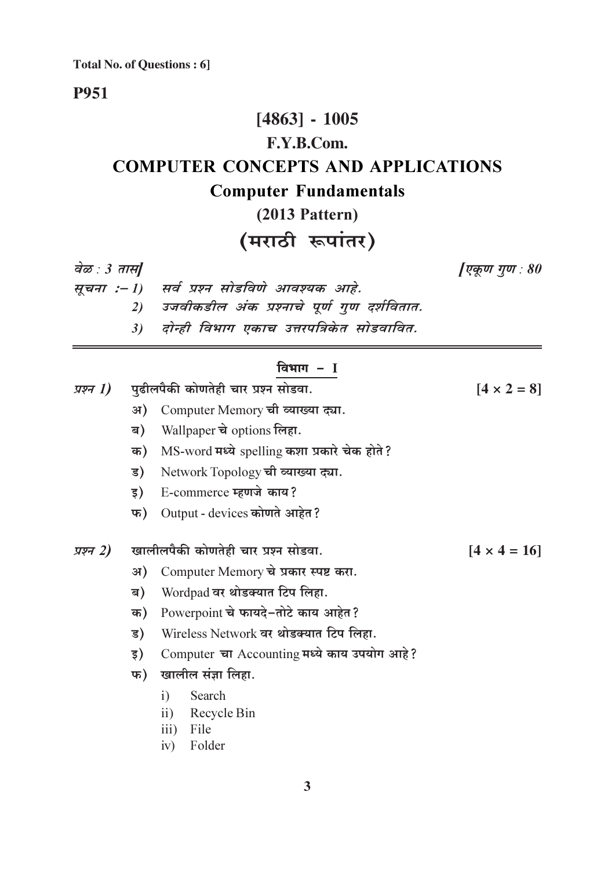### **P951**

# $[4863] - 1005$ F.Y.B.Com. **COMPUTER CONCEPTS AND APPLICATIONS Computer Fundamentals**  $(2013$  Pattern)

# (मराठी रूपांतर)

वेळ : 3 तास]

[एकूण गुण : 80

- सूचना :- 1) सर्व प्रश्न सोडविणे आवश्यक आहे.
	- 2) उजवीकडील अंक प्रश्नाचे पूर्ण गुण दर्शवितात.
	- 3) दोन्ही विभाग एकाच उत्तरपत्रिकेत सोडवावित.

#### विभाग $-I$

| प्रश्न 1) | पुढीलपैकी कोणतेही चार प्रश्न सोडवा. | $[4 \times 2 = 8]$                           |                     |
|-----------|-------------------------------------|----------------------------------------------|---------------------|
|           | अ)                                  | Computer Memory ची व्याख्या द्या.            |                     |
|           | ब)                                  | Wallpaper चे options लिहा.                   |                     |
|           | क)                                  | MS-word मध्ये spelling कशा प्रकारे चेक होते? |                     |
|           | ड)                                  | Network Topology ची व्याख्या द्या.           |                     |
|           | इ)                                  | E-commerce म्हणजे काय?                       |                     |
|           | फ)                                  | Output - devices कोणते आहेत?                 |                     |
|           |                                     |                                              |                     |
| प्रश्न 2) |                                     | खालीलपैकी कोणतेही चार प्रश्न सोडवा.          | $[4 \times 4 = 16]$ |
|           | अ)                                  | Computer Memory चे प्रकार स्पष्ट करा.        |                     |
|           | ब)                                  | Wordpad वर थोडक्यात टिप लिहा.                |                     |
|           | क)                                  | Powerpoint चे फायदे-तोटे काय आहेत?           |                     |
|           | ड)                                  | Wireless Network वर थोडक्यात टिप लिहा.       |                     |
|           | इ)                                  | Computer चा Accounting मध्ये काय उपयोग आहे?  |                     |
|           | फ)                                  | खालील संज्ञा लिहा.                           |                     |
|           |                                     | i)<br>Search                                 |                     |
|           |                                     | $\mathbf{ii}$<br>Recycle Bin<br>$\mathbf{L}$ |                     |

- iii) File
- iv) Folder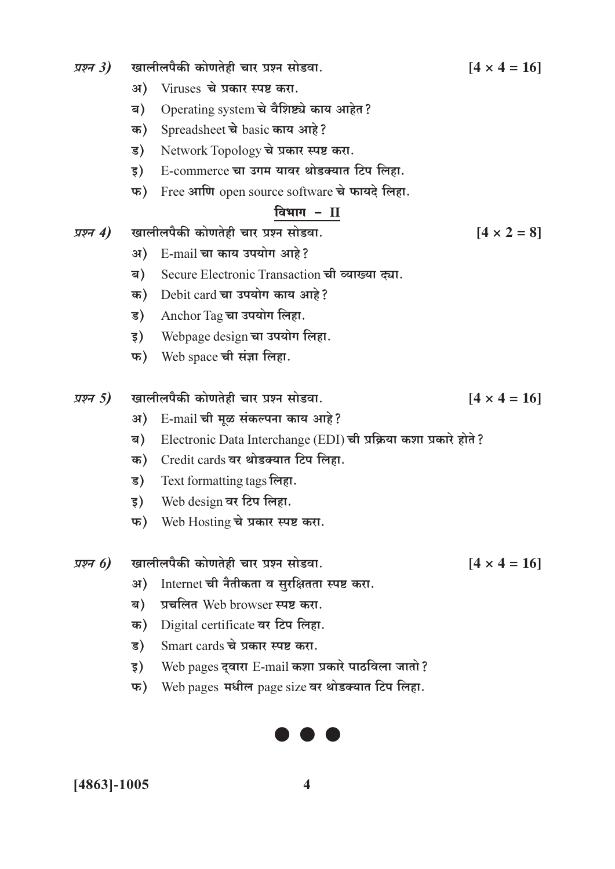| प्रश्न $3)$ |    | खालीलपैकी कोणतेही चार प्रश्न सोडवा.                              | $[4 \times 4 = 16]$ |
|-------------|----|------------------------------------------------------------------|---------------------|
|             | अ) | Viruses चे प्रकार स्पष्ट करा.                                    |                     |
|             | ब) | Operating system चे वैशिष्ट्ये काय आहेत?                         |                     |
|             | क) | Spreadsheet चे basic काय आहे?                                    |                     |
|             | ड) | Network Topology चे प्रकार स्पष्ट करा.                           |                     |
|             | इ) | E-commerce चा उगम यावर थोडक्यात टिप लिहा.                        |                     |
|             | फ) | Free आणि open source software चे फायदे लिहा.                     |                     |
|             |    | विभाग - $II$                                                     |                     |
| प्रश्न 4)   |    | खालीलपैकी कोणतेही चार प्रश्न सोडवा.                              | $[4 \times 2 = 8]$  |
|             | अ) | E-mail चा काय उपयोग आहे?                                         |                     |
|             | ब) | Secure Electronic Transaction ची व्याख्या द्या.                  |                     |
|             | क) | Debit card चा उपयोग काय आहे?                                     |                     |
|             | ड) | Anchor Tag चा उपयोग लिहा.                                        |                     |
|             | इ) | Webpage design चा उपयोग लिहा.                                    |                     |
|             | फ) | Web space ची संज्ञा लिहा.                                        |                     |
| प्रश्न 5)   |    | खालीलपैकी कोणतेही चार प्रश्न सोडवा.                              | $[4 \times 4 = 16]$ |
|             | अ) | E-mail ची मूळ संकल्पना काय आहे?                                  |                     |
|             | ब) | Electronic Data Interchange (EDI) ची प्रक्रिया कशा प्रकारे होते? |                     |
|             | क) | Credit cards वर थोडक्यात टिप लिहा.                               |                     |
|             | ड) | Text formatting tags लिहा.                                       |                     |
|             | इ) | Web design वर टिप लिहा.                                          |                     |
|             |    | फ) Web Hosting चे प्रकार स्पष्ट करा.                             |                     |
| प्रश्न 6)   |    | खालीलपैकी कोणतेही चार प्रश्न सोडवा.                              | $[4 \times 4 = 16]$ |
|             | अ) | Internet ची नैतीकता व सुरक्षितता स्पष्ट करा.                     |                     |
|             | ब) | प्रचलित Web browser स्पष्ट करा.                                  |                     |
|             | क) | Digital certificate वर टिप लिहा.                                 |                     |
|             | ड) | Smart cards चे प्रकार स्पष्ट करा.                                |                     |

- $\vert \bar{\mathbf{s}}$ ) Web pages द्वारा E-mail कशा प्रकारे पाठविला जातो?
- फ) Web pages मधील page size वर थोडक्यात टिप लिहा.



 $\overline{\mathbf{4}}$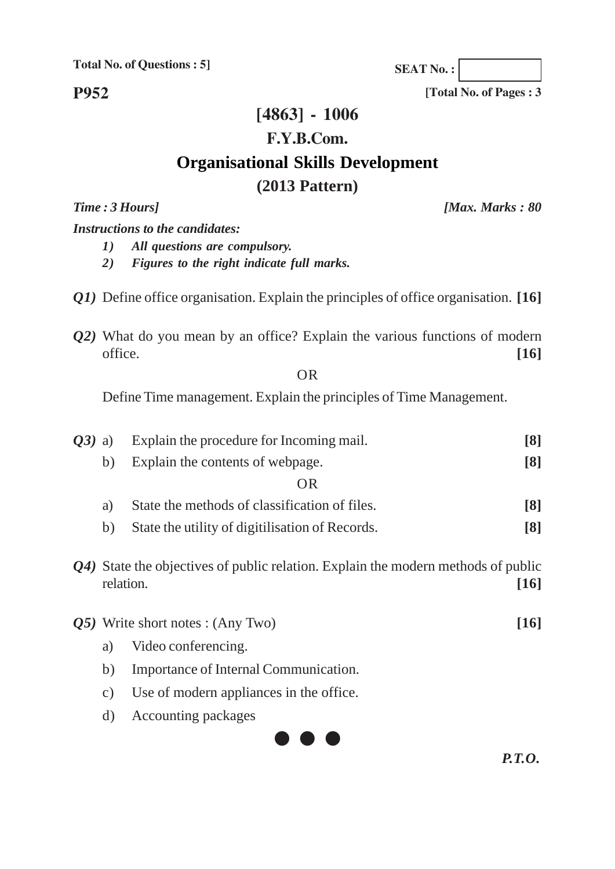**P952**

# **[4863] - 1006 F.Y.B.Com. Organisational Skills Development (2013 Pattern)**

*Time : 3 Hours] [Max. Marks : 80*

#### *Instructions to the candidates:*

- *1) All questions are compulsory.*
- *2) Figures to the right indicate full marks.*
- *Q1)* Define office organisation. Explain the principles of office organisation. **[16]**
- *Q2)* What do you mean by an office? Explain the various functions of modern office. **[16]**

OR

Define Time management. Explain the principles of Time Management.

| $O(3)$ a) |           | Explain the procedure for Incoming mail.                                          | $\lceil 8 \rceil$ |
|-----------|-----------|-----------------------------------------------------------------------------------|-------------------|
|           | b)        | Explain the contents of webpage.                                                  | $\lceil 8 \rceil$ |
|           |           | <b>OR</b>                                                                         |                   |
|           | a)        | State the methods of classification of files.                                     | $\lceil 8 \rceil$ |
|           | b)        | State the utility of digitilisation of Records.                                   | $\lceil 8 \rceil$ |
|           | relation. | Q4) State the objectives of public relation. Explain the modern methods of public | [16]              |
|           |           | $\overline{05}$ ) Write short notes : (Any Two)                                   | [16]              |
|           | a)        | Video conferencing.                                                               |                   |
|           | b)        | Importance of Internal Communication.                                             |                   |

- c) Use of modern appliances in the office.
- d) Accounting packages



*P.T.O.*

**SEAT No. :**

**[Total No. of Pages : 3**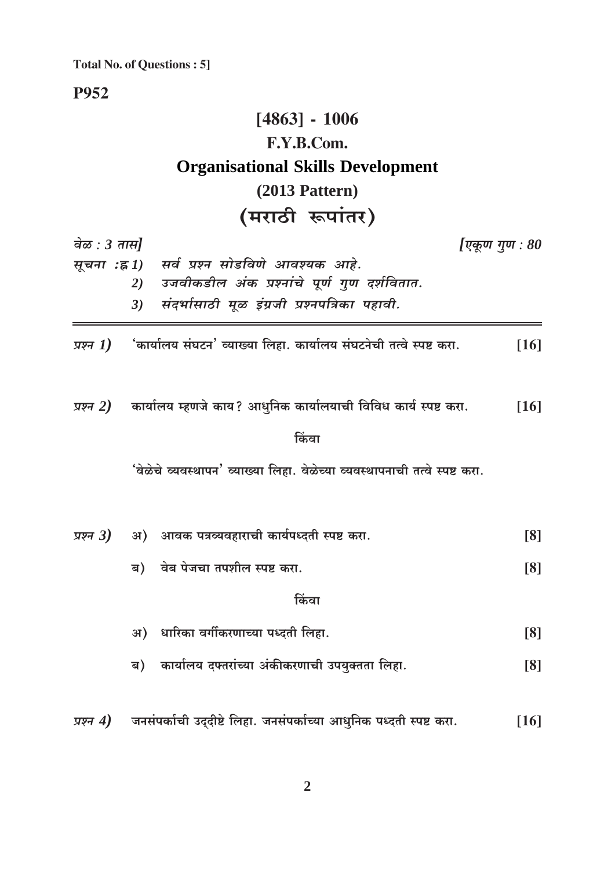**P952** 

# $[4863] - 1006$ F.Y.B.Com. **Organisational Skills Development**  $(2013$  Pattern) (मराठी रूपांतर)

| वेळ : $3 \pi \mathcal{H}$<br>[एकूण गुण : 80      |                                                                                  |        |  |
|--------------------------------------------------|----------------------------------------------------------------------------------|--------|--|
| सर्व प्रश्न सोडविणे आवश्यक आहे.<br>सूचना :ह्र 1) |                                                                                  |        |  |
|                                                  | उजवीकडील अंक प्रश्नांचे पूर्ण गुण दर्शवितात.<br>2)                               |        |  |
|                                                  | संदर्भासाठी मूळ इंग्रजी प्रश्नपत्रिका पहावी.<br>3)                               |        |  |
|                                                  | प्रश्न $I$ ) 'कार्यालय संघटन' व्याख्या लिहा. कार्यालय संघटनेची तत्वे स्पष्ट करा. | $[16]$ |  |
|                                                  | प्रश्न 2) कार्यालय म्हणजे काय? आधुनिक कार्यालयाची विविध कार्य स्पष्ट करा.        | $[16]$ |  |
|                                                  | किंवा                                                                            |        |  |
|                                                  | 'वेळेचे व्यवस्थापन' व्याख्या लिहा. वेळेच्या व्यवस्थापनाची तत्वे स्पष्ट करा.      |        |  |
| प्रश्न 3)                                        | अ) आवक पत्रव्यवहाराची कार्यपध्दती स्पष्ट करा.                                    | [8]    |  |
|                                                  | ब) वेब पेजचा तपशील स्पष्ट करा.                                                   | [8]    |  |
|                                                  | किंवा                                                                            |        |  |
|                                                  | धारिका वर्गीकरणाच्या पध्दती लिहा.<br>अ)                                          | [8]    |  |
|                                                  | कार्यालय दफ्तरांच्या अंकीकरणाची उपयुक्तता लिहा.<br>ब)                            | [8]    |  |
| प्रश्न 4)                                        | जनसंपर्काची उद्दीष्टे लिहा. जनसंपर्काच्या आधुनिक पध्दती स्पष्ट करा.              | $[16]$ |  |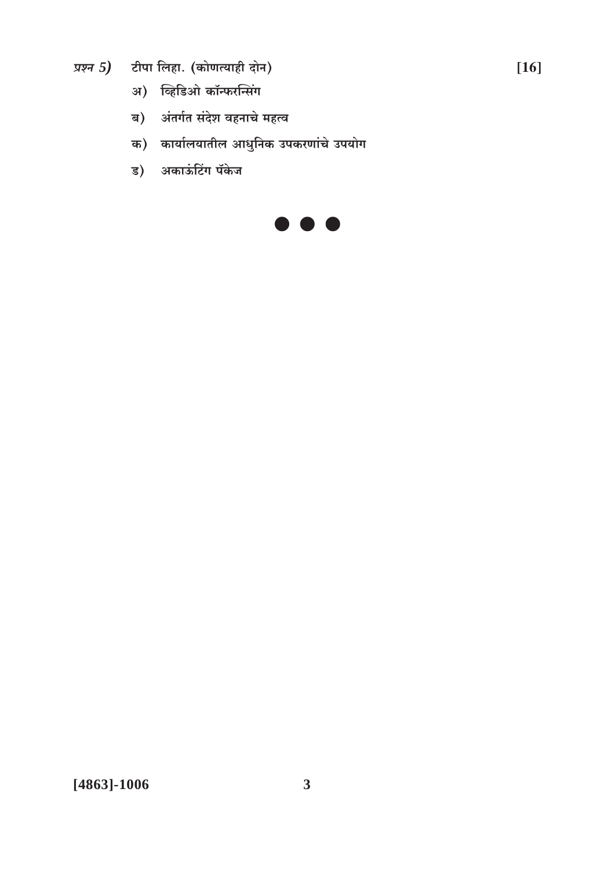- प्रश्न 5) टीपा लिहा. (कोणत्याही दोन)
	- अ) व्हिडिओ कॉन्फरन्सिंग
	- ब) अंतर्गत संदेश वहनाचे महत्व
	- क) कार्यालयातील आधुनिक उपकरणांचे उपयोग
	- ड) अकाऊंटिंग पॅकेज

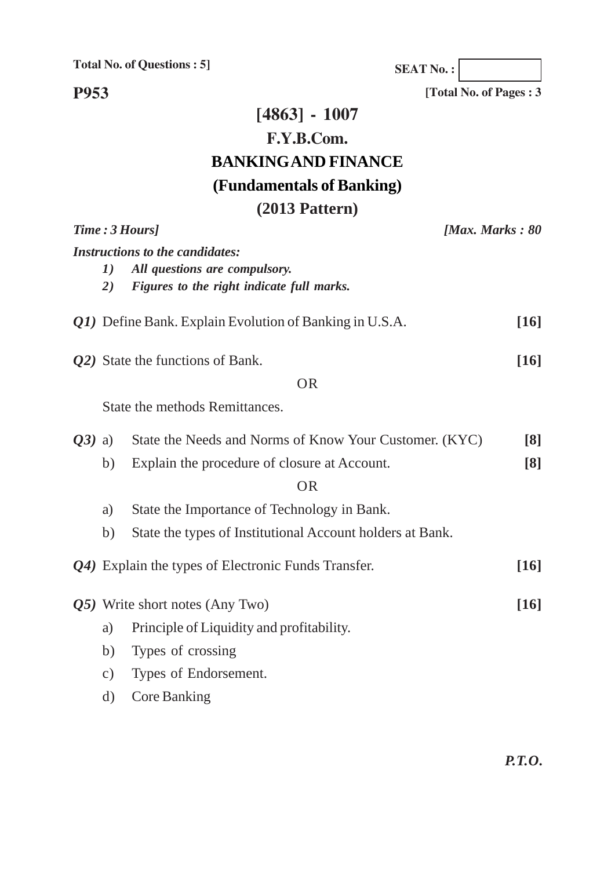**SEAT No. :**

**[Total No. of Pages : 3**

**P953**

# **[4863] - 1007 F.Y.B.Com. BANKING AND FINANCE (Fundamentals of Banking) (2013 Pattern)**

|                                       |                                                                                                                                                                                                                                 | [Max. Marks: $80$                                                                                                                                                                                                                                                                   |
|---------------------------------------|---------------------------------------------------------------------------------------------------------------------------------------------------------------------------------------------------------------------------------|-------------------------------------------------------------------------------------------------------------------------------------------------------------------------------------------------------------------------------------------------------------------------------------|
| 1)<br>2)                              | All questions are compulsory.<br>Figures to the right indicate full marks.                                                                                                                                                      |                                                                                                                                                                                                                                                                                     |
|                                       |                                                                                                                                                                                                                                 | $\lceil 16 \rceil$                                                                                                                                                                                                                                                                  |
|                                       | <b>OR</b>                                                                                                                                                                                                                       | $[16]$                                                                                                                                                                                                                                                                              |
|                                       |                                                                                                                                                                                                                                 |                                                                                                                                                                                                                                                                                     |
| b)<br>a)<br>b)                        | State the Needs and Norms of Know Your Customer. (KYC)<br>Explain the procedure of closure at Account.<br><b>OR</b><br>State the Importance of Technology in Bank.<br>State the types of Institutional Account holders at Bank. | $\lceil 8 \rceil$<br>$\lceil 8 \rceil$                                                                                                                                                                                                                                              |
|                                       |                                                                                                                                                                                                                                 | [16]                                                                                                                                                                                                                                                                                |
| a)<br>b)<br>$\mathbf{c})$<br>$\rm d)$ | Principle of Liquidity and profitability.<br>Types of crossing<br>Types of Endorsement.<br><b>Core Banking</b>                                                                                                                  | [16]                                                                                                                                                                                                                                                                                |
|                                       | $Q3)$ a)                                                                                                                                                                                                                        | Time: 3 Hours]<br><b>Instructions to the candidates:</b><br>Q1) Define Bank. Explain Evolution of Banking in U.S.A.<br>Q2) State the functions of Bank.<br>State the methods Remittances.<br>Q4) Explain the types of Electronic Funds Transfer.<br>Q5) Write short notes (Any Two) |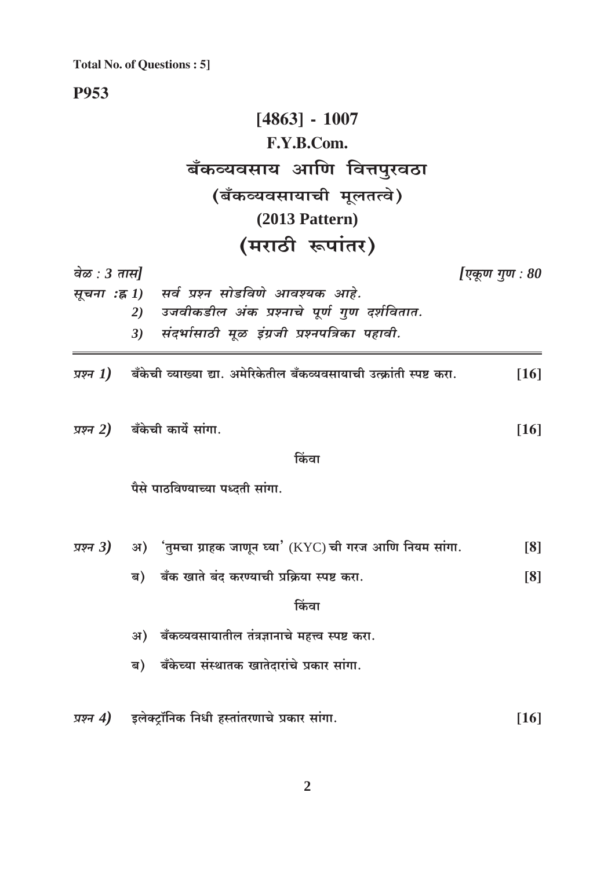**P953** 

# $[4863] - 1007$ F.Y.B.Com. बँकव्यवसाय आणि वित्तपुरवठा (बँकव्यवसायाची मूलतत्वे)  $(2013$  Pattern) (मराठी रूपांतर)

| वेळ : 3 तास] |                                                                                                           | [एकूण गुण : 80     |
|--------------|-----------------------------------------------------------------------------------------------------------|--------------------|
|              | सूचना :ह्न 1) सर्व प्रश्न सोडविणे आवश्यक आहे.                                                             |                    |
|              | उजवीकडील अंक प्रश्नाचे पूर्ण गुण दर्शवितात.<br>2)                                                         |                    |
|              | संदर्भासाठी मूळ इंग्रजी प्रश्नपत्रिका पहावी.<br>3)                                                        |                    |
|              | <i>प्रश्न <math>\bm{I})</math> बँ</i> केची व्याख्या द्या. अमेरिकेतील बँकव्यवसायाची उत्क्रांती स्पष्ट करा. | $\lceil 16 \rceil$ |
|              | <i>प्रश्न 2)</i> बँकेची कार्ये सांगा.                                                                     | $[16]$             |
|              | किंवा                                                                                                     |                    |
|              | पैसे पाठविण्याच्या पध्दती सांगा.                                                                          |                    |
|              | <i>प्रश्न 3)</i> अ) 'तुमचा ग्राहक जाणून घ्या' (KYC)ची गरज आणि नियम सांगा.                                 | [8]                |
|              | ब) बँक खाते बंद करण्याची प्रक्रिया स्पष्ट करा.                                                            | [8]                |
|              | किंवा                                                                                                     |                    |
|              | अ) बँकव्यवसायातील तंत्रज्ञानाचे महत्त्व स्पष्ट करा.                                                       |                    |
|              | ब) बँकेच्या संस्थातक खातेदारांचे प्रकार सांगा.                                                            |                    |
|              | <i>प्रश्न 4</i> )     इलेक्ट्रॉनिक निधी हस्तांतरणाचे प्रकार सांगा.                                        | $[16]$             |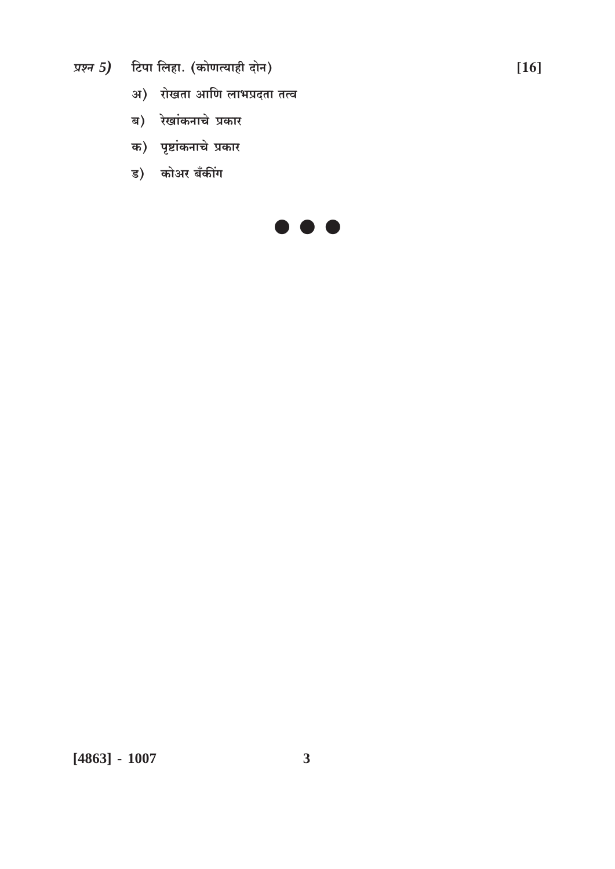- प्रश्न 5) टिपा लिहा. (कोणत्याही दोन)
	- अ) रोखता आणि लाभप्रदता तत्व
	- ब) रेखांकनाचे प्रकार
	- क) पृष्टांकनाचे प्रकार
	- ड) कोअर बँकींग

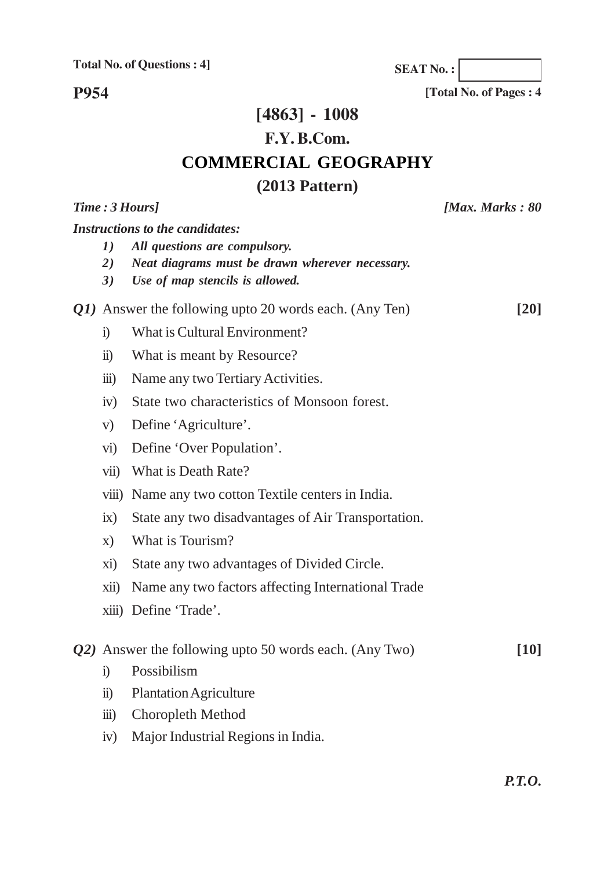**P954**

**[4863] - 1008 F.Y. B.Com. COMMERCIAL GEOGRAPHY (2013 Pattern)**

| Time: 3 Hours] |                                                           | [Max. Marks : $80$                                                                                                                                            |                    |
|----------------|-----------------------------------------------------------|---------------------------------------------------------------------------------------------------------------------------------------------------------------|--------------------|
|                | 1)<br>2)<br>3)                                            | <b>Instructions to the candidates:</b><br>All questions are compulsory.<br>Neat diagrams must be drawn wherever necessary.<br>Use of map stencils is allowed. |                    |
|                |                                                           | Q1) Answer the following upto 20 words each. (Any Ten)                                                                                                        | $\lceil 20 \rceil$ |
|                | $\ddot{1}$                                                | What is Cultural Environment?                                                                                                                                 |                    |
|                | $\ddot{\textbf{i}}$                                       | What is meant by Resource?                                                                                                                                    |                    |
|                | $\overline{iii}$                                          | Name any two Tertiary Activities.                                                                                                                             |                    |
|                | iv)                                                       | State two characteristics of Monsoon forest.                                                                                                                  |                    |
|                | V)                                                        | Define 'Agriculture'.                                                                                                                                         |                    |
|                | $\rm \overline{vi})$                                      | Define 'Over Population'.                                                                                                                                     |                    |
|                | $\overline{\text{vii}}$                                   | What is Death Rate?                                                                                                                                           |                    |
|                | viii)                                                     | Name any two cotton Textile centers in India.                                                                                                                 |                    |
|                | ix)                                                       | State any two disadvantages of Air Transportation.                                                                                                            |                    |
|                | $\mathbf{X}$                                              | What is Tourism?                                                                                                                                              |                    |
|                | xi)                                                       | State any two advantages of Divided Circle.                                                                                                                   |                    |
|                | xii)                                                      | Name any two factors affecting International Trade                                                                                                            |                    |
|                |                                                           | xiii) Define 'Trade'.                                                                                                                                         |                    |
|                | $Q2$ ) Answer the following upto 50 words each. (Any Two) |                                                                                                                                                               | [10]               |
|                | $\ddot{1}$                                                | Possibilism                                                                                                                                                   |                    |
|                | $\ddot{\mathbf{n}}$ )                                     | <b>Plantation Agriculture</b>                                                                                                                                 |                    |
|                | $\dddot{\mathbf{m}}$ )                                    | Choropleth Method                                                                                                                                             |                    |
|                | iv)                                                       | Major Industrial Regions in India.                                                                                                                            |                    |

**[Total No. of Pages : 4 SEAT No. :**

*P.T.O.*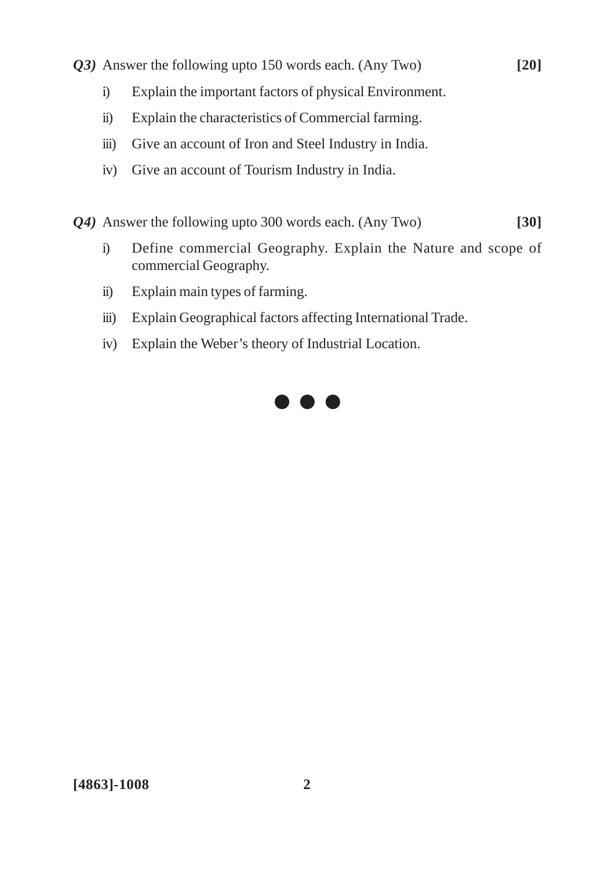- *Q3)* Answer the following upto 150 words each. (Any Two) **[20]**
	- i) Explain the important factors of physical Environment.
	- ii) Explain the characteristics of Commercial farming.
	- iii) Give an account of Iron and Steel Industry in India.
	- iv) Give an account of Tourism Industry in India.

*Q4)* Answer the following upto 300 words each. (Any Two) **[30]**

- i) Define commercial Geography. Explain the Nature and scope of commercial Geography.
- ii) Explain main types of farming.
- iii) Explain Geographical factors affecting International Trade.
- iv) Explain the Weber's theory of Industrial Location.

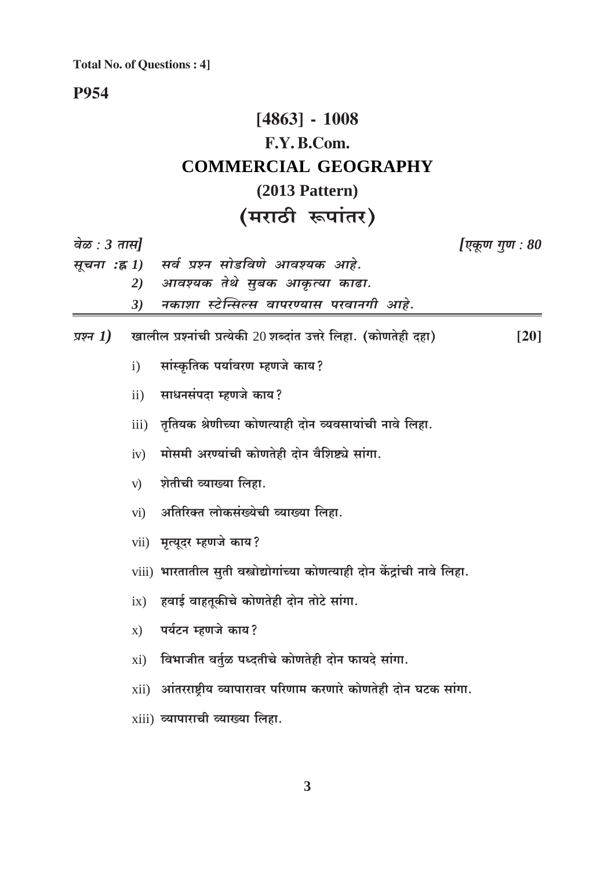## **P954**

# $[4863] - 1008$ F.Y.B.Com. **COMMERCIAL GEOGRAPHY**  $(2013$  Pattern) (मराठी रूपांतर)

| वेळ : 3 तास] |                   |                                                                            | एकूण गुण : 80      |
|--------------|-------------------|----------------------------------------------------------------------------|--------------------|
|              |                   | सूचना :ह्र 1) सर्व प्रश्न सोडविणे आवश्यक आहे.                              |                    |
|              | 2)                | आवश्यक तेथे सुबक आकृत्या काढा.                                             |                    |
|              | 3)                | नकाशा स्टेन्सिल्स वापरण्यास परवानगी आहे.                                   |                    |
| प्रश्न 1)    |                   | खालील प्रश्नांची प्रत्येकी 20 शब्दांत उत्तरे लिहा. (कोणतेही दहा)           | $\lceil 20 \rceil$ |
|              | $\mathbf{i}$      | सांस्कृतिक पर्यावरण म्हणजे काय?                                            |                    |
|              | $\mathbf{ii}$     | साधनसंपदा म्हणजे काय?                                                      |                    |
|              | iii)              | तृतियक श्रेणीच्या कोणत्याही दोन व्यवसायांची नावे लिहा.                     |                    |
|              | iv)               | मोसमी अरण्यांची कोणतेही दोन वैशिष्ट्ये सांगा.                              |                    |
|              | V)                | शेतीची व्याख्या लिहा.                                                      |                    |
|              | $\overline{vi}$ ) | अतिरिक्त लोकसंख्येची व्याख्या लिहा.                                        |                    |
|              |                   | vii) मृत्यूदर म्हणजे काय?                                                  |                    |
|              |                   | viii) भारतातील सुती वस्त्रोद्योगांच्या कोणत्याही दोन केंद्रांची नावे लिहा. |                    |
|              | ix)               | हवाई वाहतूकीचे कोणतेही दोन तोटे सांगा.                                     |                    |
|              | $\mathbf{x})$     | पर्यटन म्हणजे काय?                                                         |                    |
|              | xi)               | विभाजीत वर्तुळ पध्दतीचे कोणतेही दोन फायदे सांगा.                           |                    |
|              |                   | $xii)$ आंतरराष्ट्रीय व्यापारावर परिणाम करणारे कोणतेही दोन घटक सांगा.       |                    |
|              |                   | xiii) व्यापाराची व्याख्या लिहा.                                            |                    |
|              |                   |                                                                            |                    |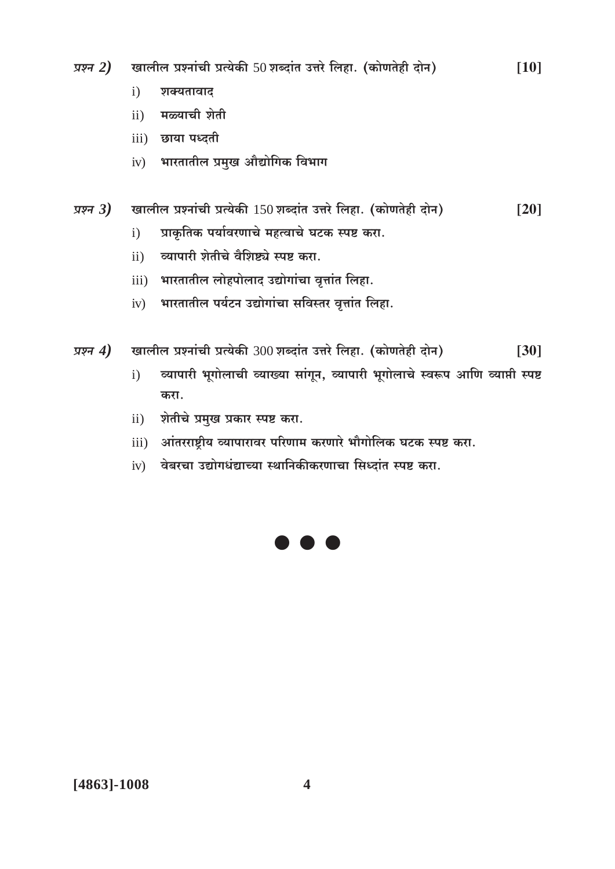- खालील प्रश्नांची प्रत्येकी 50 शब्दांत उत्तरे लिहा. (कोणतेही दोन) प्रश्न  $2)$  $[10]$ 
	- $i)$ शक्यतावाद
	- ii) मळ्याची शेती
	- iii) छाया पध्दती
	- iv) भारतातील प्रमुख औद्योगिक विभाग
- खालील प्रश्नांची प्रत्येकी 150 शब्दांत उत्तरे लिहा. (कोणतेही दोन) प्रश्न $3)$  $[20]$ 
	- प्राकृतिक पर्यावरणाचे महत्वाचे घटक स्पष्ट करा.  $\mathbf{i}$
	- व्यापारी शेतीचे वैशिष्ट्ये स्पष्ट करा.  $\mathbf{ii}$ )
	- iii) भारतातील लोहपोलाद उद्योगांचा वृत्तांत लिहा.
	- भारतातील पर्यटन उद्योगांचा सविस्तर वृत्तांत लिहा.  $iv)$
- खालील प्रश्नांची प्रत्येकी 300 शब्दांत उत्तरे लिहा. (कोणतेही दोन) प्रश्न  $4)$  $[30]$ 
	- व्यापारी भूगोलाची व्याख्या सांगून, व्यापारी भूगोलाचे स्वरूप आणि व्याप्ती स्पष्ट  $\mathbf{i}$ करा.
	- शेतीचे प्रमुख प्रकार स्पष्ट करा.  $\rm ii)$
	- iii) आंतरराष्ट्रीय व्यापारावर परिणाम करणारे भौगोलिक घटक स्पष्ट करा.
	- $iv$ ) वेबरचा उद्योगधंद्याच्या स्थानिकीकरणाचा सिध्दांत स्पष्ट करा.

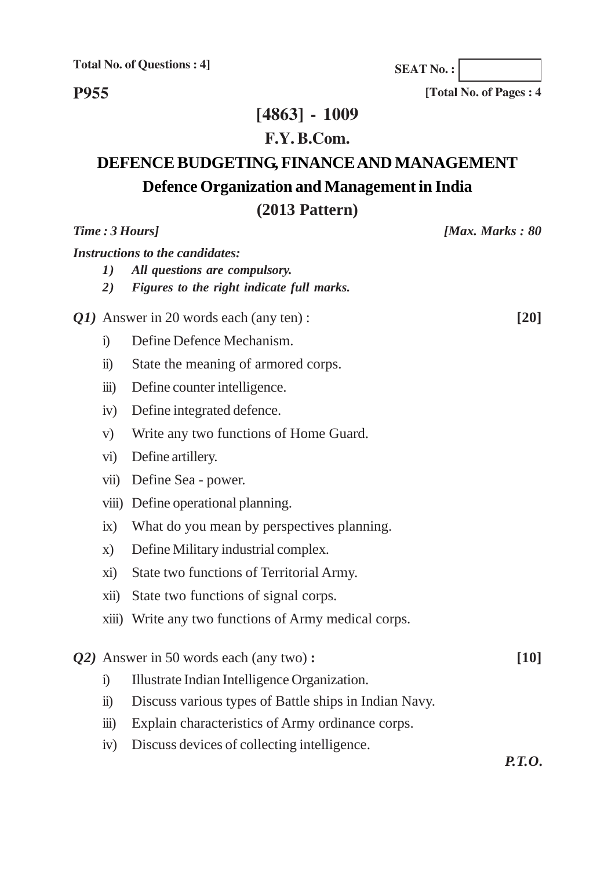**P955**

**SEAT No. :**

**[Total No. of Pages : 4**

## **[4863] - 1009**

## **F.Y. B.Com.**

# **DEFENCE BUDGETING, FINANCE AND MANAGEMENT Defence Organization and Management in India**

## **(2013 Pattern)**

| Time: 3 Hours]                         |                                                | [Max. Marks: $80$                                     |        |
|----------------------------------------|------------------------------------------------|-------------------------------------------------------|--------|
| <b>Instructions to the candidates:</b> |                                                |                                                       |        |
|                                        | 1)                                             | All questions are compulsory.                         |        |
|                                        | 2)                                             | Figures to the right indicate full marks.             |        |
|                                        | <i>Q1</i> ) Answer in 20 words each (any ten): |                                                       | $[20]$ |
|                                        | $\ddot{1}$                                     | Define Defence Mechanism.                             |        |
|                                        | $\ddot{\textbf{i}}$                            | State the meaning of armored corps.                   |        |
|                                        | $\dddot{\mathbf{m}}$ )                         | Define counter intelligence.                          |        |
|                                        | iv)                                            | Define integrated defence.                            |        |
|                                        | V)                                             | Write any two functions of Home Guard.                |        |
|                                        | $\rm vi)$                                      | Define artillery.                                     |        |
|                                        | vii)                                           | Define Sea - power.                                   |        |
|                                        | viii)                                          | Define operational planning.                          |        |
|                                        | ix)                                            | What do you mean by perspectives planning.            |        |
|                                        | $\mathbf{X}$                                   | Define Military industrial complex.                   |        |
|                                        | xi)                                            | State two functions of Territorial Army.              |        |
|                                        | xii)                                           | State two functions of signal corps.                  |        |
|                                        |                                                | xiii) Write any two functions of Army medical corps.  |        |
|                                        |                                                | Q2) Answer in 50 words each (any two):                | [10]   |
|                                        | $\ddot{1}$                                     | Illustrate Indian Intelligence Organization.          |        |
|                                        | $\ddot{\mathbf{n}}$ )                          | Discuss various types of Battle ships in Indian Navy. |        |
|                                        | $\dddot{\mathbf{m}}$ )                         | Explain characteristics of Army ordinance corps.      |        |
|                                        | iv)                                            | Discuss devices of collecting intelligence.           |        |

*P.T.O.*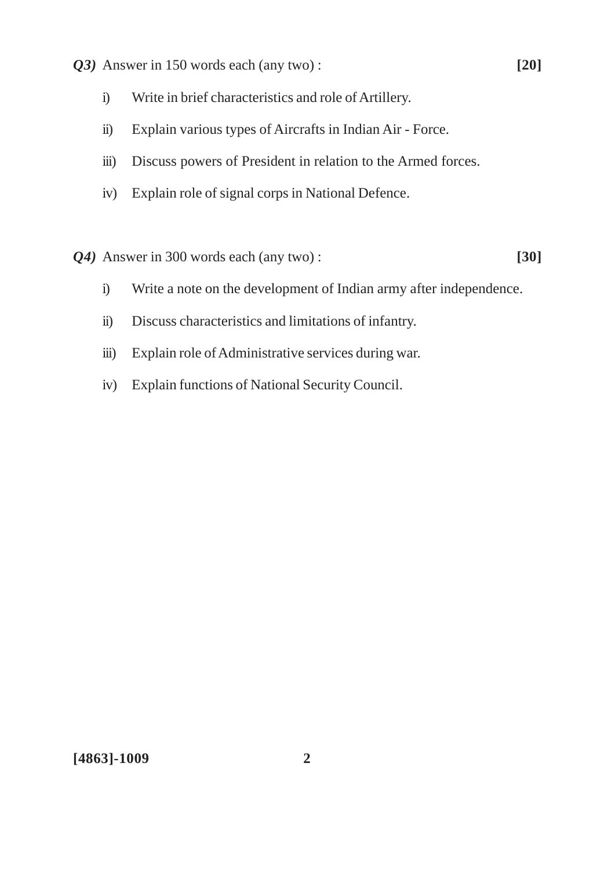- *Q3)* Answer in 150 words each (any two) : **[20]**
	- i) Write in brief characteristics and role of Artillery.
	- ii) Explain various types of Aircrafts in Indian Air Force.
	- iii) Discuss powers of President in relation to the Armed forces.
	- iv) Explain role of signal corps in National Defence.
- *Q4)* Answer in 300 words each (any two) : **[30]**

- i) Write a note on the development of Indian army after independence.
- ii) Discuss characteristics and limitations of infantry.
- iii) Explain role of Administrative services during war.
- iv) Explain functions of National Security Council.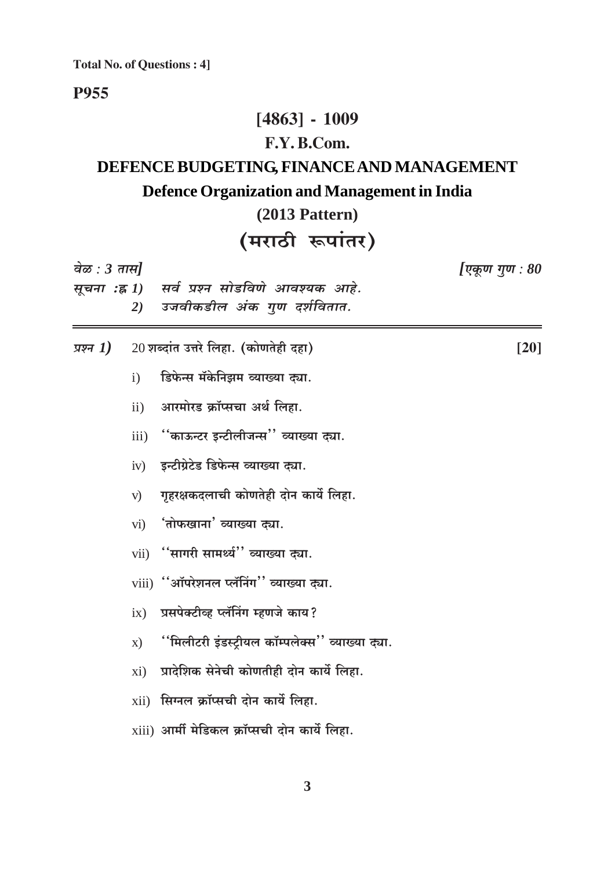#### **P955**

## $[4863] - 1009$

## F.Y.B.Com.

# DEFENCE BUDGETING, FINANCE AND MANAGEMENT Defence Organization and Management in India

# $(2013$  Pattern)

# (मराठी रूपांतर)

| वेळ : 3 तास] |               | सूचना :ह्र 1) सर्व प्रश्न सोडविणे आवश्यक आहे.                  | [एकूण गुण : 80 |
|--------------|---------------|----------------------------------------------------------------|----------------|
|              | 2)            | उजवीकडील अंक गुण दर्शवितात.                                    |                |
| प्रश्न $1)$  |               | 20 शब्दांत उत्तरे लिहा. (कोणतेही दहा)                          | [20]           |
|              | $\mathbf{i}$  | डिफेन्स मॅकेनिझम व्याख्या द्या.                                |                |
|              | ii)           | आरमोरड क्रॉप्सचा अर्थ लिहा.                                    |                |
|              | iii)          | <sup>''</sup> काऊन्टर इन्टीलीजन्स <sup>''</sup> व्याख्या द्या. |                |
|              | iv)           | इन्टीग्रेटेड डिफेन्स व्याख्या द्या.                            |                |
|              | V)            | गृहरक्षकदलाची कोणतेही दोन कार्ये लिहा.                         |                |
|              |               | $vi)$ 'तोफखाना' व्याख्या द्या.                                 |                |
|              |               | vii) "सागरी सामर्थ्य" व्याख्या द्या.                           |                |
|              |               | viii) "ऑपरेशनल प्लॅनिंग" व्याख्या द्या.                        |                |
|              | ix)           | प्रसपेक्टीव्ह प्लॅनिंग म्हणजे काय?                             |                |
|              | $\mathbf{x})$ | ''मिलीटरी इंडस्ट्रीयल कॉम्पलेक्स'' व्याख्या द्या.              |                |
|              | xi)           | प्रादेशिक सेनेची कोणतीही दोन कार्ये लिहा.                      |                |
|              |               | $xii)$ सिग्नल क्रॉप्सची दोन कार्ये लिहा.                       |                |
|              |               | $xiii)$ आर्मी मेडिकल क्रॉप्सची दोन कार्ये लिहा.                |                |
|              |               |                                                                |                |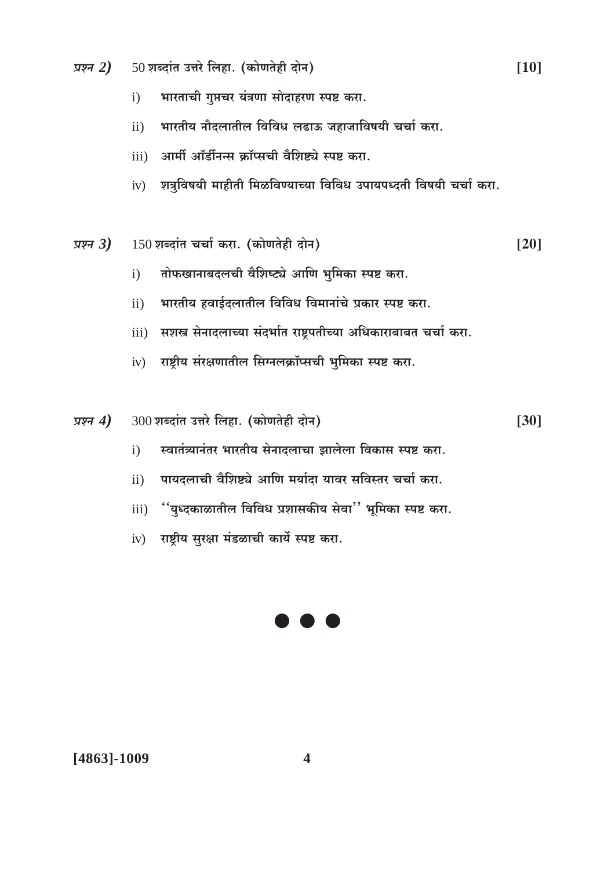- $50$ शब्दांत उत्तरे लिहा. (कोणतेही दोन) प्रश्न  $2)$ 
	- भारताची गुप्तचर यंत्रणा सोदाहरण स्पष्ट करा.  $\mathbf{i}$
	- भारतीय नौदलातील विविध लढाऊ जहाजाविषयी चर्चा करा.  $ii)$
	- आर्मी ऑर्डीनन्स क्रॉप्सची वैशिष्ट्ये स्पष्ट करा.  $\overline{111}$
	- iv) शत्रुविषयी माहीती मिळविण्याच्या विविध उपायपध्दती विषयी चर्चा करा.
- $150$  शब्दांत चर्चा करा. (कोणतेही दोन) प्रश्न $3)$  $[20]$ 
	- तोफखानाबदलची वैशिष्ट्ये आणि भूमिका स्पष्ट करा.  $\mathbf{i}$
	- भारतीय हवाईदलातील विविध विमानांचे प्रकार स्पष्ट करा.  $ii)$
	- सशस्त्र सेनादलाच्या संदर्भात राष्ट्रपतीच्या अधिकाराबाबत चर्चा करा.  $iii)$
	- $iv$  राष्ट्रीय संरक्षणातील सिग्नलक्रॉप्सची भुमिका स्पष्ट करा.
- 300 शब्दांत उत्तरे लिहा. (कोणतेही दोन) प्रश्न  $4)$ 
	- स्वातंत्र्यानंतर भारतीय सेनादलाचा झालेला विकास स्पष्ट करा.  $\mathbf{i}$
	- पायदलाची वैशिष्ट्ये आणि मर्यादा यावर सविस्तर चर्चा करा.  $\mathbf{ii}$
	- ''युध्दकाळातील विविध प्रशासकीय सेवा'' भूमिका स्पष्ट करा.  $iii)$
	- iv) राष्ट्रीय सुरक्षा मंडळाची कार्ये स्पष्ट करा.



[4863]-1009

 $[30]$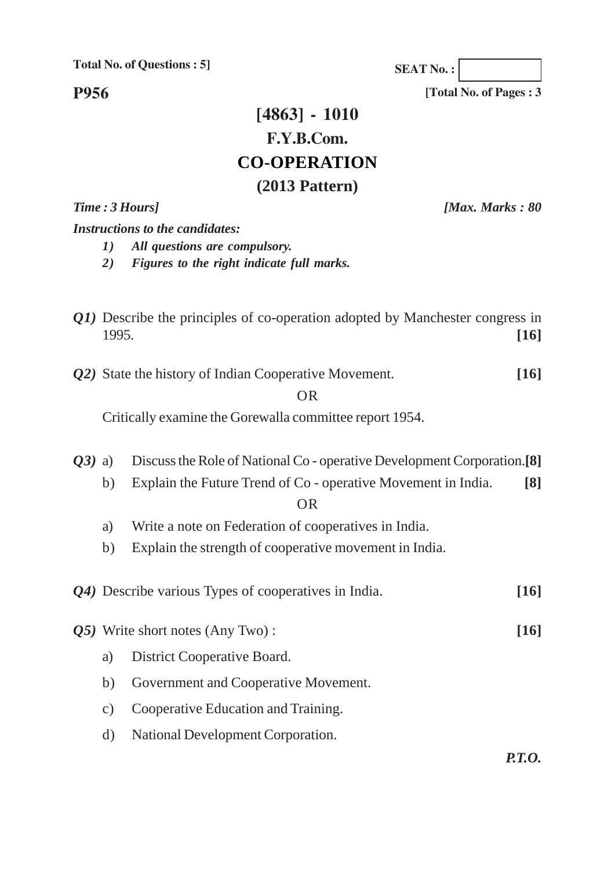**P956**

## **[4863] - 1010 F.Y.B.Com. CO-OPERATION (2013 Pattern)**

*Time : 3 Hours] [Max. Marks : 80*

*Instructions to the candidates:*

*1) All questions are compulsory.*

*2) Figures to the right indicate full marks.*

- *Q1*) Describe the principles of co-operation adopted by Manchester congress in 1995. **[16]**
- *Q2)* State the history of Indian Cooperative Movement. **[16]**

#### OR

Critically examine the Gorewalla committee report 1954.

*Q3)* a) Discuss the Role of National Co - operative Development Corporation.**[8]** b) Explain the Future Trend of Co - operative Movement in India. **[8]** OR a) Write a note on Federation of cooperatives in India. b) Explain the strength of cooperative movement in India. *Q4)* Describe various Types of cooperatives in India. **[16]** *Q5)* Write short notes (Any Two) : **[16]** a) District Cooperative Board.

- b) Government and Cooperative Movement.
- c) Cooperative Education and Training.
- d) National Development Corporation.

*P.T.O.*

**SEAT No. :**

**[Total No. of Pages : 3**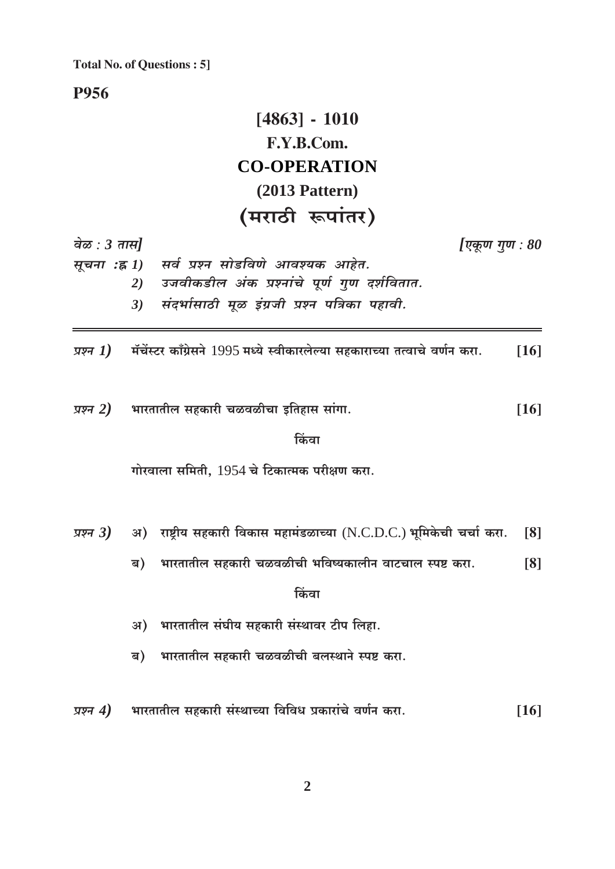**P956** 

# $[4863] - 1010$ F.Y.B.Com. **CO-OPERATION**  $(2013$  Pattern) (मराठी रूपांतर)

वेळ :  $3 \pi H$ 

[एकूण गुण :  $80$ 

सर्व प्रश्न सोडविणे आवश्यक आहेत. सूचना :ह्न 1) उजवीकडील अंक प्रश्नांचे पूर्ण गूण दर्शवितात. 2) संदर्भासाठी मूळ इंग्रजी प्रश्न पत्रिका पहावी.  $3)$ 

प्रश्न 1) मॅचेंस्टर काँग्रेसने 1995 मध्ये स्वीकारलेल्या सहकाराच्या तत्वाचे वर्णन करा.  $[16]$ 

प्रश्न  $2)$ भारतातील सहकारी चळवळीचा इतिहास सांगा.  $[16]$ 

किंवा

गोरवाला समिती. 1954 चे टिकात्मक परीक्षण करा.

- अ) राष्ट्रीय सहकारी विकास महामंडळाच्या (N.C.D.C.) भूमिकेची चर्चा करा. प्रश्न  $3)$ [8]
	- भारतातील सहकारी चळवळीची भविष्यकालीन वाटचाल स्पष्ट करा.  $[8]$ ब)

किंवा

- अ) भारतातील संघीय सहकारी संस्थावर टीप लिहा.
- भारतातील सहकारी चळवळीची बलस्थाने स्पष्ट करा. ब)
- भारतातील सहकारी संस्थाच्या विविध प्रकारांचे वर्णन करा. प्रश्न  $4)$  $[16]$

 $\overline{2}$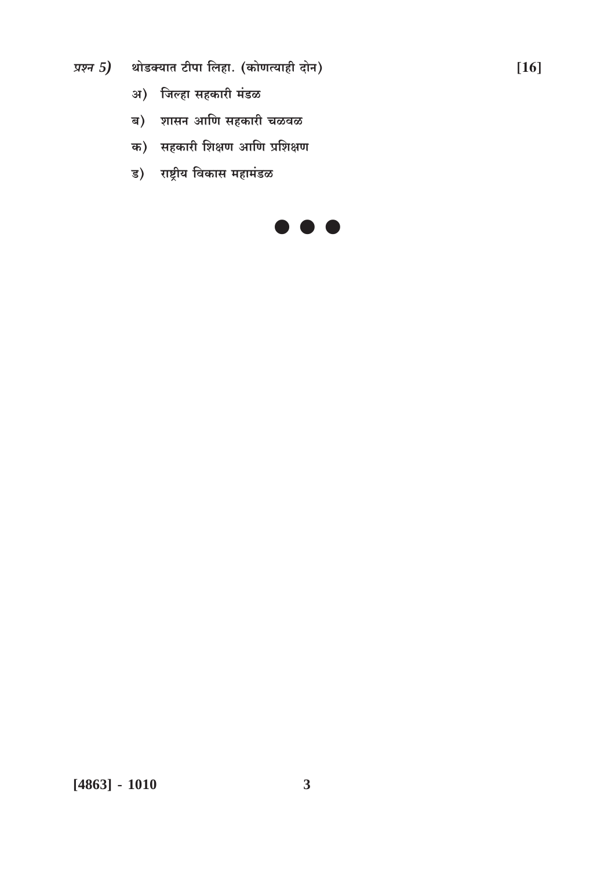## प्रश्न  $5$ ) शोडक्यात टीपा लिहा. (कोणत्याही दोन)

- अ) जिल्हा सहकारी मंडळ
- ब) शासन आणि सहकारी चळवळ
- क) सहकारी शिक्षण आणि प्रशिक्षण
- ड) राष्ट्रीय विकास महामंडळ

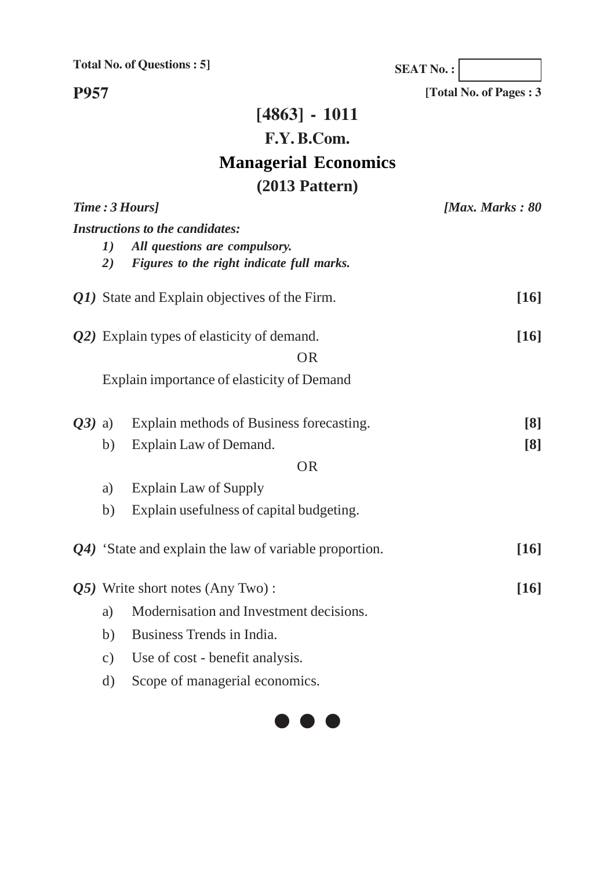**SEAT No. :**

**[Total No. of Pages : 3**

**P957**

# **[4863] - 1011 F.Y. B.Com. Managerial Economics (2013 Pattern)**

|          |               | Time: 3 Hours]                                                                                                       | [Max. Marks: $80$        |
|----------|---------------|----------------------------------------------------------------------------------------------------------------------|--------------------------|
|          | 1)<br>2)      | <b>Instructions to the candidates:</b><br>All questions are compulsory.<br>Figures to the right indicate full marks. |                          |
|          |               | Q1) State and Explain objectives of the Firm.                                                                        | $[16]$                   |
|          |               | Q2) Explain types of elasticity of demand.<br><b>OR</b>                                                              | $[16]$                   |
|          |               | Explain importance of elasticity of Demand                                                                           |                          |
| $Q3)$ a) | b)            | Explain methods of Business forecasting.<br>Explain Law of Demand.                                                   | $\lceil 8 \rceil$<br>[8] |
|          |               | <b>OR</b>                                                                                                            |                          |
|          | a)            | <b>Explain Law of Supply</b>                                                                                         |                          |
|          | b)            | Explain usefulness of capital budgeting.                                                                             |                          |
|          |               | Q4) 'State and explain the law of variable proportion.                                                               | [16]                     |
|          |               | Q5) Write short notes (Any Two):                                                                                     | [16]                     |
|          | a)            | Modernisation and Investment decisions.                                                                              |                          |
|          | b)            | Business Trends in India.                                                                                            |                          |
|          | $\mathbf{c})$ | Use of cost - benefit analysis.                                                                                      |                          |
|          | $\rm d)$      | Scope of managerial economics.                                                                                       |                          |

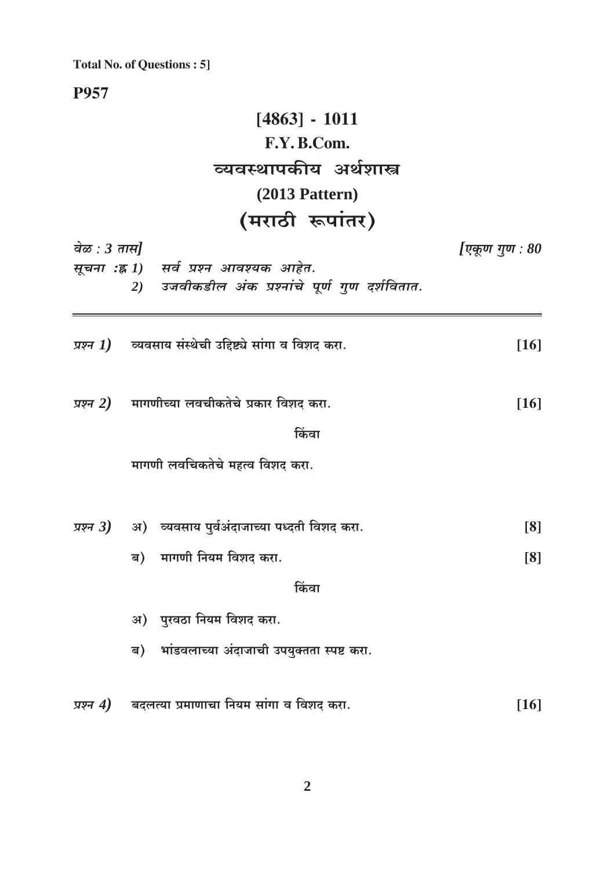**P957** 

# $[4863] - 1011$ F.Y.B.Com. व्यवस्थापकीय अर्थशास्त्र  $(2013$  Pattern) (मराठी रूपांतर)

|              | $\mathbf{v}$ and $\mathbf{v}$ and $\mathbf{v}$                                            |                |
|--------------|-------------------------------------------------------------------------------------------|----------------|
| वेळ : 3 तास] |                                                                                           | [एकूण गुण : 80 |
|              | सूचना :ह्न 1) सर्व प्रश्न आवश्यक आहेत.<br>2) उजवीकडील अंक प्रश्नांचे पूर्ण गुण दर्शवितात. |                |
|              | <i>प्रश्न <math>1</math>)</i> व्यवसाय संस्थेची उद्दिष्ट्ये सांगा व विशद करा.              | $[16]$         |
|              | प्रश्न $2$ ) मागणीच्या लवचीकतेचे प्रकार विशद करा.                                         | $[16]$         |
|              | किंवा                                                                                     |                |
|              | मागणी लवचिकतेचे महत्व विशद करा.                                                           |                |
|              | प्रश्न 3) अ) व्यवसाय पुर्वअंदाजाच्या पध्दती विशद करा.                                     | [8]            |
|              | ब) मागणी नियम विशद करा.                                                                   | [8]            |
|              | किंवा                                                                                     |                |
|              | अ) पुरवठा नियम विशद करा.                                                                  |                |
|              | ब) भांडवलाच्या अंदाजाची उपयुक्तता स्पष्ट करा.                                             |                |
| प्रश्न $4)$  | बदलत्या प्रमाणाचा नियम सांगा व विशद करा.                                                  | $[16]$         |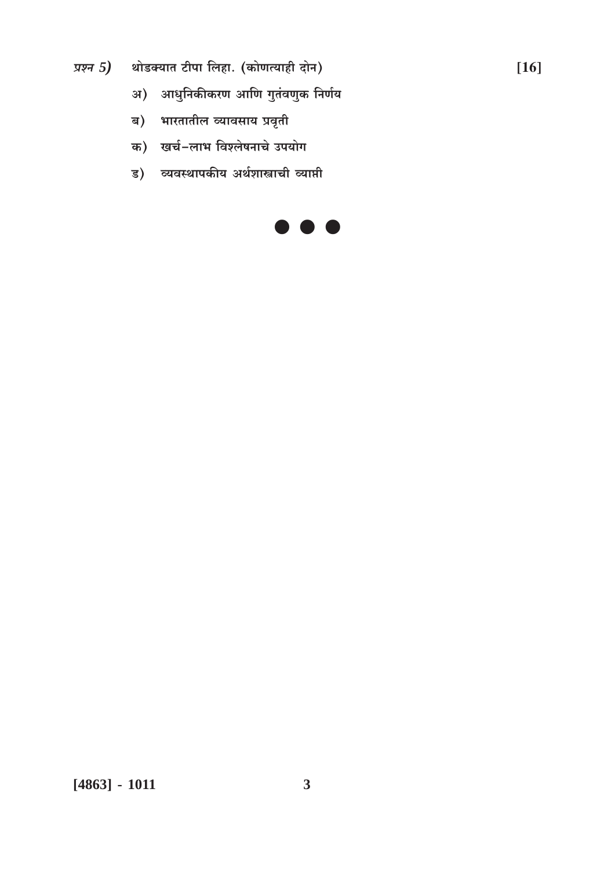प्रश्न  $5$ ) शोडक्यात टीपा लिहा. (कोणत्याही दोन)

- अ) आधुनिकीकरण आणि गुतंवणुक निर्णय
- ब) भारतातील व्यावसाय प्रवृती
- क) खर्च-लाभ विश्लेषनाचे उपयोग
- ड) व्यवस्थापकीय अर्थशास्त्राची व्याप्ती



 $[16]$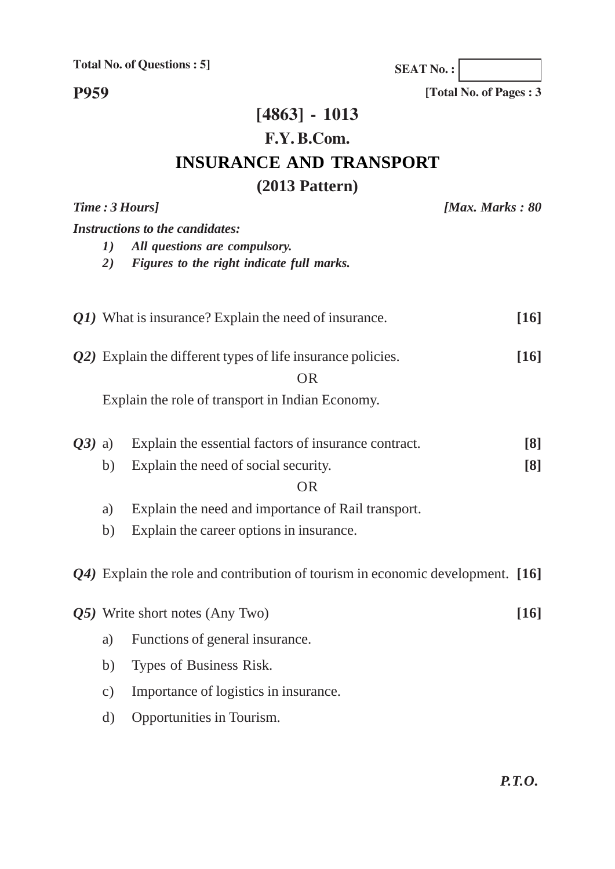**SEAT No. :**

**P959**

**[Total No. of Pages : 3**

## **[4863] - 1013 F.Y. B.Com. INSURANCE AND TRANSPORT (2013 Pattern)**

|          | Time: 3 Hours]<br>[Max. Marks: $80$    |                                                                                    |  |                   |
|----------|----------------------------------------|------------------------------------------------------------------------------------|--|-------------------|
|          | <b>Instructions to the candidates:</b> |                                                                                    |  |                   |
|          | 1)                                     | All questions are compulsory.                                                      |  |                   |
|          | 2)                                     | Figures to the right indicate full marks.                                          |  |                   |
|          |                                        |                                                                                    |  |                   |
|          |                                        | Q1) What is insurance? Explain the need of insurance.                              |  | $[16]$            |
|          |                                        |                                                                                    |  |                   |
|          |                                        | $(22)$ Explain the different types of life insurance policies.                     |  | $[16]$            |
|          |                                        | <b>OR</b>                                                                          |  |                   |
|          |                                        | Explain the role of transport in Indian Economy.                                   |  |                   |
|          |                                        |                                                                                    |  |                   |
| $Q3)$ a) |                                        | Explain the essential factors of insurance contract.                               |  | $\lceil 8 \rceil$ |
|          | b)                                     | Explain the need of social security.                                               |  | [8]               |
|          |                                        | <b>OR</b>                                                                          |  |                   |
|          | a)                                     | Explain the need and importance of Rail transport.                                 |  |                   |
|          | b)                                     | Explain the career options in insurance.                                           |  |                   |
|          |                                        |                                                                                    |  |                   |
|          |                                        | $Q_4$ ) Explain the role and contribution of tourism in economic development. [16] |  |                   |
|          |                                        |                                                                                    |  |                   |
|          |                                        | $Q5$ ) Write short notes (Any Two)                                                 |  | [16]              |
|          | a)                                     | Functions of general insurance.                                                    |  |                   |
|          | b)                                     | Types of Business Risk.                                                            |  |                   |
|          | $\mathbf{c})$                          | Importance of logistics in insurance.                                              |  |                   |
|          |                                        |                                                                                    |  |                   |
|          | $\rm d)$                               | Opportunities in Tourism.                                                          |  |                   |
|          |                                        |                                                                                    |  |                   |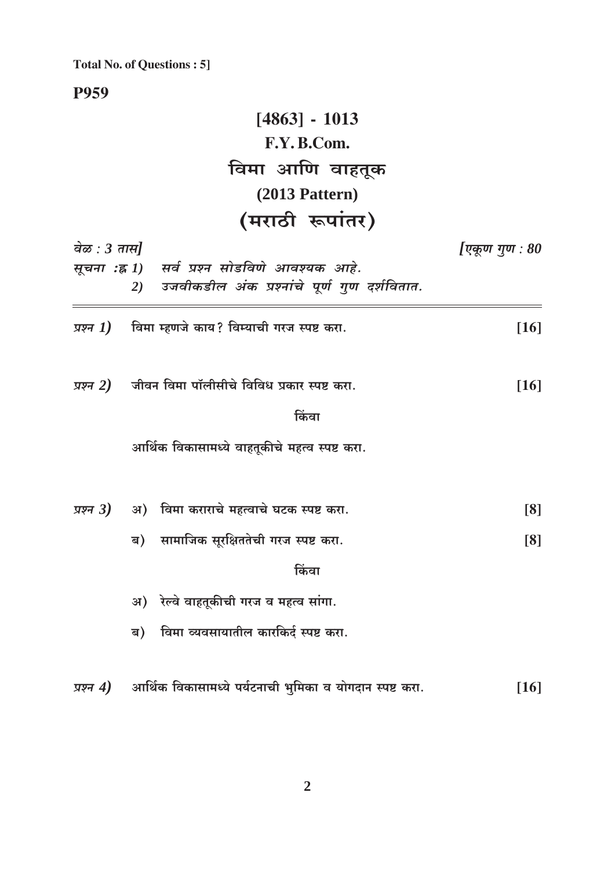P959

|               | $[4863] - 1013$                                                                       |                  |
|---------------|---------------------------------------------------------------------------------------|------------------|
|               | F.Y.B.Com.                                                                            |                  |
|               | विमा आणि वाहतूक                                                                       |                  |
|               | $(2013$ Pattern)                                                                      |                  |
|               | (मराठी रूपांतर)                                                                       |                  |
| वेळ : 3 तास]  |                                                                                       | [एकूण गुण : $80$ |
| सूचना :ह्र 1) | सर्व प्रश्न सोडविणे आवश्यक आहे.<br>उजवीकडील अंक प्रश्नांचे पूर्ण गुण दर्शवितात.<br>2) |                  |
|               | <i>प्रश्न <math>1</math>)</i> विमा म्हणजे काय? विम्याची गरज स्पष्ट करा.               | $[16]$           |
|               | <i>प्रश्न 2)</i> जीवन विमा पॉलीसीचे विविध प्रकार स्पष्ट करा.                          | $[16]$           |
|               | किंवा                                                                                 |                  |
|               | आर्थिक विकासामध्ये वाहतूकीचे महत्व स्पष्ट करा.                                        |                  |
|               | <i>प्रश्न 3</i> ) अ) विमा कराराचे महत्वाचे घटक स्पष्ट करा.                            | [8]              |
|               | ब) सामाजिक सूरक्षिततेची गरज स्पष्ट करा.                                               | [8]              |
|               | किंवा                                                                                 |                  |
|               | अ) रेल्वे वाहतूकीची गरज व महत्व सांगा.                                                |                  |
|               | विमा व्यवसायातील कारकिर्द स्पष्ट करा.<br>ब)                                           |                  |
| प्रश्न $4)$   | आर्थिक विकासामध्ये पर्यटनाची भुमिका व योगदान स्पष्ट करा.                              | $[16]$           |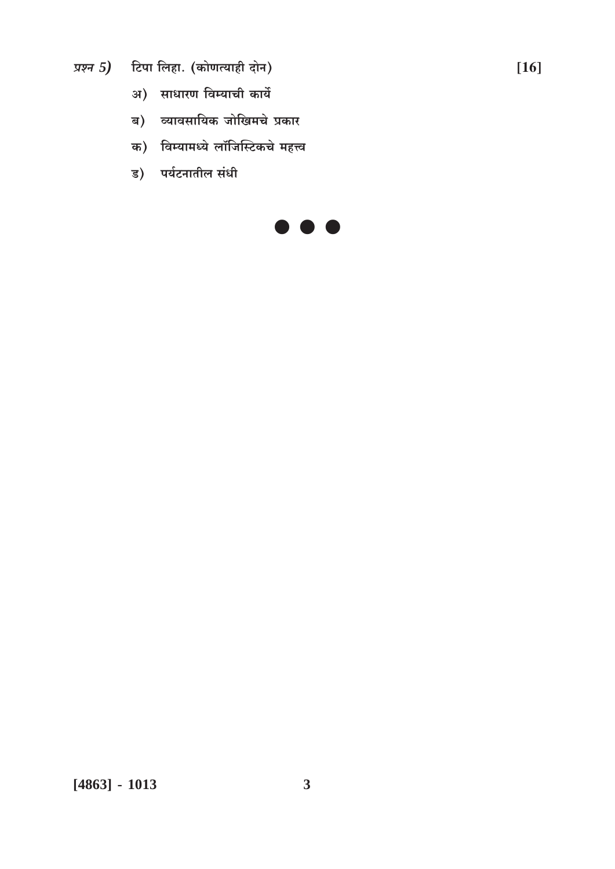- प्रश्न 5) टिपा लिहा. (कोणत्याही दोन)
	- अ) साधारण विम्याची कार्ये
	- ब) व्यावसायिक जोखिमचे प्रकार
	- क) विम्यामध्ये लॉजिस्टिकचे महत्त्व
	- ड) पर्यटनातील संधी

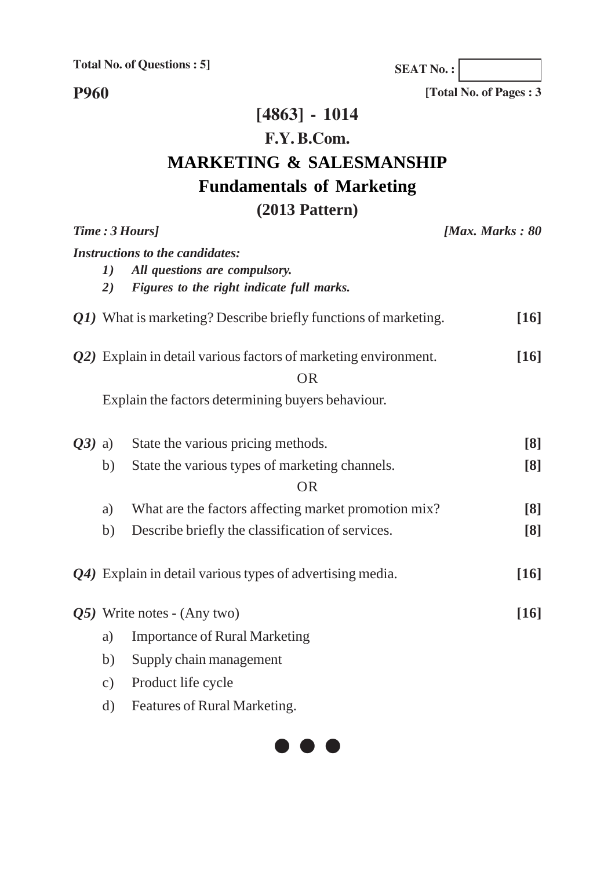**SEAT No. :**

**P960**

**[Total No. of Pages : 3**

## **[4863] - 1014**

## **F.Y. B.Com.**

# **MARKETING & SALESMANSHIP**

## **Fundamentals of Marketing**

## **(2013 Pattern)**

| Time: 3 Hours] |                         | [Max. Marks: $80$                                                                                                    |                   |
|----------------|-------------------------|----------------------------------------------------------------------------------------------------------------------|-------------------|
|                | $\boldsymbol{I})$<br>2) | <b>Instructions to the candidates:</b><br>All questions are compulsory.<br>Figures to the right indicate full marks. |                   |
|                |                         | Q1) What is marketing? Describe briefly functions of marketing.                                                      | [16]              |
|                |                         | $Q2$ ) Explain in detail various factors of marketing environment.<br><b>OR</b>                                      | $[16]$            |
|                |                         | Explain the factors determining buyers behaviour.                                                                    |                   |
| $Q3)$ a)       |                         | State the various pricing methods.                                                                                   | [8]               |
|                | b)                      | State the various types of marketing channels.                                                                       | $\lceil 8 \rceil$ |
|                |                         | <b>OR</b>                                                                                                            |                   |
|                | a)                      | What are the factors affecting market promotion mix?                                                                 | [8]               |
|                | b)                      | Describe briefly the classification of services.                                                                     | [8]               |
|                |                         | Q4) Explain in detail various types of advertising media.                                                            | [16]              |
|                |                         | $Q5$ ) Write notes - (Any two)                                                                                       | [16]              |
|                | a)                      | <b>Importance of Rural Marketing</b>                                                                                 |                   |
|                | b)                      | Supply chain management                                                                                              |                   |
|                | $\mathbf{c})$           | Product life cycle                                                                                                   |                   |
|                | $\mathrm{d}$            | Features of Rural Marketing.                                                                                         |                   |
|                |                         |                                                                                                                      |                   |

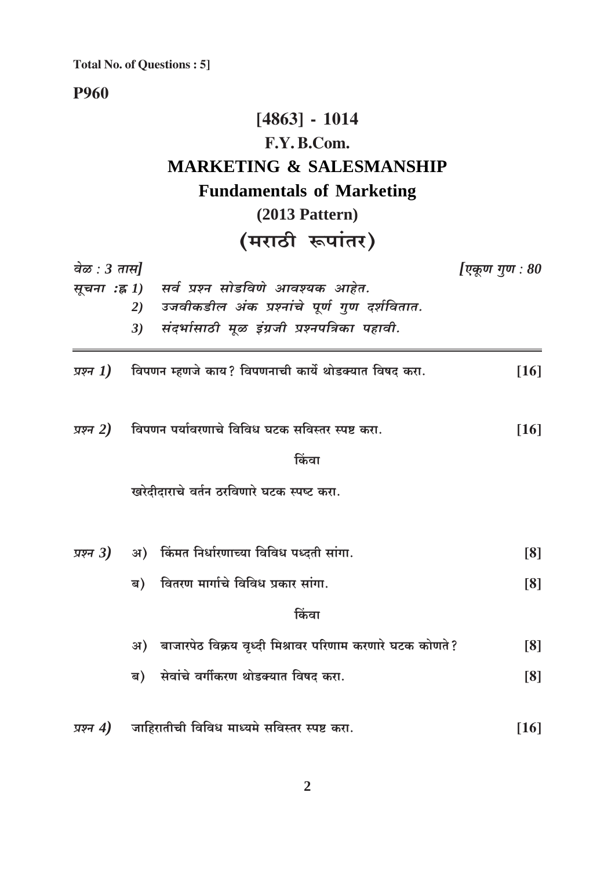## **P960**

# $[4863] - 1014$ F.Y.B.Com. **MARKETING & SALESMANSHIP Fundamentals of Marketing**  $(2013$  Pattern) (मराठी रूपांतर)

| वेळ : $3 \pi \overline{\pi}$ |                                                             | [एकूण गुण : 80     |  |
|------------------------------|-------------------------------------------------------------|--------------------|--|
| सूचना :ह्र $\bm{l})$         | सर्व प्रश्न सोडविणे आवश्यक आहेत.                            |                    |  |
|                              | उजवीकडील अंक प्रश्नांचे पूर्ण गुण दर्शवितात.<br>2)          |                    |  |
|                              | संदर्भासाठी मूळ इंग्रजी प्रश्नपत्रिका पहावी.<br>3)          |                    |  |
| प्रश्न 1)                    | विपणन म्हणजे काय? विपणनाची कार्ये थोडक्यात विषद करा.        | $[16]$             |  |
| प्रश्न 2)                    | विपणन पर्यावरणाचे विविध घटक सविस्तर स्पष्ट करा.             | $[16]$             |  |
|                              | किंवा                                                       |                    |  |
|                              | खरेदीदाराचे वर्तन ठरविणारे घटक स्पष्ट करा.                  |                    |  |
|                              | प्रश्न 3) अ) किंमत निर्धारणाच्या विविध पध्दती सांगा.        | $\lceil 8 \rceil$  |  |
|                              | ब) वितरण मार्गाचे विविध प्रकार सांगा.                       | [8]                |  |
|                              | किंवा                                                       |                    |  |
|                              | अ) बाजारपेठ विक्रय वृध्दी मिश्रावर परिणाम करणारे घटक कोणते? | [8]                |  |
|                              | ब) सेवांचे वर्गीकरण थोडक्यात विषद करा.                      | [8]                |  |
| प्रश्न $4)$                  | जाहिरातीची विविध माध्यमे सविस्तर स्पष्ट करा.                | $\lceil 16 \rceil$ |  |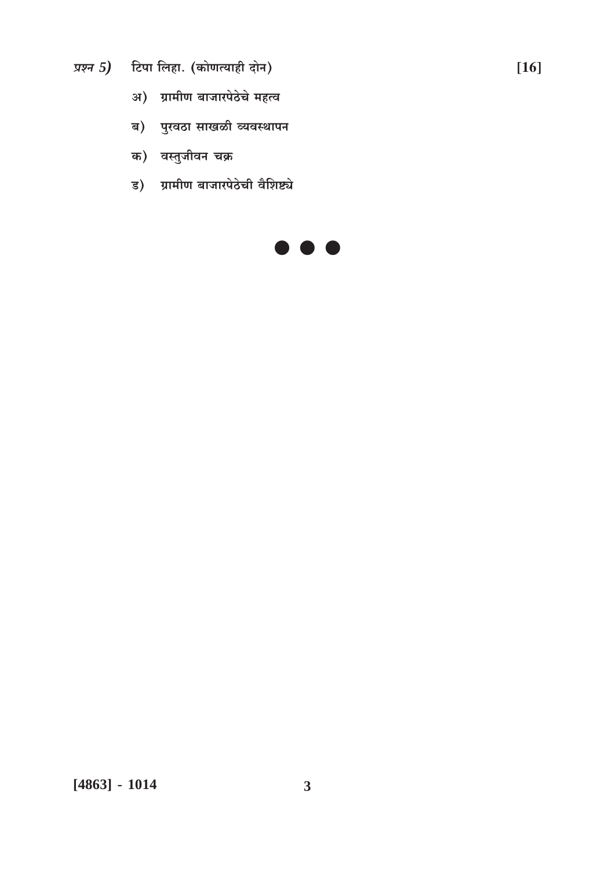- प्रश्न 5) टिपा लिहा. (कोणत्याही दोन)
	- अ) ग्रामीण बाजारपेठेचे महत्व
	- ब) पुरवठा साखळी व्यवस्थापन
	- क) वस्तुजीवन चक्र
	- ड) ग्रामीण बाजारपेठेची वैशिष्ट्ये

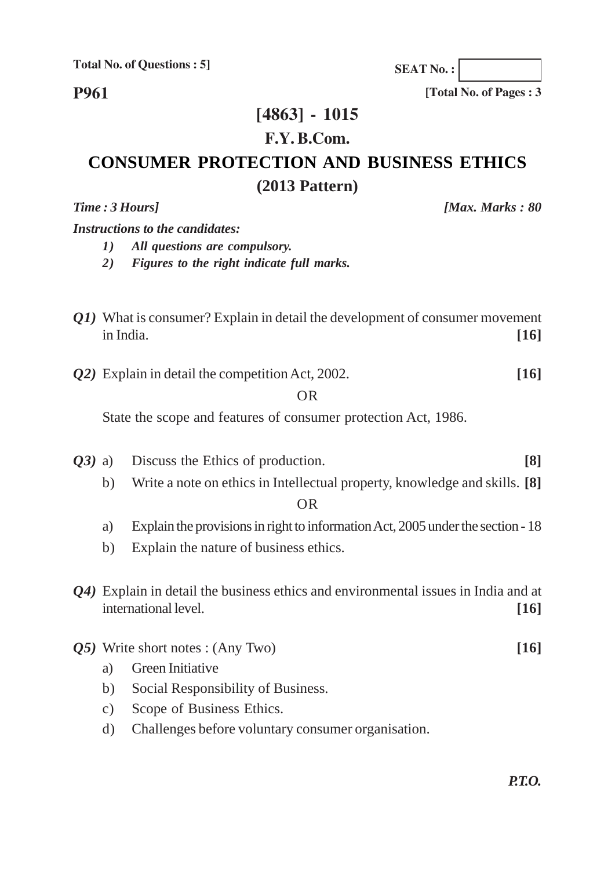**P961**

## **[4863] - 1015**

### **F.Y. B.Com.**

## **CONSUMER PROTECTION AND BUSINESS ETHICS (2013 Pattern)**

*Time : 3 Hours] [Max. Marks : 80*

*Instructions to the candidates:*

- *1) All questions are compulsory.*
- *2) Figures to the right indicate full marks.*
- *Q1)* What is consumer? Explain in detail the development of consumer movement in India. **[16]**
- *Q2)* Explain in detail the competition Act, 2002. **[16]**

#### OR

State the scope and features of consumer protection Act, 1986.

- *Q3)* a) Discuss the Ethics of production. **[8]**
	- b) Write a note on ethics in Intellectual property, knowledge and skills. **[8]** OR
		-
	- a) Explain the provisions in right to information Act, 2005 under the section 18
	- b) Explain the nature of business ethics.
- *Q4)* Explain in detail the business ethics and environmental issues in India and at international level. **[16]**
- *Q5)* Write short notes : (Any Two) **[16]**
	- a) Green Initiative
	- b) Social Responsibility of Business.
	- c) Scope of Business Ethics.
	- d) Challenges before voluntary consumer organisation.

**SEAT No. :**

**[Total No. of Pages : 3**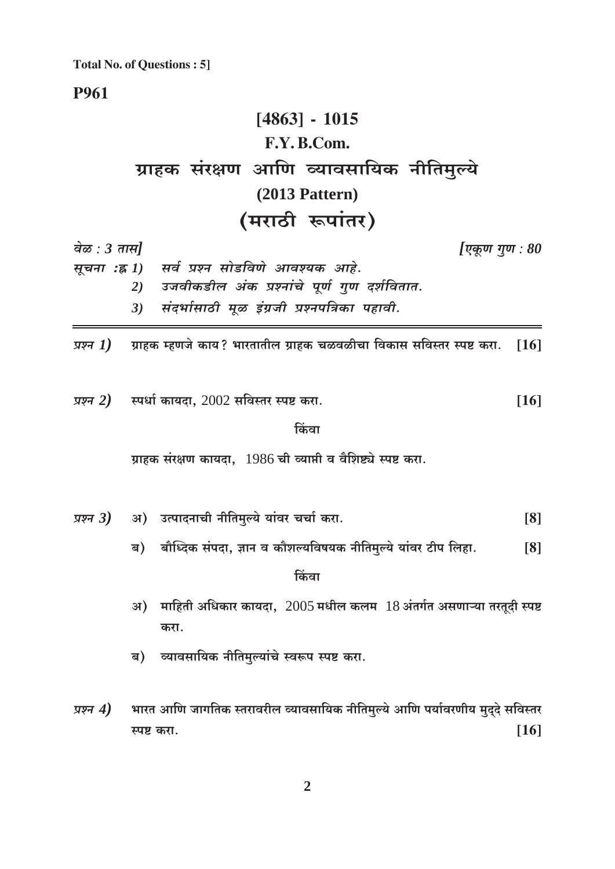**P961** 

# $[4863] - 1015$ F.Y.B.Com. ग्राहक संरक्षण आणि व्यावसायिक नीतिमुल्ये  $(2013$  Pattern) (मराठी रूपांतर)

वेळ :  $3 \pi \pi l$ 

[एकूण गूण :  $80$ 

सूचना :ह्र 1) सर्व प्रश्न सोडविणे आवश्यक आहे. उजवीकडील अंक प्रश्नांचे पूर्ण गुण दर्शवितात.  $2)$ संदर्भासाठी मूळ इंग्रजी प्रश्नपत्रिका पहावी.  $3)$ 

ग्राहक म्हणजे काय? भारतातील ग्राहक चळवळीचा विकास सविस्तर स्पष्ट करा. प्रश्न  $1)$  $\lceil 16 \rceil$ 

प्रश्न 2) स्पर्धा कायदा,  $2002$  सविस्तर स्पष्ट करा.  $[16]$ 

#### किंवा

ग्राहक संरक्षण कायदा. 1986 ची व्याप्ती व वैशिष्ट्ये स्पष्ट करा.

- अ) उत्पादनाची नीतिमुल्ये यांवर चर्चा करा. प्रश्न $3)$  $[8]$ 
	- ब) बौध्दिक संपदा, ज्ञान व कौशल्यविषयक नीतिमुल्ये यांवर टीप लिहा.  $\lceil 8 \rceil$

किंवा

- अ) माहिती अधिकार कायदा,  $2005$  मधील कलम  $18$  अंतर्गत असणाऱ्या तरतूदी स्पष्ट करा.
- ब) व्यावसायिक नीतिमुल्यांचे स्वरूप स्पष्ट करा.
- भारत आणि जागतिक स्तरावरील व्यावसायिक नीतिमुल्ये आणि पर्यावरणीय मुद्दे सविस्तर प्रश्न  $4)$  $[16]$ स्पष्ट करा.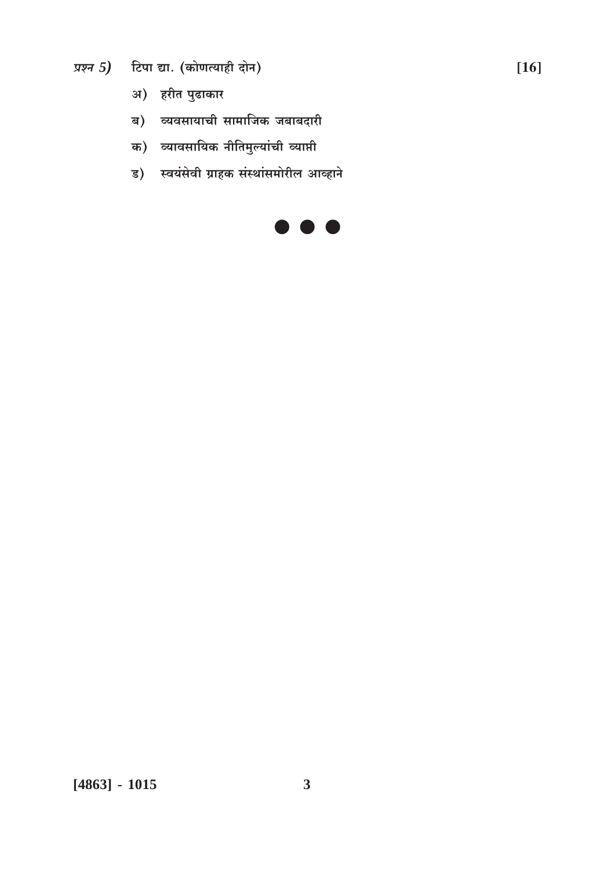- प्रश्न 5) टिपा द्या. (कोणत्याही दोन)
	- अ) हरीत पुढाकार
	- ब) व्यवसायाची सामाजिक जबाबदारी
	- क) व्यावसायिक नीतिमुल्यांची व्याप्ती
	- ड) स्वयंसेवी ग्राहक संस्थांसमोरील आव्हाने

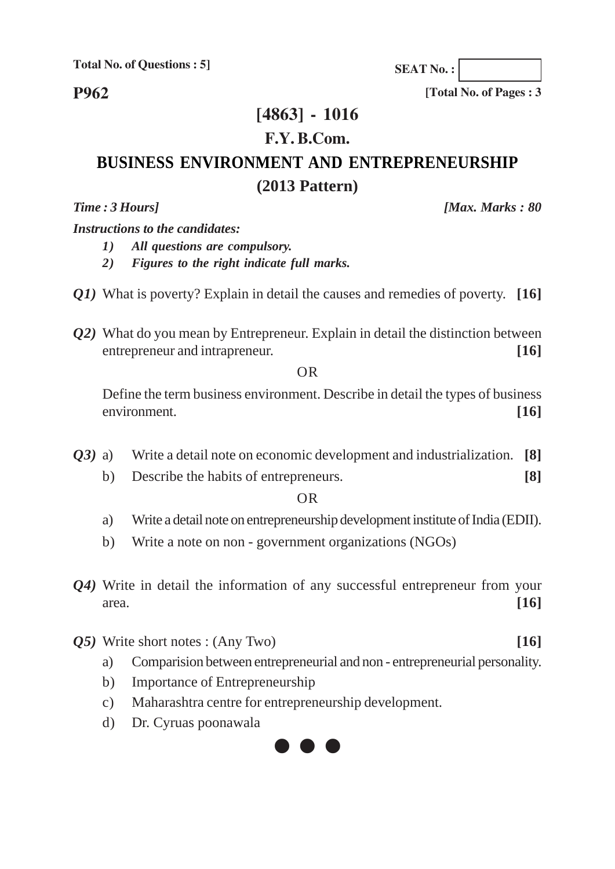**Total No. of Questions : 5]**

**P962**

### **[4863] - 1016**

#### **F.Y. B.Com.**

### **BUSINESS ENVIRONMENT AND ENTREPRENEURSHIP (2013 Pattern)**

*Time : 3 Hours] [Max. Marks : 80*

*Instructions to the candidates:*

- *1) All questions are compulsory.*
- *2) Figures to the right indicate full marks.*
- *Q1)* What is poverty? Explain in detail the causes and remedies of poverty. **[16]**
- *Q2)* What do you mean by Entrepreneur. Explain in detail the distinction between entrepreneur and intrapreneur. **[16]** [16]

OR

Define the term business environment. Describe in detail the types of business environment. **[16]**

- *Q3)* a) Write a detail note on economic development and industrialization. **[8]**
	- b) Describe the habits of entrepreneurs. **[8]**

OR

- a) Write a detail note on entrepreneurship development institute of India (EDII).
- b) Write a note on non government organizations (NGOs)
- *Q4)* Write in detail the information of any successful entrepreneur from your area. **[16]**
- *Q5)* Write short notes : (Any Two) **[16]**
	- a) Comparision between entrepreneurial and non entrepreneurial personality.
	- b) Importance of Entrepreneurship
	- c) Maharashtra centre for entrepreneurship development.
	- d) Dr. Cyruas poonawala



**SEAT No. :**

**[Total No. of Pages : 3**

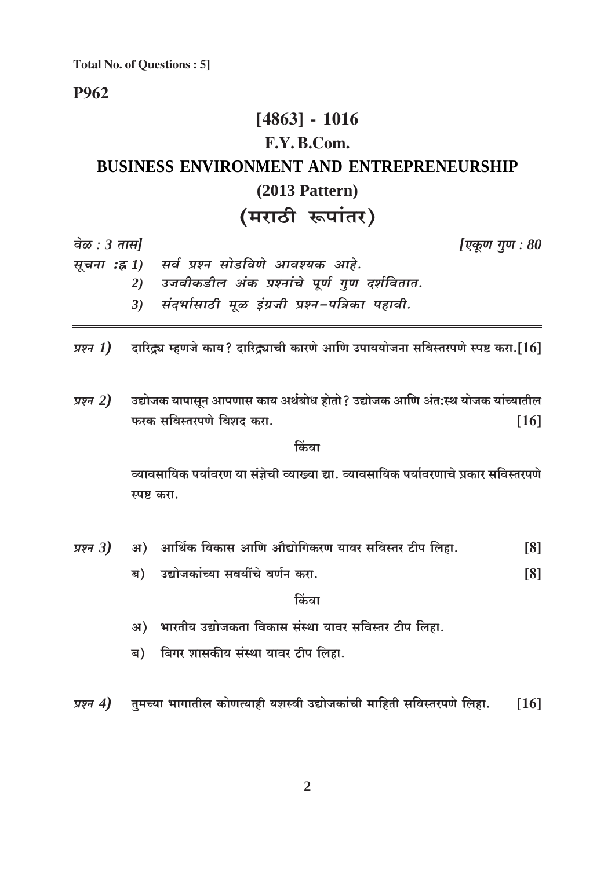**Total No. of Questions: 5]** 

P962

### $[4863] - 1016$ F.Y. B.Com. **BUSINESS ENVIRONMENT AND ENTREPRENEURSHIP**  $(2013$  Pattern) (मराठी रूपांतर)

वेळ :  $3 \pi \mathcal{H}$ 

[एकूण गुण : 80

| सूचना :ह्र 1) सर्व प्रश्न सोडविणे आवश्यक आहे.    |
|--------------------------------------------------|
| 2) उजवीकडील अंक प्रश्नांचे पूर्ण गुण दर्शवितात   |
| 3) संदर्भासाठी मूळ इंग्रजी प्रश्न-पत्रिका पहावी. |

- दारिद्र्य म्हणजे काय? दारिद्र्याची कारणे आणि उपाययोजना सविस्तरपणे स्पष्ट करा.[16] प्रश्न 1)
- उद्योजक यापासून आपणास काय अर्थबोध होतो ? उद्योजक आणि अंत:स्थ योजक यांच्यातील प्रश्न  $2)$ फरक सविस्तरपणे विशद करा.  $[16]$

किंवा

व्यावसायिक पर्यावरण या संज्ञेची व्याख्या द्या. व्यावसायिक पर्यावरणाचे प्रकार सविस्तरपणे स्पष्ट करा.

- अ) आर्थिक विकास आणि औद्योगिकरण यावर सविस्तर टीप लिहा. प्रश्न $3)$  $\lceil 8 \rceil$ 
	- ब) उद्योजकांच्या सवयींचे वर्णन करा.  $[8]$

किंवा

- अ) भारतीय उद्योजकता विकास संस्था यावर सविस्तर टीप लिहा.
- ब) बिगर शासकीय संस्था यावर टीप लिहा.
- तुमच्या भागातील कोणत्याही यशस्वी उद्योजकांची माहिती सविस्तरपणे लिहा. प्रश्न  $4)$  $[16]$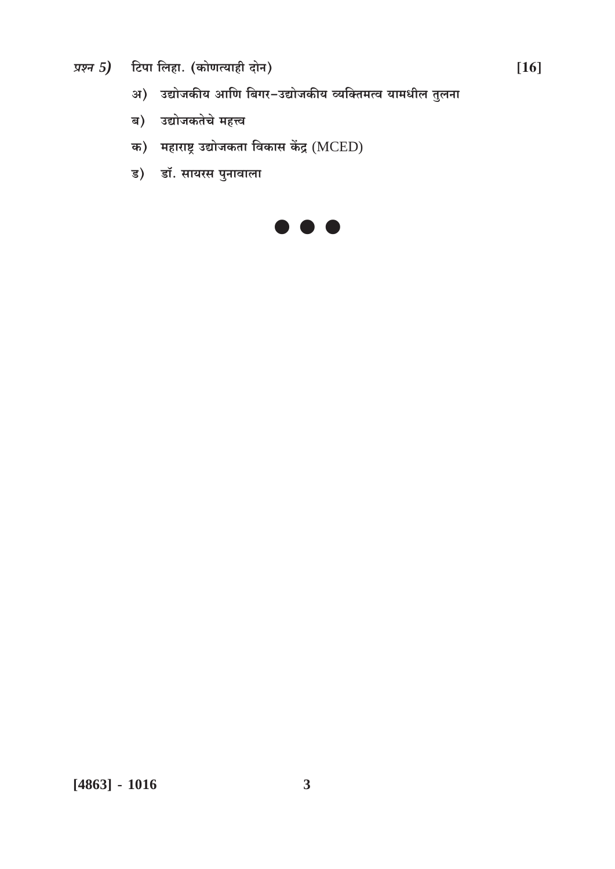- प्रश्न 5) टिपा लिहा. (कोणत्याही दोन)
	- अ) उद्योजकीय आणि बिगर-उद्योजकीय व्यक्तिमत्व यामधील तुलना
	- ब) उद्योजकतेचे महत्त्व
	- क) महाराष्ट्र उद्योजकता विकास केंद्र (MCED)
	- ड) डॉ. सायरस पुनावाला



 $[4863] - 1016$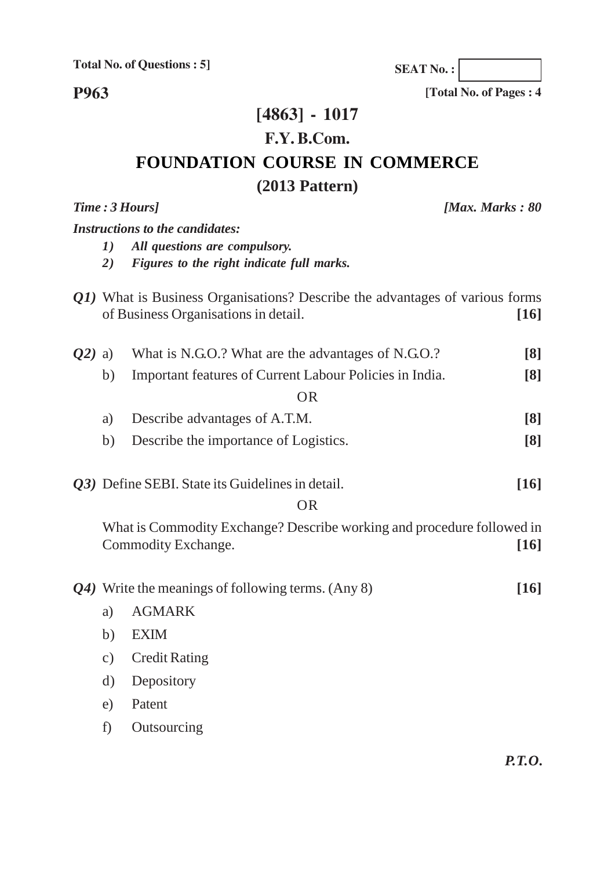**Total No. of Questions : 5]**

**P963**

### **[4863] - 1017 F.Y. B.Com.**

### **FOUNDATION COURSE IN COMMERCE (2013 Pattern)**

## *Time : 3 Hours] [Max. Marks : 80 Instructions to the candidates: 1) All questions are compulsory. 2) Figures to the right indicate full marks. Q1)* What is Business Organisations? Describe the advantages of various forms of Business Organisations in detail. **[16]** *Q2)* a) What is N.G.O.? What are the advantages of N.G.O.? **[8]** b) Important features of Current Labour Policies in India. **[8]** OR a) Describe advantages of A.T.M. **[8]** b) Describe the importance of Logistics. **[8]** *Q3)* Define SEBI. State its Guidelines in detail. **[16]** OR What is Commodity Exchange? Describe working and procedure followed in Commodity Exchange. **[16]** *Q4)* Write the meanings of following terms. (Any 8) **[16]** a) AGMARK b) EXIM c) Credit Rating d) Depository

- e) Patent
- f) Outsourcing

*P.T.O.*

**SEAT No. :**

**[Total No. of Pages : 4**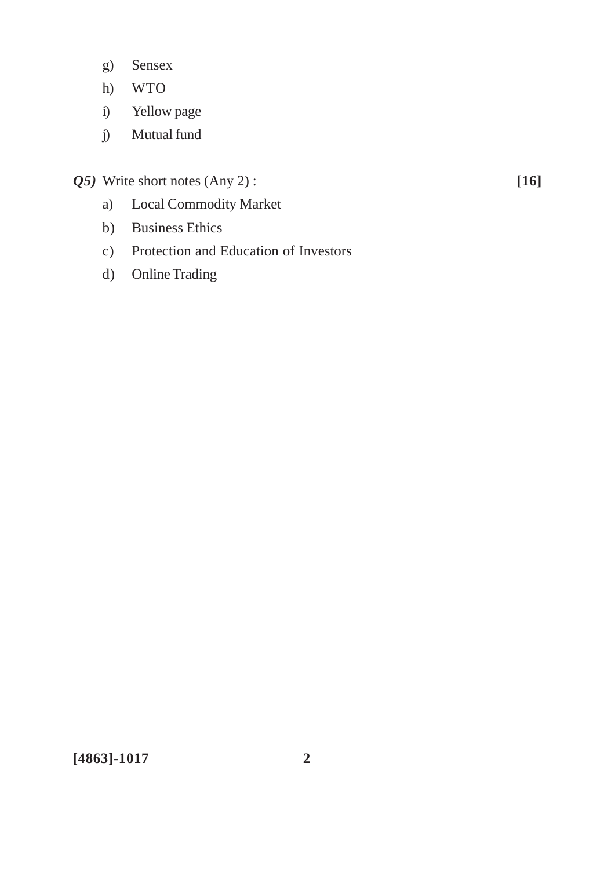- g) Sensex
- h) WTO
- i) Yellow page
- j) Mutual fund
- *Q5)* Write short notes (Any 2) : **[16]**

- a) Local Commodity Market
- b) Business Ethics
- c) Protection and Education of Investors
- d) Online Trading

**[4863]-1017 2**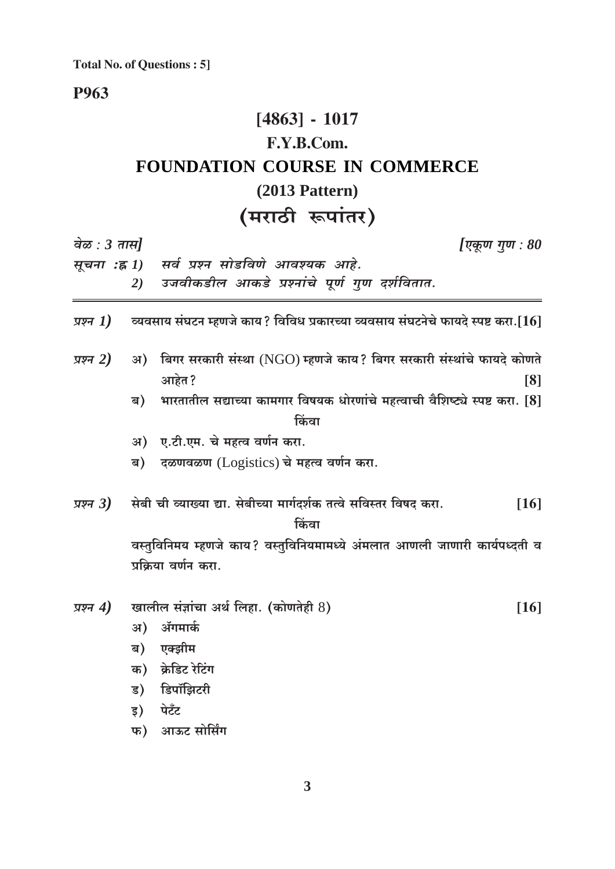**Total No. of Questions: 5]** 

### **P963**

### $[4863] - 1017$ F.Y.B.Com. FOUNDATION COURSE IN COMMERCE  $(2013$  Pattern) (मराठी रूपांतर)

| वेळ : $3 \pi \overline{n}$ |    |                                                                                                                                    | [एकूण गुण : 80     |
|----------------------------|----|------------------------------------------------------------------------------------------------------------------------------------|--------------------|
|                            |    | सूचना :ह्र 1) सर्व प्रश्न सोडविणे आवश्यक आहे.                                                                                      |                    |
|                            | 2) | उजवीकडील आकडे प्रश्नांचे पूर्ण गुण दर्शवितात.                                                                                      |                    |
|                            |    | <i>प्रश्न <math>\bm{I})</math>     व्य</i> वसाय संघटन म्हणजे काय? विविध प्रकारच्या व्यवसाय संघटनेचे फायदे स्पष्ट करा.[ $\bm{16}$ ] |                    |
| प्रश्न 2)                  |    | अ) बिगर सरकारी संस्था (NGO) म्हणजे काय? बिगर सरकारी संस्थांचे फायदे कोणते                                                          |                    |
|                            |    | आहेत?                                                                                                                              | $\lceil 8 \rceil$  |
|                            | ब) | भारतातील सद्याच्या कामगार विषयक धोरणांचे महत्वाची वैशिष्ट्ये स्पष्ट करा. [8]                                                       |                    |
|                            |    | किंवा                                                                                                                              |                    |
|                            |    | अ) ए.टी.एम. चे महत्व वर्णन करा.                                                                                                    |                    |
|                            |    | ब) दळणवळण (Logistics) चे महत्व वर्णन करा.                                                                                          |                    |
| प्रश्न $3)$                |    | सेबी ची व्याख्या द्या. सेबीच्या मार्गदर्शक तत्वे सविस्तर विषद करा.<br>किंवा                                                        | $[16]$             |
|                            |    | वस्तुविनिमय म्हणजे काय? वस्तुविनियमामध्ये अंमलात आणली जाणारी कार्यपध्दती व                                                         |                    |
|                            |    | प्रक्रिया वर्णन करा.                                                                                                               |                    |
| प्रश्न $4)$                |    | खालील संज्ञांचा अर्थ लिहा. (कोणतेही 8)                                                                                             | $\lceil 16 \rceil$ |
|                            | अ) | ॲगमार्क                                                                                                                            |                    |
|                            |    | ब) एक्झीम                                                                                                                          |                    |
|                            |    | क) क्रेडिट रेटिंग                                                                                                                  |                    |
|                            |    | ड) डिपॉझिटरी                                                                                                                       |                    |
|                            | इ) | पेटँट                                                                                                                              |                    |

फ) आऊट सोर्सिंग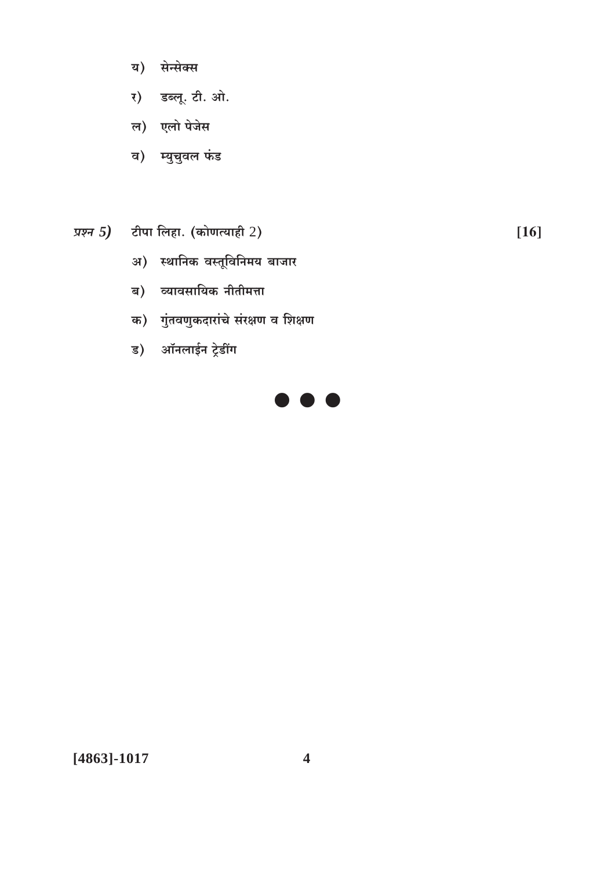- य) सेन्सेक्स
- र) डब्लू. टी. ओ.
- ल) एलो पेजेस
- व) म्युचुवल फंड
- प्रश्न  $5$ ) टीपा लिहा. (कोणत्याही  $2$ )

 $[16]$ 

- अ) स्थानिक वस्तूविनिमय बाजार
- ब) व्यावसायिक नीतीमत्ता
- क) गुंतवणुकदारांचे संरक्षण व शिक्षण
- ड) ऑनलाईन ट्रेडींग



 $[4863]-1017$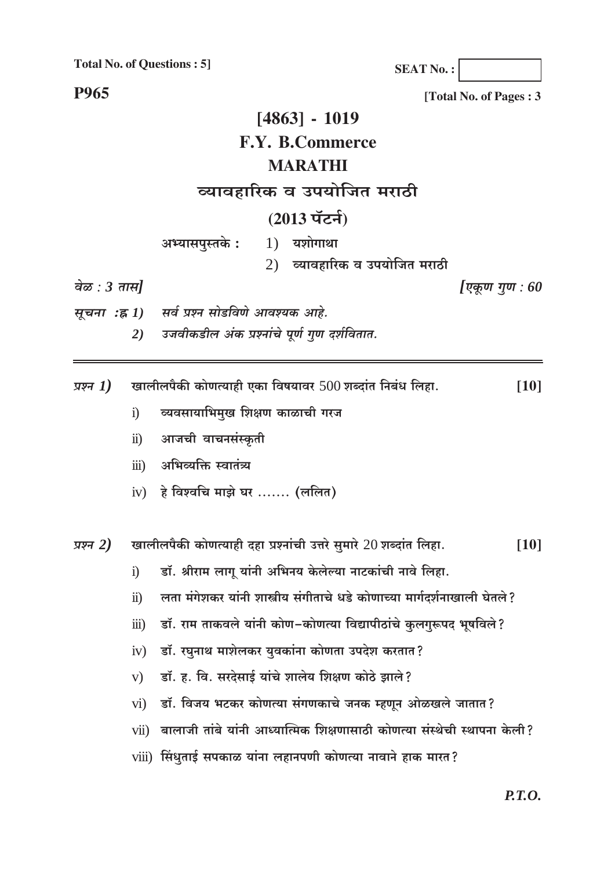**Total No. of Questions: 51** 

**SEAT No.:** 

**P965** 

वेळ :  $3 \pi \mathcal{H}$ 

[Total No. of Pages: 3

### $[4863] - 1019$ **F.Y. B.Commerce MARATHI** व्यावहारिक व उपयोजित मराठी (2013 पॅटर्न)  $1)$  यशोगाथा अभ्यासपुस्तके: 2) व्यावहारिक व उपयोजित मराठी [एकूण गूण :  $60$ सर्व प्रश्न सोडविणे आवश्यक आहे.

सूचना :ह्र 1) उजवीकडील अंक प्रश्नांचे पूर्ण गुण दर्शवितात.  $2)$ 

खालीलपैकी कोणत्याही एका विषयावर 500 शब्दांत निबंध लिहा. प्रश्न  $1)$  $[10]$ 

- व्यवसायाभिमुख शिक्षण काळाची गरज  $\ddot{1}$
- आजची वाचनसंस्कृती  $\ddot{\textbf{i}}$
- अभिव्यक्ति स्वातंत्र्य  $\dddot{\mathbf{u}}$
- iv) हे विश्वचि माझे घर ....... (ललित)

खालीलपैकी कोणत्याही दहा प्रश्नांची उत्तरे सुमारे 20 शब्दांत लिहा. प्रश्न 2)  $[10]$ 

- डॉ. श्रीराम लागू यांनी अभिनय केलेल्या नाटकांची नावे लिहा.  $\overline{1}$
- लता मंगेशकर यांनी शास्त्रीय संगीताचे धडे कोणाच्या मार्गदर्शनाखाली घेतले?  $\ddot{u}$
- डॉ. राम ताकवले यांनी कोण-कोणत्या विद्यापीठांचे कुलगुरूपद भूषविले?  $\dddot{\mathbf{m}}$ )
- डॉ. रघुनाथ माशेलकर युवकांना कोणता उपदेश करतात?  $iv)$
- डॉ. ह. वि. सरदेसाई यांचे शालेय शिक्षण कोठे झाले?  $V)$
- डॉ. विजय भटकर कोणत्या संगणकाचे जनक म्हणून ओळखले जातात?  $\overline{vi}$
- vii) बालाजी तांबे यांनी आध्यात्मिक शिक्षणासाठी कोणत्या संस्थेची स्थापना केली?
- viii) सिंधृताई सपकाळ यांना लहानपणी कोणत्या नावाने हाक मारत?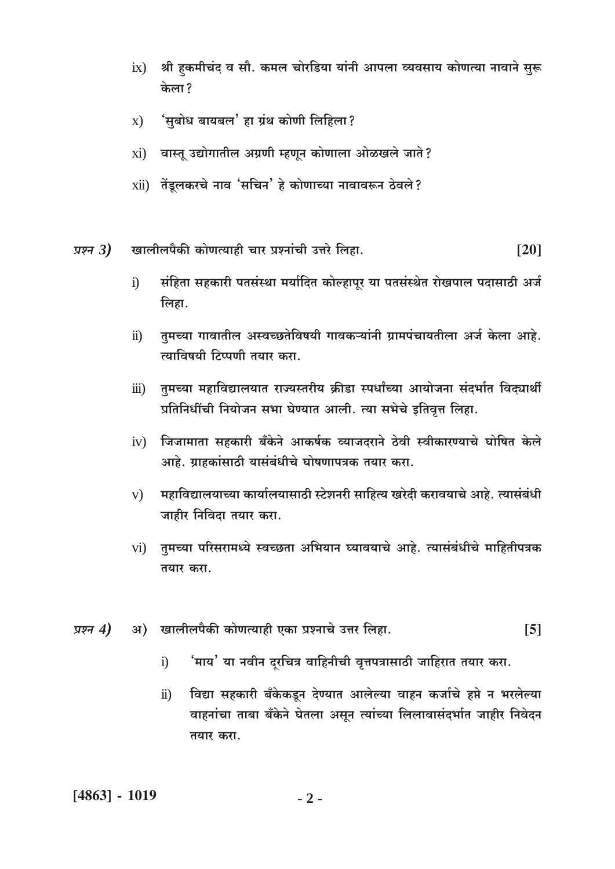- श्री हकमीचंद व सौ. कमल चोरडिया यांनी आपला व्यवसाय कोणत्या नावाने सुरू  $ix)$ केला?
- 'सबोध बायबल' हा ग्रंथ कोणी लिहिला?  $\mathbf{x}$ )
- वास्तु उद्योगातील अग्रणी म्हणून कोणाला ओळखले जाते?  $xi)$
- xii) तेंडूलकरचे नाव 'सचिन' हे कोणाच्या नावावरून ठेवले?
- खालीलपैकी कोणत्याही चार प्रश्नांची उत्तरे लिहा. प्रश्न  $3)$  $\lceil 20 \rceil$ 
	- संहिता सहकारी पतसंस्था मर्यादित कोल्हापूर या पतसंस्थेत रोखपाल पदासाठी अर्ज  $\ddot{1}$ लिहा.
	- तुमच्या गावातील अस्वच्छतेविषयी गावकऱ्यांनी ग्रामपंचायतीला अर्ज केला आहे.  $\ddot{\mathbf{n}}$ ) त्याविषयी टिप्पणी तयार करा.
	- तुमच्या महाविद्यालयात राज्यस्तरीय क्रीडा स्पर्धांच्या आयोजना संदर्भात विद्यार्थी  $\dddot{\mathbf{m}}$ ) प्रतिनिधींची नियोजन सभा घेण्यात आली. त्या सभेचे इतिवृत्त लिहा.
	- जिजामाता सहकारी बँकेने आकर्षक व्याजदराने ठेवी स्वीकारण्याचे घोषित केले  $iv)$ आहे. ग्राहकांसाठी यासंबंधीचे घोषणापत्रक तयार करा.
	- महाविद्यालयाच्या कार्यालयासाठी स्टेशनरी साहित्य खरेदी करावयाचे आहे. त्यासंबंधी  $V)$ जाहीर निविदा तयार करा.
	- तुमच्या परिसरामध्ये स्वच्छता अभियान घ्यावयाचे आहे. त्यासंबंधीचे माहितीपत्रक  $\overline{vi}$ तयार करा.
- अ) खालीलपैकी कोणत्याही एका प्रश्नाचे उत्तर लिहा.  $\overline{5}$ प्रश्न  $4)$ 
	- <sup>'</sup>माय' या नवीन दरचित्र वाहिनीची वृत्तपत्रासाठी जाहिरात तयार करा.  $\ddot{1}$
	- विद्या सहकारी बँकेकडून देण्यात आलेल्या वाहन कर्जाचे हप्ते न भरलेल्या  $\ddot{\textbf{i}}$ वाहनांचा ताबा बँकेने घेतला असून त्यांच्या लिलावासंदर्भात जाहीर निवेदन तयार करा.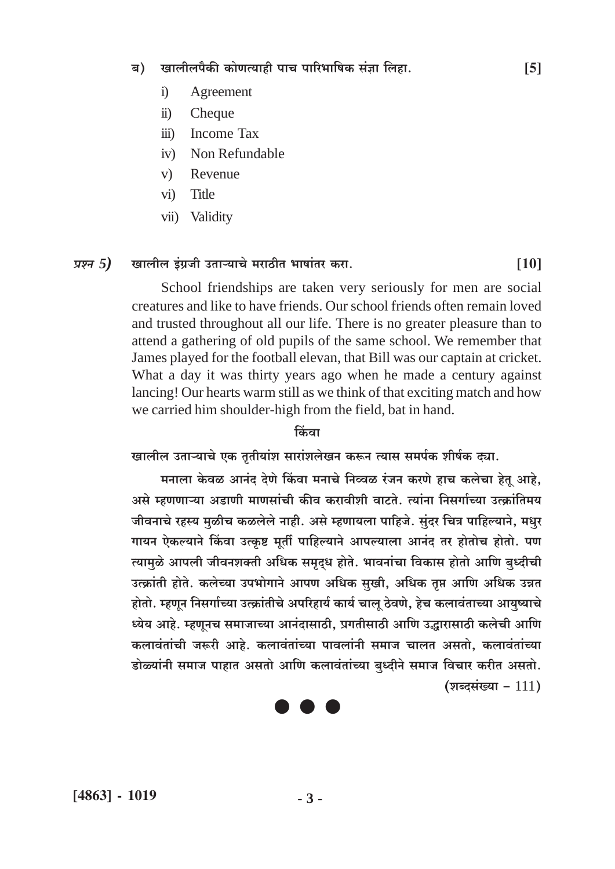#### खालीलपैकी कोणत्याही पाच पारिभाषिक संज्ञा लिहा. ब)

- Agreement  $i)$
- $\ddot{\textbf{i}}$ Cheque
- $\dddot{\mathbf{m}}$ **Income Tax**
- Non Refundable  $iv)$
- $V)$ Revenue
- $\overline{vi}$ **Title**
- Validity  $vii)$

#### प्रश्न 5) खालील इंग्रजी उताऱ्याचे मराठीत भाषांतर करा.

School friendships are taken very seriously for men are social creatures and like to have friends. Our school friends often remain loved and trusted throughout all our life. There is no greater pleasure than to attend a gathering of old pupils of the same school. We remember that James played for the football elevan, that Bill was our captain at cricket. What a day it was thirty years ago when he made a century against lancing! Our hearts warm still as we think of that exciting match and how we carried him shoulder-high from the field, bat in hand.

#### किंवा

खालील उताऱ्याचे एक तृतीयांश सारांशलेखन करून त्यास समर्पक शीर्षक द्या.

मनाला केवळ आनंद देणे किंवा मनाचे निव्वळ रंजन करणे हाच कलेचा हेतू आहे. असे म्हणणाऱ्या अडाणी माणसांची कीव करावीशी वाटते. त्यांना निसर्गाच्या उत्क्रांतिमय जीवनाचे रहस्य मुळीच कळलेले नाही. असे म्हणायला पाहिजे. सुंदर चित्र पाहिल्याने, मधुर गायन ऐकल्याने किंवा उत्कृष्ट मूर्ती पाहिल्याने आपल्याला आनंद तर होतोच होतो. पण त्यामुळे आपली जीवनशक्ती अधिक समृद्ध होते. भावनांचा विकास होतो आणि बुध्दीची उत्क्रांती होते. कलेच्या उपभोगाने आपण अधिक सुखी, अधिक तृप्त आणि अधिक उन्नत होतो. म्हणून निसर्गाच्या उत्क्रांतीचे अपरिहार्य कार्य चालु ठेवणे, हेच कलावंताच्या आयुष्याचे ध्येय आहे. म्हणूनच समाजाच्या आनंदासाठी, प्रगतीसाठी आणि उद्धारासाठी कलेची आणि कलावंतांची जरूरी आहे. कलावंतांच्या पावलांनी समाज चालत असतो, कलावंतांच्या डोळ्यांनी समाज पाहात असतो आणि कलावंतांच्या बृध्दीने समाज विचार करीत असतो. (शब्दसंख्या -  $111$ )



 $\overline{5}$ 

 $[10]$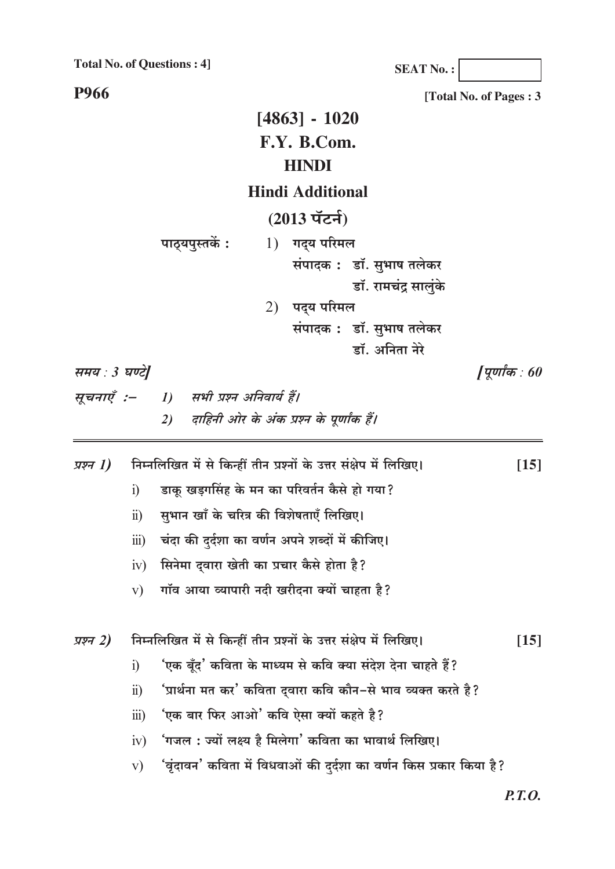**Total No. of Questions: 4]** 

**SEAT No.:** 

**P966** 

[Total No. of Pages: 3  $[4863] - 1020$ F.Y. B.Com. **HINDI Hindi Additional**  $(2013 \tilde{\mathrm{u}})$ पाठ्यपुस्तकें: 1) गद्य परिमल संपादक: डॉ. सुभाष तलेकर डॉ. रामचंद्र सालुंके 2) पद्य परिमल संपादक: डॉ. सुभाष तलेकर डॉ. अनिता नेरे समय : 3 घण्टे| [पूर्णांक $:60$ सूचनाएँ :-1) सभी प्रश्न अनिवार्य हैं। दाहिनी ओर के अंक प्रश्न के पूर्णांक हैं।  $2)$ निम्नलिखित में से किन्हीं तीन प्रश्नों के उत्तर संक्षेप में लिखिए। प्रश्न 1)  $[15]$ डाकू खड़गसिंह के मन का परिवर्तन कैसे हो गया?  $\ddot{1}$ सुभान खाँ के चरित्र की विशेषताएँ लिखिए।  $\ddot{u}$ चंदा की दर्दशा का वर्णन अपने शब्दों में कीजिए।  $\dddot{\mathbf{m}}$ ) सिनेमा दुवारा खेती का प्रचार कैसे होता है?  $iv)$ गॉव आया व्यापारी नदी खरीदना क्यों चाहता है?  $V)$ निम्नलिखित में से किन्हीं तीन प्रश्नों के उत्तर संक्षेप में लिखिए। प्रश्न 2)  $[15]$ 'एक बूँद' कविता के माध्यम से कवि क्या संदेश देना चाहते हैं?  $\ddot{1}$ 'प्रार्थना मत कर' कविता दुवारा कवि कौन−से भाव व्यक्त करते है?  $\ddot{u}$ 'एक बार फिर आओ' कवि ऐसा क्यों कहते है?  $\dddot{\mathbf{u}}$ 'गजल : ज्यों लक्ष्य है मिलेगा' कविता का भावार्थ लिखिए।  $iv)$ 'वृंदावन' कविता में विधवाओं की दुर्दशा का वर्णन किस प्रकार किया है?  $V)$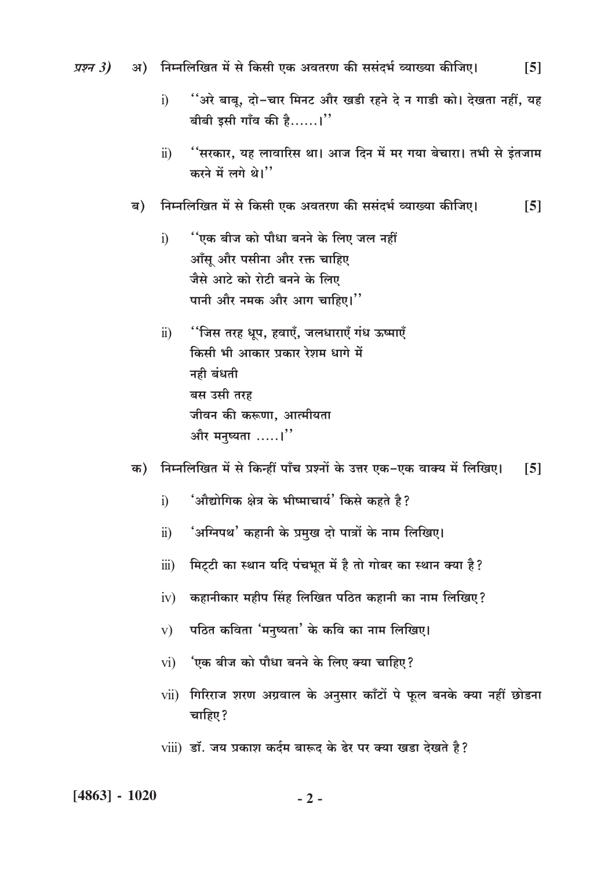अ) निम्नलिखित में से किसी एक अवतरण की ससंदर्भ व्याख्या कीजिए। प्रश्न  $3)$  $[5]$ 

- ''अरे बाबू, दो−चार मिनट और खडी रहने दे न गाडी को। देखता नहीं, यह  $i)$ बीबी इसी गाँव की है......।"
- "सरकार, यह लावारिस था। आज दिन में मर गया बेचारा। तभी से इंतजाम  $\ddot{11}$ करने में लगे थे।"
- निम्नलिखित में से किसी एक अवतरण की ससंदर्भ व्याख्या कीजिए।  $[5]$ ब)
	- ''एक बीज को पौधा बनने के लिए जल नहीं  $i)$ आँसू और पसीना और रक्त चाहिए जैसे आटे को रोटी बनने के लिए पानी और नमक और आग चाहिए।"
	- ''जिस तरह धुप, हवाएँ, जलधाराएँ गंध ऊष्माएँ  $\ddot{u}$ किसी भी आकार प्रकार रेशम धागे में नही बंधती बस उसी तरह जीवन की करूणा, आत्मीयता और मनुष्यता .....।"
- क) निम्नलिखित में से किन्हीं पाँच प्रश्नों के उत्तर एक-एक वाक्य में लिखिए।  $[5]$ 
	- 'औद्योगिक क्षेत्र के भीष्माचार्य' किसे कहते है?  $i)$
	- 'अग्निपथ' कहानी के प्रमुख दो पात्रों के नाम लिखिए।  $\ddot{\text{ii}})$
	- मिट्टी का स्थान यदि पंचभूत में है तो गोबर का स्थान क्या है?  $\dddot{\mathbf{m}}$ )
	- कहानीकार महीप सिंह लिखित पठित कहानी का नाम लिखिए?  $iv)$
	- पठित कविता 'मनुष्यता' के कवि का नाम लिखिए।  $V)$
	- 'एक बीज को पौधा बनने के लिए क्या चाहिए?  $vi)$
	- vii) गिरिराज शरण अग्रवाल के अनुसार काँटों पे फूल बनके क्या नहीं छोडना चाहिए?
	- viii) डॉ. जय प्रकाश कर्दम बारूद के ढेर पर क्या खड़ा देखते है?

 $[4863] - 1020$ 

 $-2-$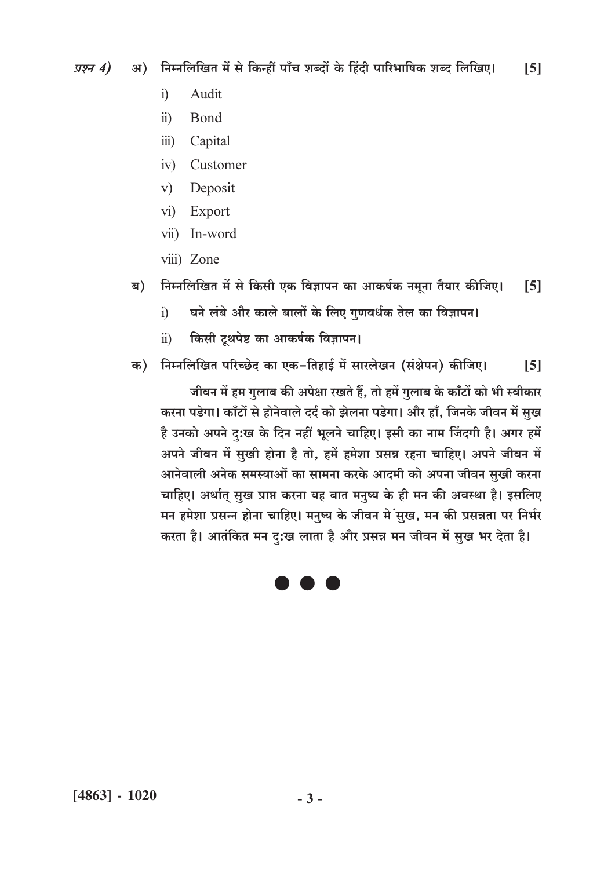अ) निम्नलिखित में से किन्हीं पाँच शब्दों के हिंदी पारिभाषिक शब्द लिखिए। प्रश्न 4)  $\sqrt{5}$ 

- Audit  $\mathbf{i}$
- $\ddot{u}$ Bond
- $\overline{iii}$ Capital
- iv) Customer
- Deposit  $V)$
- $\overline{vi}$ Export
- vii) In-word
- viii) Zone
- निम्नलिखित में से किसी एक विज्ञापन का आकर्षक नमूना तैयार कीजिए। ब)  $\lceil 5 \rceil$ 
	- घने लंबे और काले बालों के लिए गुणवर्धक तेल का विज्ञापन।  $\ddot{1}$
	- किसी टूथपेष्ट का आकर्षक विज्ञापन।  $\ddot{11}$
- क) निम्नलिखित परिच्छेद का एक-तिहाई में सारलेखन (संक्षेपन) कीजिए।  $[5]$

जीवन में हम गुलाब की अपेक्षा रखते हैं, तो हमें गुलाब के काँटों को भी स्वीकार करना पडेगा। काँटों से होनेवाले दर्द को झेलना पडेगा। और हाँ, जिनके जीवन में सुख है उनको अपने दु:ख के दिन नहीं भूलने चाहिए। इसी का नाम जिंदगी है। अगर हमें अपने जीवन में सुखी होना है तो, हमें हमेशा प्रसन्न रहना चाहिए। अपने जीवन में आनेवाली अनेक समस्याओं का सामना करके आदमी को अपना जीवन सुखी करना चाहिए। अर्थात् सुख प्राप्त करना यह बात मनुष्य के ही मन की अवस्था है। इसलिए मन हमेशा प्रसन्न होना चाहिए। मनुष्य के जीवन में सुख, मन की प्रसन्नता पर निर्भर करता है। आतंकित मन दु:ख लाता है और प्रसन्न मन जीवन में सुख भर देता है।

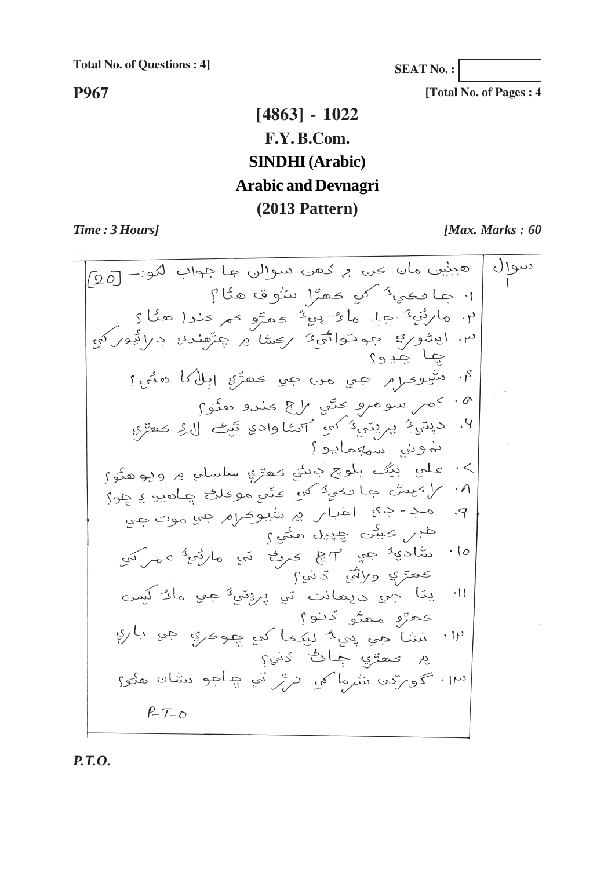**Total No. of Questions : 4]**

**SEAT No. :**

**[Total No. of Pages : 4**

**P967**

### **[4863] - 1022 F.Y. B.Com. SINDHI (Arabic) Arabic and Devnagri (2013 Pattern)**

*Time : 3 Hours] [Max. Marks : 60*

هبنین ماں می بر دُهن سوالی جا جواب لکو: - [20] سو۱ل ١٠ جا دڪي<sup>5</sup> کي ڪهڙا بيٺوق هئا؟ ۲. مارنی <sup>2</sup> جا، ما <sup>م</sup>ُ ہی <sup>ک</sup>ُ <sub>کھ</sub>تو <sub>ک</sub>م کندا ھئا ؟<br>۳. ایشوری جہ توانی؟ ر<sub>کشا</sub> پر چرهندی درائیورکی<br>چا چید؟ ٩. سُيومِرْم مِي من مِي محصِّرِ إبل ما هغي؟ ۰۵<br>۰٫ محمر سومرو متّی الج محدو معنوم<br>۰٫ دیتی، پریتی، کی اساوادی تّیف لاءِ محقوم نموني سميمايو؟ >٠ علي أُبِيِّکُ بِلُوچِ دِبِنِّي حَمِّرْيِ سُلْسِلْيِ ۾ وَيُوهِدُوَّ) ۰۸ / کیسٹ جا تکی<sup>و</sup> کی کٹی موعل<del>ل</del> چاسبو ی<sub>ک</sub>و؟ م.<br>۹. مد- ڊي اعباس ۾ سيوڪرم جي <sub>موت</sub> <sub>جي</sub> طبر کیبن چیل مئی طبر محيثت چپيل مئيم؟<br>ساديۀ جي ٣ ۾ محرڪ تي مارٽيۀ ممرکي<br>محمّ ۽ ولائي ٽيني؟  $\cdot$  10 پتا جي <sub>د ر</sub>وي ٿي پرپٽي<sup>و</sup> جي <sub>م</sub>ارُ کيس  $\cdot$ [] عمر و معنی دنو؟<br>۱۳۰ نشا هی پی و ایکما کی جومری جی باری ۾ <sub>محم</sub>تري ڄاڻ ڏني؟ ١٣، كوبردن شرما كلي ترتر في چاجو مشان هلو؟  $P-T-D$ 

*P.T.O.*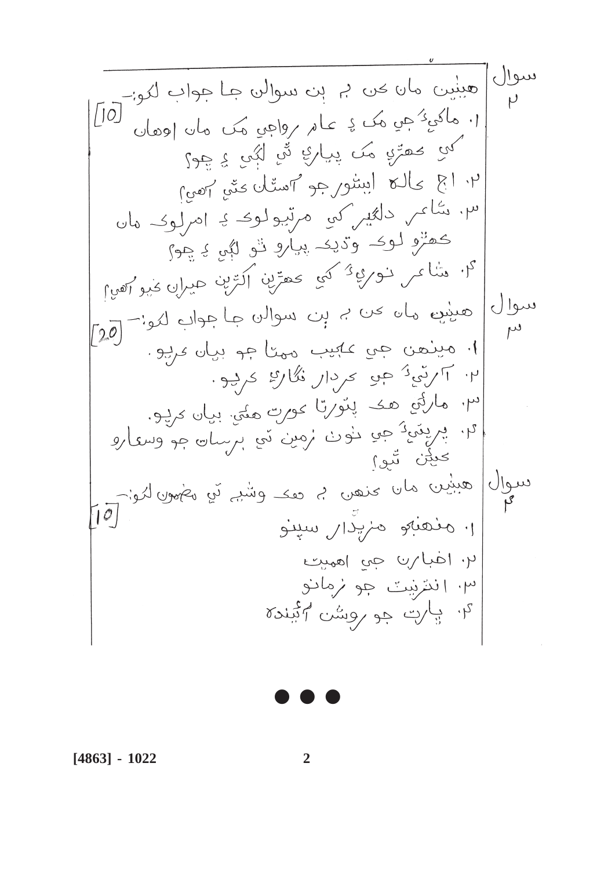$\bullet$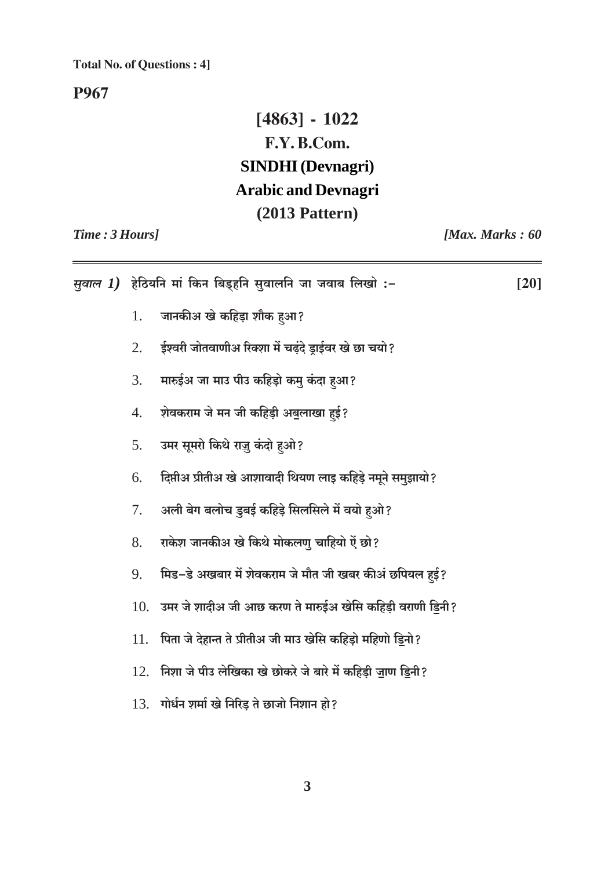#### **Total No. of Questions: 4]**

P967

### $[4863] - 1022$ F.Y.B.Com. **SINDHI** (Devnagri) **Arabic and Devnagri**  $(2013$  Pattern)

Time: 3 Hours]

[Max. Marks: 60

| <i>सुवाल 1)</i> हेठियनि मां किन बिड्हनि सुवालनि जा जवाब लिखो :– |                                                                   |  |
|-----------------------------------------------------------------|-------------------------------------------------------------------|--|
| 1.                                                              | जानकीअ खे कहिड़ा शौक हुआ?                                         |  |
| 2.                                                              | ईश्वरी जोतवाणीअ रिक्शा में चढ़ंदे ड्राईवर खे छा चयो?              |  |
| 3.                                                              | मारुईअ जा माउ पीउ कहिड़ो कमु कंदा हुआ?                            |  |
| 4.                                                              | शेवकराम जे मन जी कहिड़ी अबुलाखा हुई?                              |  |
| 5.                                                              | उमर सूमरो किथे राज़ु कंदो हुओ?                                    |  |
| 6.                                                              | दिप्तीअ प्रीतीअ खे आशावादी थियण लाइ कहिड़े नमूने समुझायो?         |  |
| 7.                                                              | अली बेग बलोच डुबई कहिड़े सिलसिले में वयो हुओ?                     |  |
| 8.                                                              | राकेश जानकीअ खे किथे मोकलणु चाहियो ऐं छो?                         |  |
| 9.                                                              | मिड–डे अखबार में शेवकराम जे मौत जी खबर कीअं छपियल हई?             |  |
|                                                                 | $10.$ उमर जे शादीअ जी आछ करण ते मारुईअ खेसि कहिड़ी वराणी डिनी?    |  |
|                                                                 | 11.   पिता जे देहान्त ते प्रीतीअ जी माउ खेसि कहिड़ो महिणो ड्रिनो? |  |
|                                                                 | $12.$ निशा जे पीउ लेखिका खे छोकरे जे बारे में कहिड़ी जाण ड्रिनी?  |  |
|                                                                 | $13.$ गोर्धन शर्मा खे निरिड़ ते छाजो निशान हो?                    |  |
|                                                                 |                                                                   |  |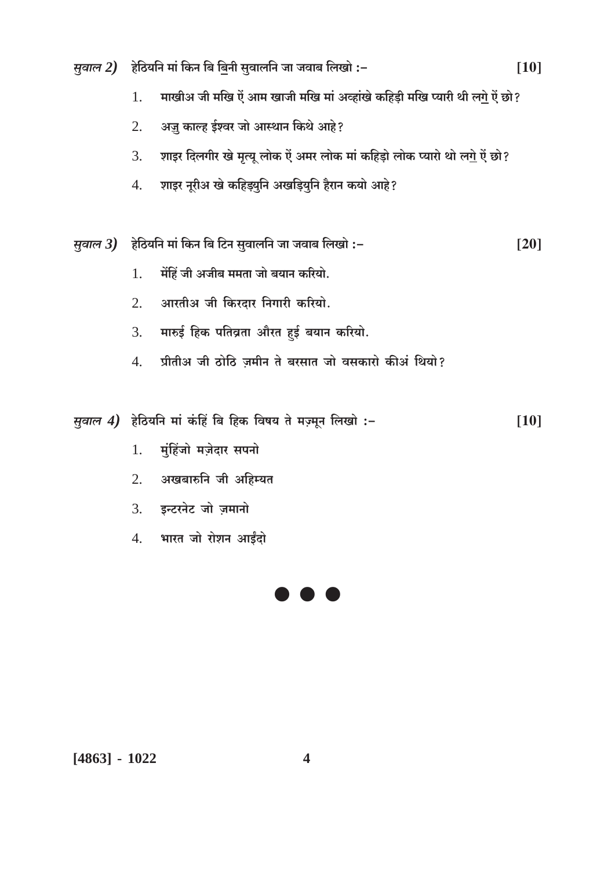- *सुवाल 2*) हेठियनि मां किन बि बिनी सुवालनि जा जवाब लिखो :- $[10]$ 
	- माखीअ जी मखि ऐं आम खाजी मखि मां अव्हांखे कहिड़ी मखि प्यारी थी ल<u>गे</u> ऐं छो?  $\overline{1}$ .
	- अज़ु काल्ह ईश्वर जो आस्थान किथे आहे?  $\overline{2}$ .
	- शाइर दिलगीर खे मृत्यू लोक ऐं अमर लोक मां कहिड़ो लोक प्यारो थो लगे ऐं छो?  $\overline{3}$ .
	- शाइर नूरीअ खे कहिड़्युनि अखड़ियुनि हैरान कयो आहे?  $4.$

*सुवाल 3)* हेठियनि मां किन बि टिन सुवालनि जा जवाब लिखो :- $[20]$ 

- मेंहिं जी अजीब ममता जो बयान करियो.  $\overline{1}$ .
- आरतीअ जी किरदार निगारी करियो.  $\overline{2}$ .
- मारुई हिक पतिव्रता औरत हुई बयान करियो. 3.
- प्रीतीअ जी ठोठि ज़मीन ते बरसात जो वसकारो कीअं थियो?  $\overline{4}$ .

मुवाल 4) हेठियनि मां कंहिं बि हिक विषय ते मज़्मून लिखो :- $[10]$ 

- मुंहिंजो मज़ेदार सपनो  $1.$
- अखबारुनि जी अहिम्यत 2.
- इन्टरनेट जो ज़मानो  $3.$
- 4. भारत जो रोशन आईंदो



 $[4863] - 1022$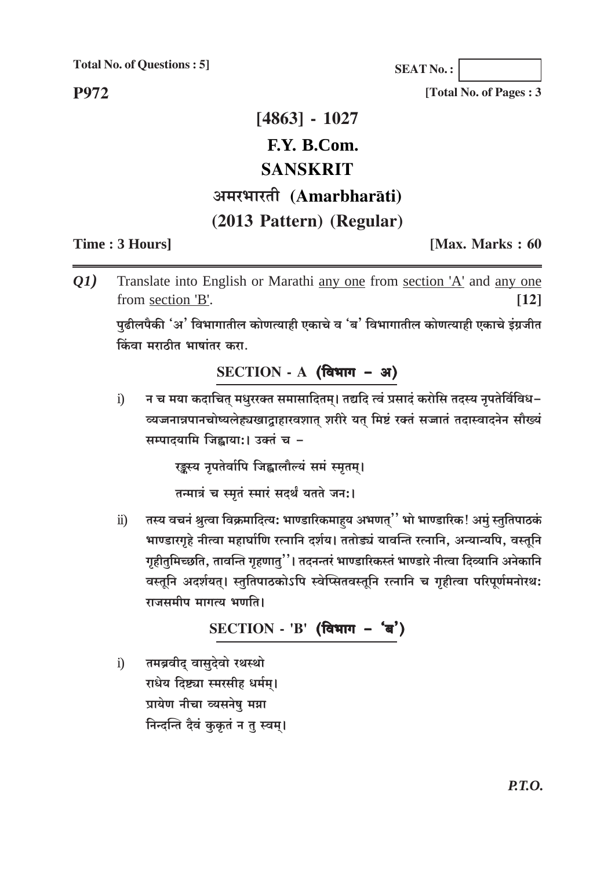**Total No. of Questions: 5]** 

**P972** 

**SEAT No.:** 

[Total No. of Pages : 3

# $[4863] - 1027$ F.Y. B.Com. **SANSKRIT** अमरभारती (Amarbharāti) (2013 Pattern) (Regular)

#### Time: 3 Hours]

[Max. Marks: 60]

Translate into English or Marathi any one from section 'A' and any one Q1) from section 'B'.  $\lceil 12 \rceil$ 

पढीलपैकी 'अ' विभागातील कोणत्याही एकाचे व 'ब' विभागातील कोणत्याही एकाचे इंग्रजीत किंवा मराठीत भाषांतर करा.

#### SECTION - A (विभाग - अ)

न च मया कदाचित् मधुरख्त समासादितम्। तद्यदि त्वं प्रसादं करोसि तदस्य नृपतेर्विविध–  $\ddot{1}$ व्यजनान्नपानचोष्यलेह्यखाद्गाहारवशात् शरीरे यत् मिष्टं रक्तं सज्जातं तदास्वादनेन सौख्यं सम्पादयामि जिह्नाया:। उक्तं च -

रङ्कस्य नृपतेर्वापि जिह्वालौल्यं समं स्मृतम्।

तन्मात्रं च स्मतं स्मारं सदर्थं यतते जन:।

तस्य वचनं श्रुत्वा विक्रमादित्य: भाण्डारिकमाहय अभणत्'' भो भाण्डारिक! अमुं स्तुतिपाठकं  $\ddot{\mathbf{n}}$ ) भाण्डारगृहे नीत्वा महार्घाणि रत्नानि दर्शय। ततोड्यं यावन्ति रत्नानि, अन्यान्यपि, वस्तूनि गृहीतुमिच्छति, तावन्ति गृहणात्''। तदनन्तरं भाण्डारिकस्तं भाण्डारे नीत्वा दिव्यानि अनेकानि वस्तूनि अदर्शयत्। स्तुतिपाठकोऽपि स्वेप्सितवस्तूनि रत्नानि च गृहीत्वा परिपूर्णमनोरथ: राजसमीप मागत्य भणति।

$$
SECTION - 'B' (विभाग - 'a')
$$

तमब्रवीद् वासुदेवो रथस्थो  $\ddot{\mathbf{i}}$ राधेय दिष्ट्या स्मरसीह धर्मम। प्रायेण नीचा व्यसनेषु मग्ना निन्दन्ति दैवं कुकृतं न तू स्वम्।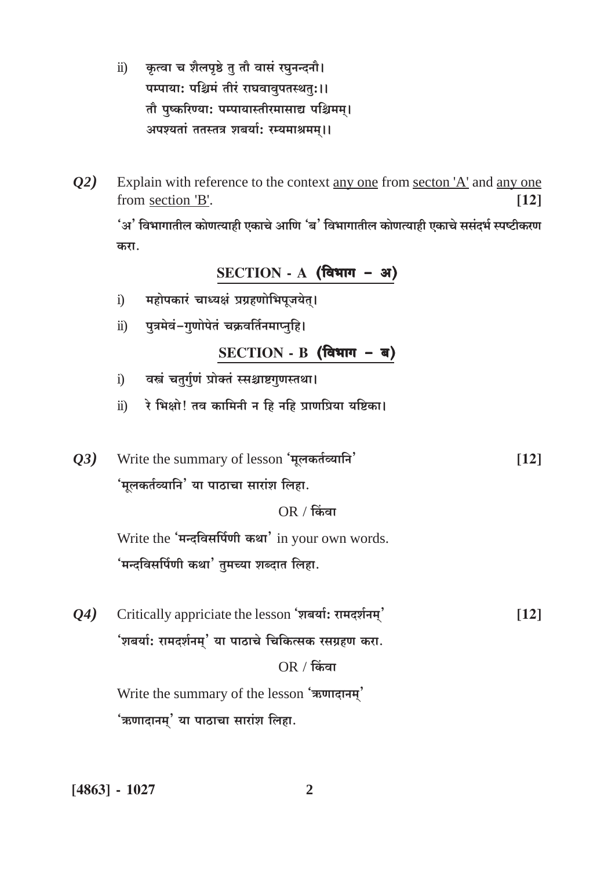- कृत्वा च शैलपृष्ठे तू तौ वासं रघुनन्दनौ।  $\ddot{\mathbf{n}}$ ) पम्पाया: पश्चिमं तीरं राघवावूपतस्थतुः।। तौ पुष्करिण्या: पम्पायास्तीरमासाद्य पश्चिमम्। अपश्यतां ततस्तत्र शबर्या: रम्यमाश्रमम्।।
- Explain with reference to the context any one from secton 'A' and any one  $Q2)$ from section 'B'.  $[12]$

'अ' विभागातील कोणत्याही एकाचे आणि 'ब' विभागातील कोणत्याही एकाचे ससंदर्भ स्पष्टीकरण करा.

SECTION - A (विभाग - अ)

- महोपकारं चाध्यक्षं प्रग्रहणोभिपूजयेत्।  $i)$
- पुत्रमेवं-गुणोपेतं चक्रवर्तिनमाप्नुहि।  $\ddot{\mathbf{n}}$ )

 $SECTION - B ($ विभाग - ब)

- वस्त्रं चतुर्गुणं प्रोक्तं स्सश्चाष्टगुणस्तथा।  $i)$
- रे भिक्षो! तव कामिनी न हि नहि प्राणप्रिया यष्टिका।  $\ddot{\mathbf{n}}$
- Write the summary of lesson 'मूलकर्तव्यानि' 03)  $[12]$ 'मूलकर्तव्यानि' या पाठाचा सारांश लिहा.

 $OR / f$ केंवा

Write the 'मन्दविसर्पिणी कथा' in your own words. 'मन्दविसर्पिणी कथा' तुमच्या शब्दात लिहा.

Critically appriciate the lesson 'शबर्या: रामदर्शनम्'  $Q_4$  $[12]$ 'शबर्या: रामदर्शनम्' या पाठाचे चिकित्सक रसग्रहण करा.  $OR / f$ केंवा Write the summary of the lesson 'ऋणादानम्'

'ऋणादानम्' या पाठाचा सारांश लिहा.

 $[4863] - 1027$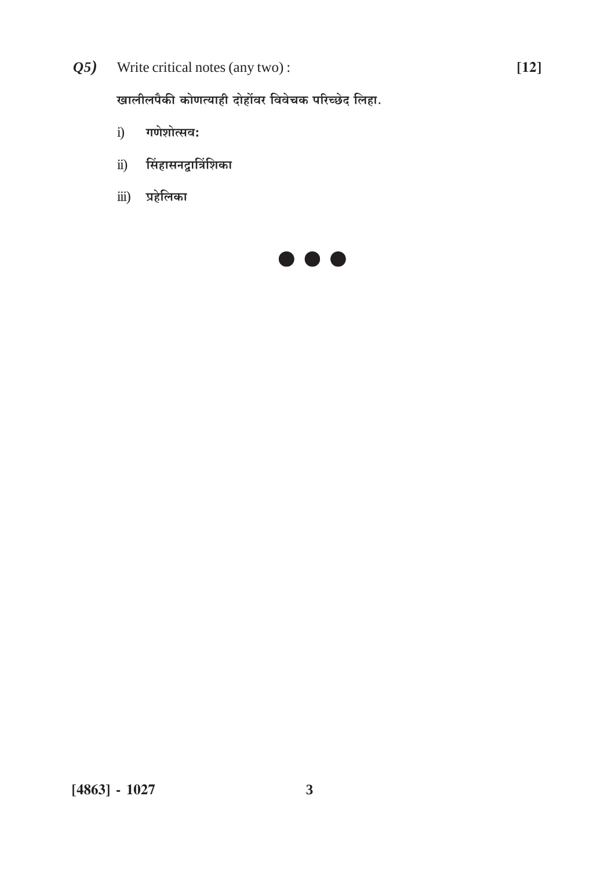$(25)$  Write critical notes (any two):

खालीलपैकी कोणत्याही दोहोंवर विवेचक परिच्छेद लिहा.

- गणेशोत्सव:  $i)$
- सिंहासनद्वात्रिंशिका  $\ddot{i}$ )
- **iii)** प्रहेलिका

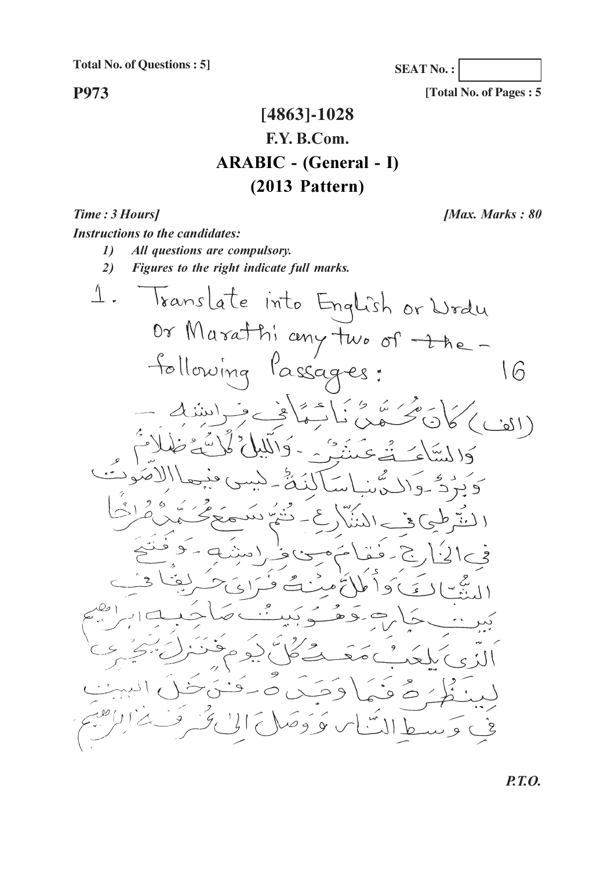**Total No. of Questions : 5]**

**P973**

**SEAT No. :**

**[Total No. of Pages : 5**

### **[4863]-1028 F.Y. B.Com. ARABIC - (General - I) (2013 Pattern)**

*Time: 3 Ho [Max. Marks: 80] Instructions to the candidates: all questions are compulsory.* 2) Figures to the right indicate full marks.  $\perp$ . Translate into English or Wrdu Or Marathiany two of thefollowing Passages:  $16$  $(12i$ شی<sup>ں</sup> دد  $\circ$  $\geq$  9 َ صَ ع  $99$ 

**P.T.O.**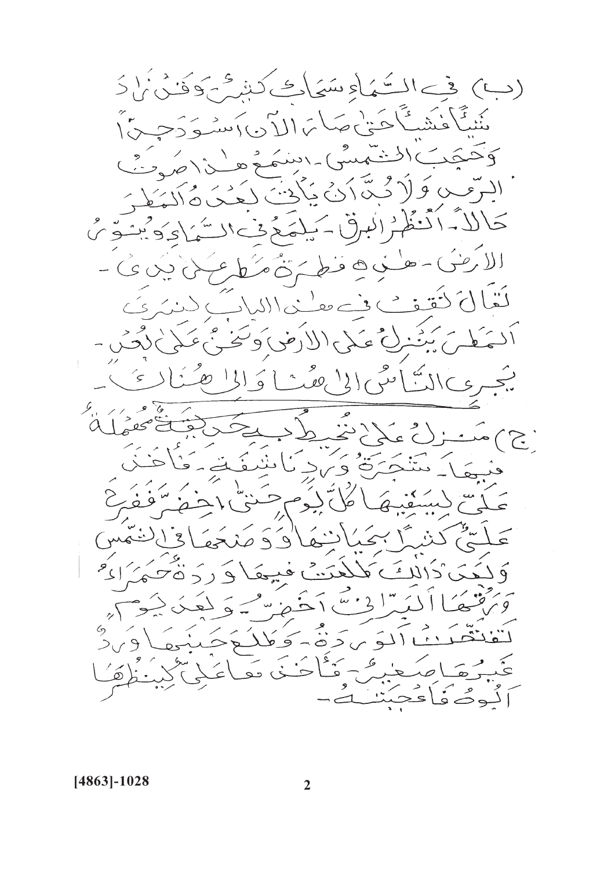(ب) في السَّمَاءِ سَيَاكِ كَشِرُّ بِوَفَنُّيْ إِذَ ينَ تَأْنَيْتُ حَنَّ عَبَدْ بِهِمَا بِمَا إِلاَ دِي كَصْبِهِ دَحِرِينَ إِ وَحَدَبَ الْمُنْتَمِسُ - اسْمَعْ هِ  $\frac{1}{2}$ ى كَوْلاً كَمَّةَ اَنْ يَأْتَ لَعُكَنَّ مُأْلَّمَطُ 'لاَمَ اَنْتَظُرْ الْبِرِقْ كَيْلَةَ كَمْ فْ السَّمَاءِ وَيْتُوَىّ الأرئبُ مطني ه فطخ تُمْ مَنْ عَلَى بِينِ ى -كَفَّالْ فَقَفْ فِي عَفْ ذَاللَّمَاتُ دَنْدَى بِيَ بَيْنَ لِيَ عَلَى الأَرْضَىٰ وَتَخَبَّىٰ عَلَىٰ لَكِ بِ  $\sqrt{2}$ يجبري الدُّ امني الي عفيه او الي صر  $\left( \begin{array}{c} \epsilon \\ \epsilon \end{array} \right)$ وٽو هر<br>ڪوي په ۱ د و میلادند.<br>با عکم\نو  $\sum_{i=1}^n\sum_{j=1}^n\left(\sum_{j=1}^n\left(\sum_{j=1}^n\left(\sum_{j=1}^n\left(\sum_{j=1}^n\left(\sum_{j=1}^n\left(\sum_{j=1}^n\left(\sum_{j=1}^n\left(\sum_{j=1}^n\left(\sum_{j=1}^n\left(\sum_{j=1}^n\left(\sum_{j=1}^n\left(\sum_{j=1}^n\left(\sum_{j=1}^n\left(\sum_{j=1}^n\left(\sum_{j=1}^n\left(\sum_{j=1}^n\right)\right)\right)\right)\right)\right)\right)\right)\right)^2\right)=\sum_n$ تتنكئ فؤيراد كالنبغق كأ سأفرؤ بآليكم 广义 اننهما کو کو  $\mathfrak{z}^{\mathfrak{l}}$  $\sqrt{2}$  $\hat{z}$ فئن فيبعَا دَ رَدّةُ كَبَرُ ادْ هَكَ كَالِكَ كَل أكبُدًّا دْمَيْيَ دَخَيْرِ بِهِ حَيْجَ دَيْجَ كَمَحْدَدُ كَنْ آلَوْ يَرَدَّهُ - وَكُلْكُوْجَنَبِهِمَا  $\frac{9}{211}$ غَيْرُهَا صَعْبِيٌّ مَأْخُذَ هَاعَلِي كِينَ وُهَ لُوصُفَاعَجَبَن

 $[4863] - 1028$ 

 $\overline{2}$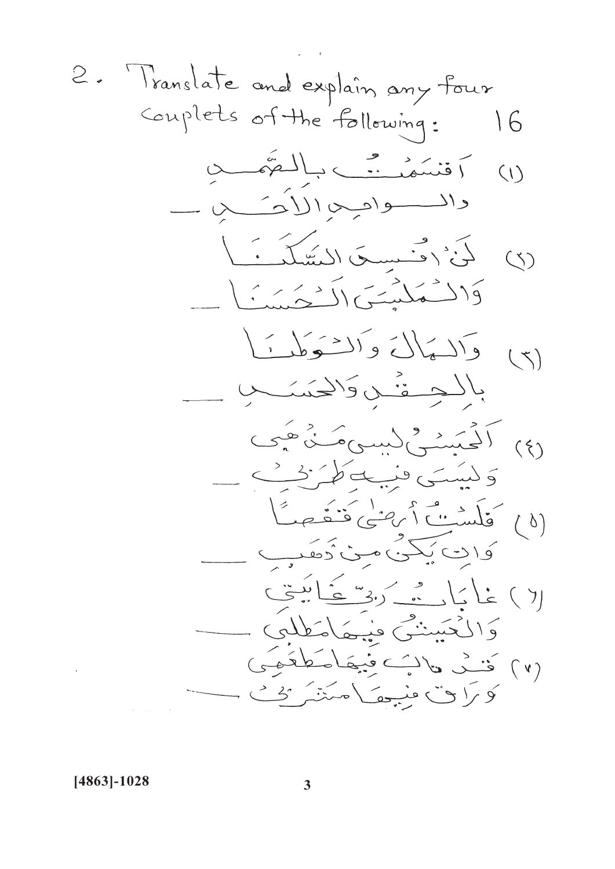2. Translate and explain any four  
\nconpects of the following: 16  
\n
$$
\therefore \widetilde{A} = \begin{pmatrix} 0 & 0 \\ 0 & 0 \\ 0 & 0 \\ 0 & 0 \\ 0 & 0 \\ 0 & 0 \\ 0 & 0 \\ 0 & 0 \\ 0 & 0 \\ 0 & 0 \\ 0 & 0 \\ 0 & 0 \\ 0 & 0 \\ 0 & 0 \\ 0 & 0 \\ 0 & 0 \\ 0 & 0 \\ 0 & 0 \\ 0 & 0 \\ 0 & 0 \\ 0 & 0 \\ 0 & 0 \\ 0 & 0 \\ 0 & 0 \\ 0 & 0 \\ 0 & 0 \\ 0 & 0 \\ 0 & 0 \\ 0 & 0 \\ 0 & 0 \\ 0 & 0 \\ 0 & 0 \\ 0 & 0 \\ 0 & 0 \\ 0 & 0 \\ 0 & 0 \\ 0 & 0 \\ 0 & 0 \\ 0 & 0 \\ 0 & 0 \\ 0 & 0 \\ 0 & 0 \\ 0 & 0 \\ 0 & 0 \\ 0 & 0 \\ 0 & 0 \\ 0 & 0 \\ 0 & 0 \\ 0 & 0 \\ 0 & 0 \\ 0 & 0 \\ 0 & 0 \\ 0 & 0 \\ 0 & 0 \\ 0 & 0 \\ 0 & 0 \\ 0 & 0 \\ 0 & 0 \\ 0 & 0 \\ 0 & 0 \\ 0 & 0 \\ 0 & 0 \\ 0 & 0 \\ 0 & 0 \\ 0 & 0 \\ 0 & 0 \\ 0 & 0 \\ 0 & 0 \\ 0 & 0 \\ 0 & 0 \\ 0 & 0 \\ 0 & 0 \\ 0 & 0 \\ 0 & 0 \\ 0 & 0 \\ 0 & 0 \\ 0 & 0 \\ 0 & 0 \\ 0 & 0 \\ 0 & 0 \\ 0 & 0 \\ 0 & 0 \\ 0 & 0 \\ 0 & 0 \\ 0 & 0 \\ 0 & 0 \\ 0 & 0 \\ 0 & 0 \\ 0 & 0 \\ 0 & 0 \\ 0 & 0 \\ 0 & 0 \\ 0 & 0 \\ 0 & 0 \\ 0 & 0 \\ 0 & 0 \\ 0 & 0 \\ 0 & 0 \\ 0 & 0 \\ 0 & 0 \\ 0 & 0 \\ 0 & 0 \\ 0 & 0 \\ 0 & 0 \\ 0 & 0 \\ 0 & 0 \\ 0 & 0 \\ 0 & 0 \\ 0 & 0 \\ 0 & 0 \\ 0 & 0 \\ 0 & 0 \\ 0 & 0 \\ 0 & 0 \\ 0 & 0 \\ 0 & 0 \\ 0 & 0 \\ 0 & 0 \\ 0 & 0 \\ 0 & 0 \\
$$

 $[4863] - 1028$ 

 $\overline{\mathbf{3}}$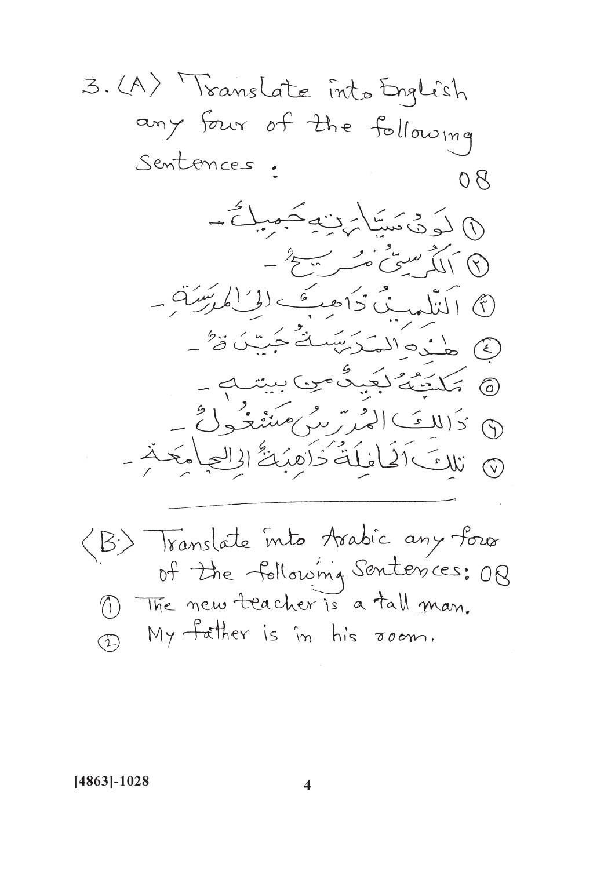3. (A) Translate into English any four of the following Sentences. 08 (1) لَوَدْ، مَسَابَرْتِهِ مَمِيلٌ  $-\frac{2}{7}+\frac{3}{7}+\frac{3}{7}+\frac{3}{7}+\frac{3}{7}+\frac{3}{7}+\frac{3}{7}+\frac{3}{7}+\frac{3}{7}+\frac{3}{7}+\frac{3}{7}+\frac{3}{7}+\frac{3}{7}+\frac{3}{7}+\frac{3}{7}+\frac{3}{7}+\frac{3}{7}+\frac{3}{7}+\frac{3}{7}+\frac{3}{7}+\frac{3}{7}+\frac{3}{7}+\frac{3}{7}+\frac{3}{7}+\frac{3}{7}+\frac{3}{7}+\frac{3}{7}+\frac{3}{7}+\frac{3}{7}+\frac{3}{7}+\frac{3}{7}+\frac{$  $= \tilde{q}(\tilde{q})^{-1}(\tilde{q}) = \tilde{q}^{-1}(\tilde{q})^{-1}(\tilde{q})^{-1}(\tilde{q})$ 3 هذه المكرسَبَ فَيَسْنُ وَ " 6 كمكتنگ لكيدة من بيتب  $D \geq k \geq 1$ (7) تلاتَ اَفَيَاخَذَ ذَاهِبُكُّ الْالْعِياْمَةَ -(B) Translate into Arabic any four of the following Sentences: 08 1) The new teacher is a tall man. My father is in his room.  $\widehat{L}$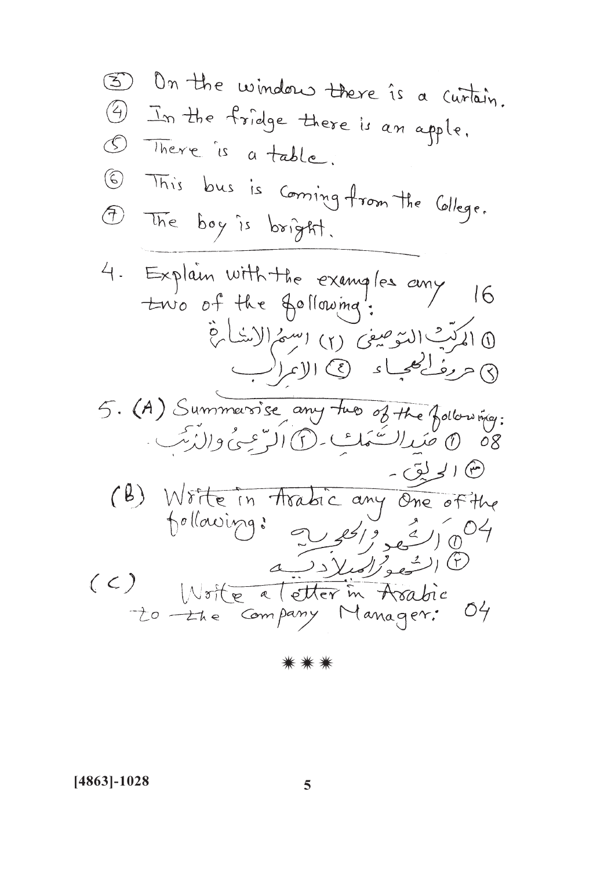3 On the window there is a curtain. 4 In the fridge there is an apple. 1 There is a table. 6 This bus is coming from the College. 1) The boy is bright. 4. Explain with the examples any  $16$ 10 المرَبُّ السَّوصِ*في* (٢) اسْهَمُ الاِسْلَامِّ 8 حرف محماد (2) الإندانب 5. (A) Summersise any two of the following: 80 0 عَبَدالسَّعَكِ فَلا الرَّحِيِّ والدُّبِّبِ. (٣) الحريق -(B) Write in Arabic any One of the<br>pollowing: 2 es/2 es/004 (6) الشعو*المبلاد*يك (C) Moite a letter in Asabie<br>20 the Company Manager: 04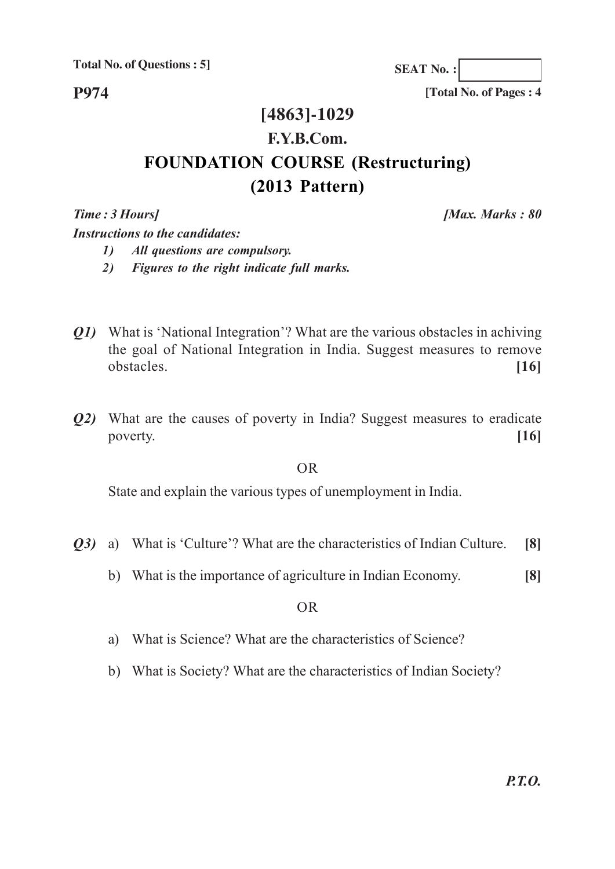**Total No. of Questions : 5]**

**P974**

**SEAT No. :**

**[Total No. of Pages : 4**

### **[4863]-1029 F.Y.B.Com. FOUNDATION COURSE (Restructuring) (2013 Pattern)**

*Time : 3 Hours] [Max. Marks : 80*

*Instructions to the candidates: 1) All questions are compulsory.*

*2) Figures to the right indicate full marks.*

- *Q1)* What is 'National Integration'? What are the various obstacles in achiving the goal of National Integration in India. Suggest measures to remove obstacles. **[16]**
- *Q2)* What are the causes of poverty in India? Suggest measures to eradicate poverty. **[16]**

OR

State and explain the various types of unemployment in India.

- *Q3)* a) What is 'Culture'? What are the characteristics of Indian Culture. **[8]**
	- b) What is the importance of agriculture in Indian Economy. **[8]**

OR

- a) What is Science? What are the characteristics of Science?
- b) What is Society? What are the characteristics of Indian Society?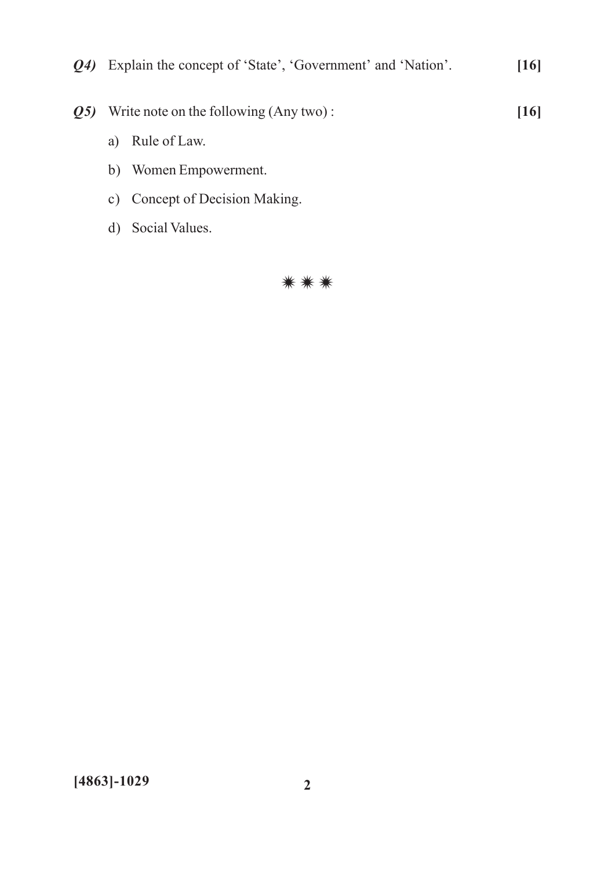- Q4) Explain the concept of 'State', 'Government' and 'Nation'.  $[16]$ **Q5)** Write note on the following (Any two):  $[16]$ a) Rule of Law. b) Women Empowerment. c) Concept of Decision Making.
	- d) Social Values.

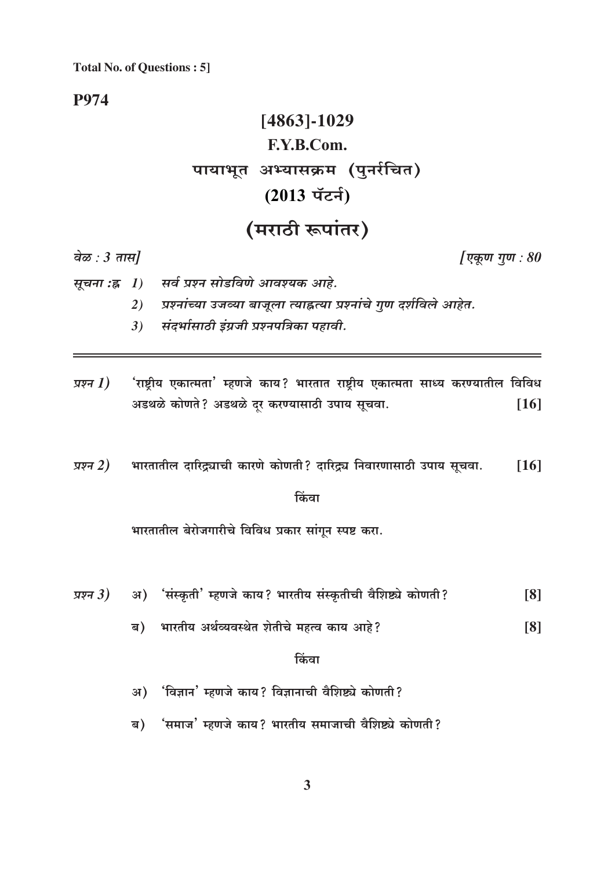**Total No. of Questions: 5]** 

**P974** 

# $[4863] - 1029$ F.Y.B.Com. पायाभूत अभ्यासक्रम (पुनर्रचित) (2013 पॅटर्न)

## (मराठी रूपांतर)

वेळ:  $3 \pi H$ 

[एकूण गूण:  $80$ 

- सर्व प्रश्न सोडविणे आवश्यक आहे.
	- प्रश्नांच्या उजव्या बाजूला त्याह्नत्या प्रश्नांचे गुण दर्शविले आहेत. 2)
	- संदर्भासाठी इंग्रजी प्रश्नपत्रिका पहावी.  $3)$
- <sup>'</sup>राष्ट्रीय एकात्मता' म्हणजे काय? भारतात राष्ट्रीय एकात्मता साध्य करण्यातील विविध प्रश्न  $1)$ अडथळे कोणते? अडथळे दर करण्यासाठी उपाय सूचवा.  $[16]$

भारतातील दारिद्र्याची कारणे कोणती? दारिद्र्य निवारणासाठी उपाय सूचवा. प्रश्न 2)  $[16]$ 

#### किंवा

भारतातील बेरोजगारीचे विविध प्रकार सांगून स्पष्ट करा.

- अ) 'संस्कृती' म्हणजे काय? भारतीय संस्कृतीची वैशिष्ट्ये कोणती? प्रश्न $3)$  $[8]$ 
	- भारतीय अर्थव्यवस्थेत शेतीचे महत्व काय आहे?  $[8]$ ब)

#### किंवा

- 'विज्ञान' म्हणजे काय? विज्ञानाची वैशिष्ट्ये कोणती?  $31)$
- 'समाज' म्हणजे काय? भारतीय समाजाची वैशिष्ट्ये कोणती? ब)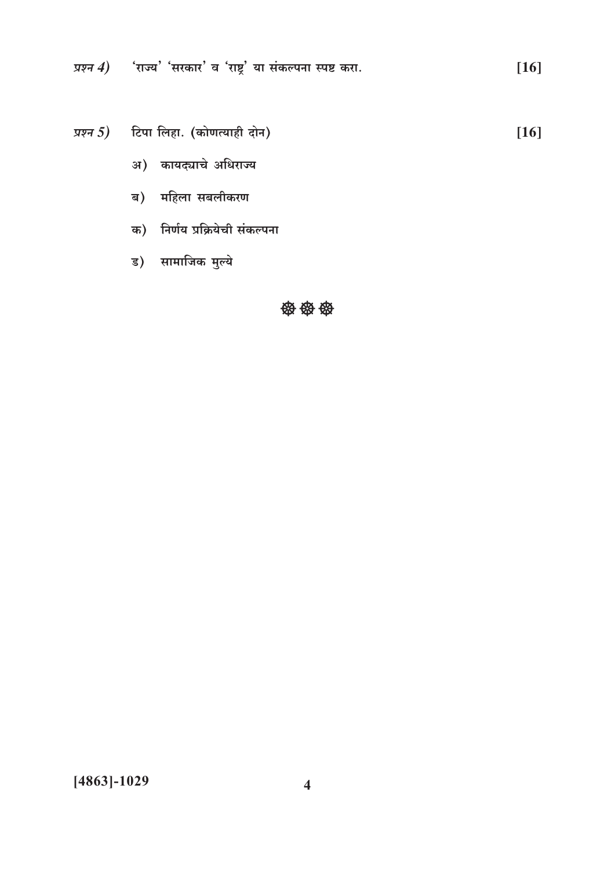प्रश्न  $4$ ) पाज्य' 'सरकार' व 'राष्ट्र' या संकल्पना स्पष्ट करा.  $[16]$ 

प्रश्न 5) टिपा लिहा. (कोणत्याही दोन)  $[16]$ 

- अ) कायद्याचे अधिराज्य
- ब) महिला सबलीकरण
- क) निर्णय प्रक्रियेची संकल्पना
- ड) सामाजिक मुल्ये

#### 發發發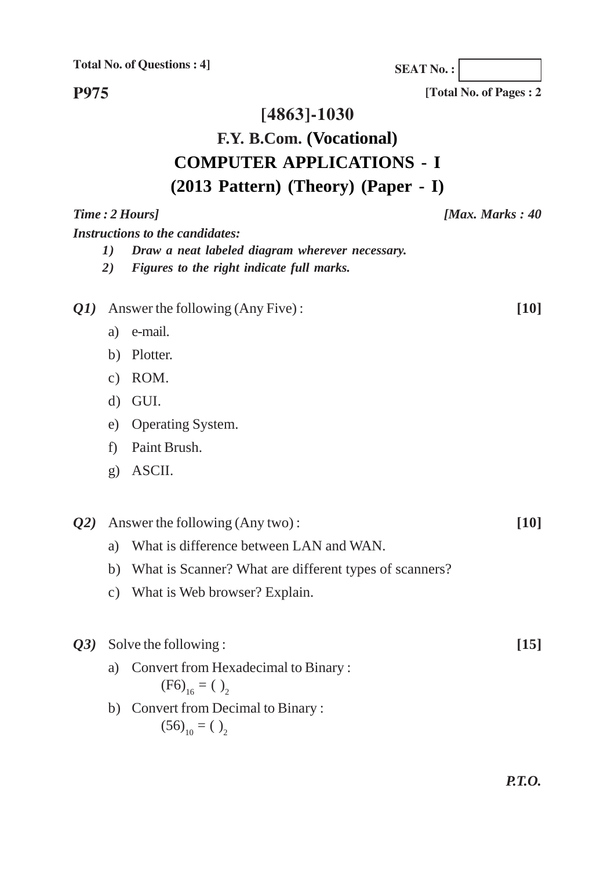**Total No. of Questions : 4]**

**SEAT No. :**

**[Total No. of Pages : 2**

**P975**

#### **[4863]-1030**

### **F.Y. B.Com. (Vocational) COMPUTER APPLICATIONS - I (2013 Pattern) (Theory) (Paper - I)**

*Time : 2 Hours] [Max. Marks : 40 Instructions to the candidates: 1) Draw a neat labeled diagram wherever necessary. 2) Figures to the right indicate full marks. Q1)* Answer the following (Any Five) : **[10]** a) e-mail. b) Plotter. c) ROM. d) GUI. e) Operating System. f) Paint Brush. g) ASCII. *Q2)* Answer the following (Any two) : **[10]** a) What is difference between LAN and WAN. b) What is Scanner? What are different types of scanners? c) What is Web browser? Explain. *Q3)* Solve the following : **[15]** a) Convert from Hexadecimal to Binary :  $(F6)_{16} = ( )_2$ b) Convert from Decimal to Binary :  $(56)_{10} = ( )_{2}$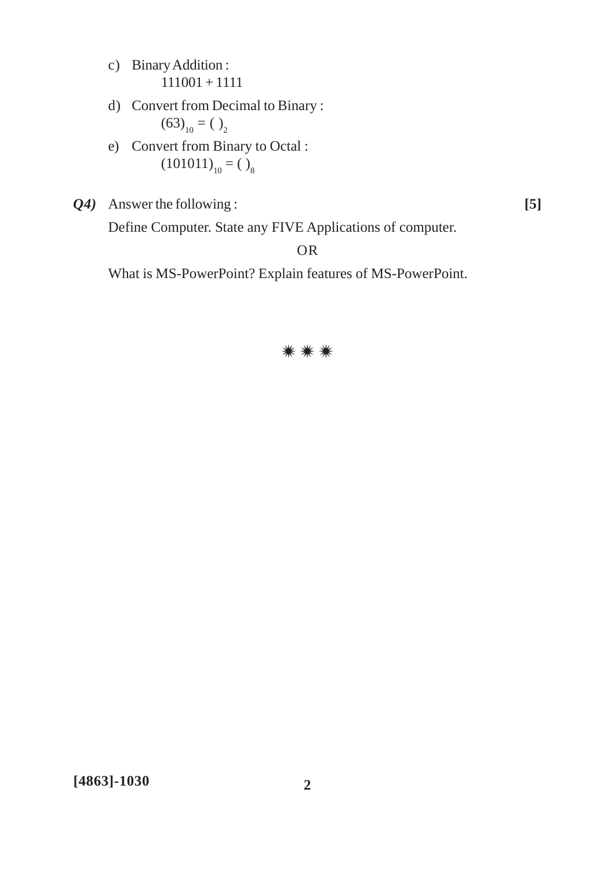- c) Binary Addition : 111001 + 1111
- d) Convert from Decimal to Binary :  $(63)_{10} = ( )_2$
- e) Convert from Binary to Octal :  $(101011)_{10} = ()$ <sub>8</sub>
- *Q4)* Answer the following : **[5]**

Define Computer. State any FIVE Applications of computer.

#### OR

What is MS-PowerPoint? Explain features of MS-PowerPoint.

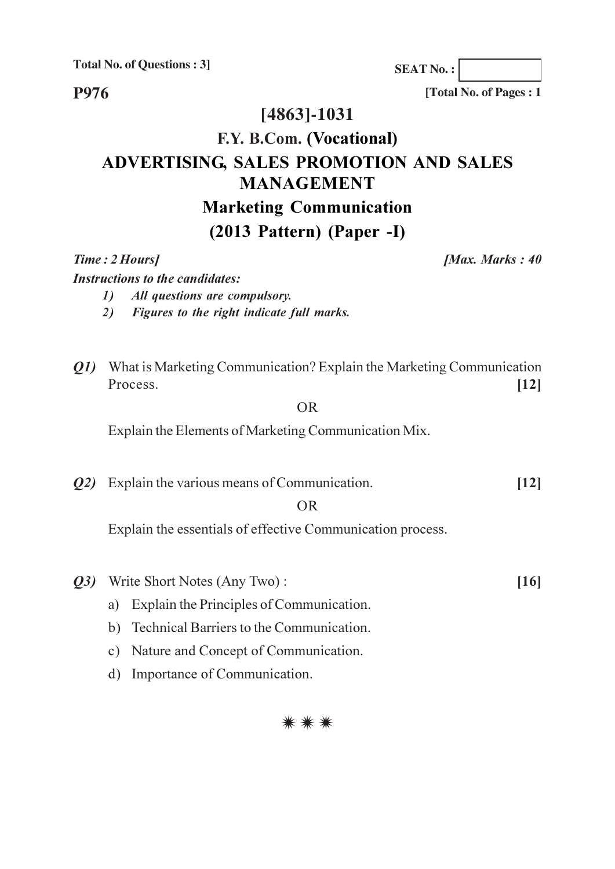**Total No. of Questions: 3]** 

P976

[4863]-1031

### F.Y. B.Com. (Vocational) ADVERTISING, SALES PROMOTION AND SALES **MANAGEMENT Marketing Communication**  $(2013$  Pattern) (Paper -I)

Time: 2 Hours]

[Max. Marks: 40]

**Instructions to the candidates:** 

- All questions are compulsory.  $\mathbf{I}$
- Figures to the right indicate full marks.  $2)$
- *O1*) What is Marketing Communication? Explain the Marketing Communication Process.  $[12]$

**OR** 

Explain the Elements of Marketing Communication Mix.

 $Q2$ ) Explain the various means of Communication.  $[12]$ 

#### $OR$

Explain the essentials of effective Communication process.

- Q3) Write Short Notes (Any Two):
	- a) Explain the Principles of Communication.
	- b) Technical Barriers to the Communication.
	- c) Nature and Concept of Communication.
	- d) Importance of Communication.



**SEAT No.:** 

[Total No. of Pages : 1

 $[16]$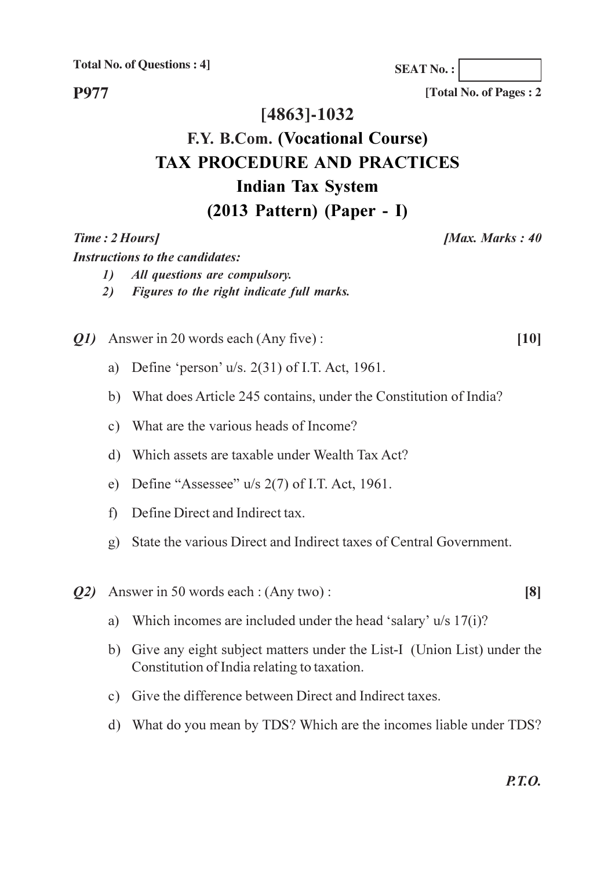**Total No. of Questions: 41** 

[Total No. of Pages: 2

**SEAT No.:** 

### [4863]-1032

### F.Y. B.Com. (Vocational Course) **TAX PROCEDURE AND PRACTICES Indian Tax System**  $(2013$  Pattern) (Paper - I)

#### Time: 2 Hours]

**P977** 

#### [Max. Marks: 40]

 $[10]$ 

**Instructions to the candidates:** 

- $\mathcal{L}$ All questions are compulsory.
- Figures to the right indicate full marks.  $2)$

Q1) Answer in 20 words each (Any five):

- a) Define 'person'  $u/s$ , 2(31) of I.T. Act, 1961.
- b) What does Article 245 contains, under the Constitution of India?
- c) What are the various heads of Income?
- d) Which assets are taxable under Wealth Tax Act?
- e) Define "Assessee"  $u/s$  2(7) of I.T. Act, 1961.
- f) Define Direct and Indirect tax.
- g) State the various Direct and Indirect taxes of Central Government.
- *Q2*) Answer in 50 words each : (Any two) :
	- a) Which incomes are included under the head 'salary'  $u/s$  17(i)?
	- b) Give any eight subject matters under the List-I (Union List) under the Constitution of India relating to taxation.
	- c) Give the difference between Direct and Indirect taxes.
	- d) What do you mean by TDS? Which are the incomes liable under TDS?

 $[8]$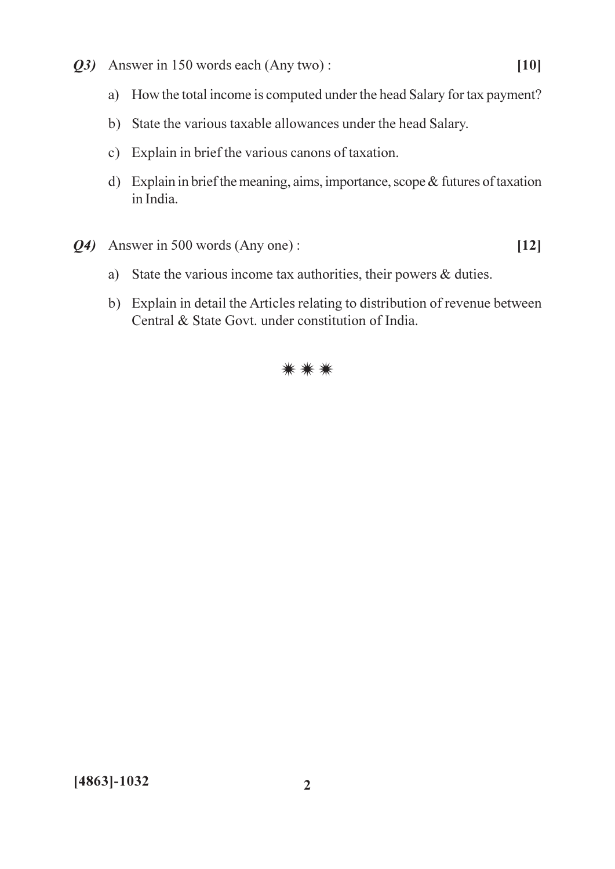- Q3) Answer in 150 words each (Any two):
	- a) How the total income is computed under the head Salary for tax payment?
	- b) State the various taxable allowances under the head Salary.
	- c) Explain in brief the various canons of taxation.
	- d) Explain in brief the meaning, aims, importance, scope & futures of taxation in India.
- Q4) Answer in 500 words (Any one):
	- a) State the various income tax authorities, their powers & duties.
	- b) Explain in detail the Articles relating to distribution of revenue between Central & State Govt. under constitution of India.



 $[12]$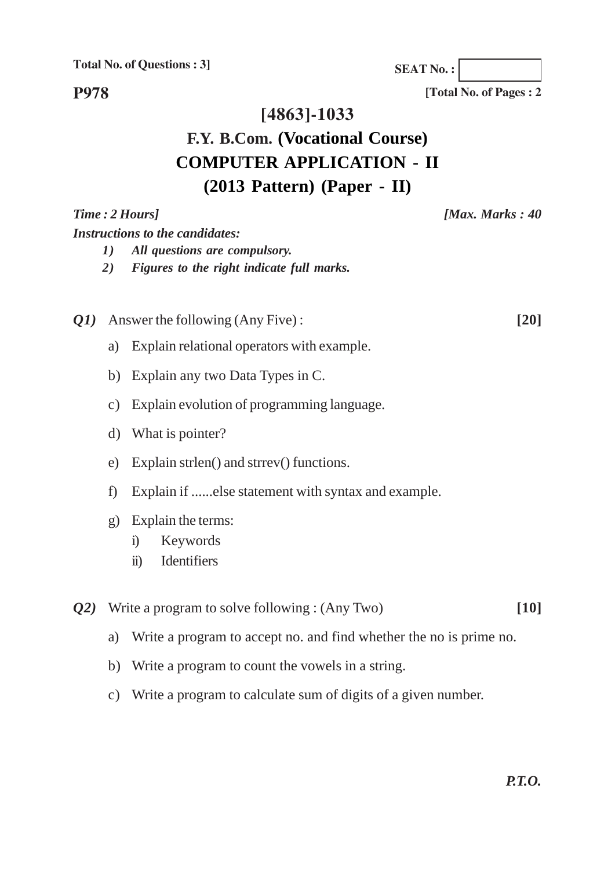**Total No. of Questions : 3]**

**SEAT No. :**

**P978**

#### **[4863]-1033**

### **F.Y. B.Com. (Vocational Course) COMPUTER APPLICATION - II (2013 Pattern) (Paper - II)**

# *Time : 2 Hours] [Max. Marks : 40 Instructions to the candidates: 1) All questions are compulsory. 2) Figures to the right indicate full marks. Q1)* Answer the following (Any Five) : **[20]** a) Explain relational operators with example. b) Explain any two Data Types in C. c) Explain evolution of programming language. d) What is pointer? e) Explain strlen() and strrev() functions. f) Explain if ......else statement with syntax and example. g) Explain the terms: i) Keywords ii) Identifiers *Q2)* Write a program to solve following : (Any Two) **[10]**

- a) Write a program to accept no. and find whether the no is prime no.
- b) Write a program to count the vowels in a string.
- c) Write a program to calculate sum of digits of a given number.

**[Total No. of Pages : 2**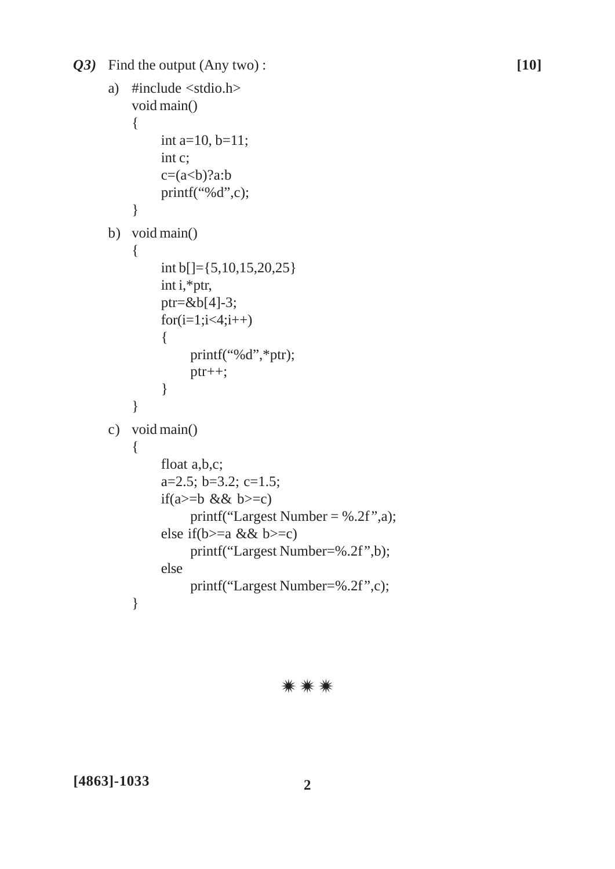*Q3)* Find the output (Any two) : **[10]**

```
a) #include <stdio.h>
    void main()
    {
         int a=10, b=11;
         int c;
         c=(a<b>8</b>)?a:b
         printf("%d",c);
    }
b) void main()
    {
         int b[]={5,10,15,20,25}
         int i,*ptr,
         ptr=&b[4]-3;
         for (i=1; i<4; i++){
              printf("%d",*ptr);
              ptr++;
         }
    }
c) void main()
    {
         float a,b,c;
         a=2.5; b=3.2; c=1.5;
         if(a>=b && b>=c)
              printf("Largest Number = %.2f",a);
         else if(b>=a && b>=c)
              printf("Largest Number=%.2f",b);
         else
              printf("Largest Number=%.2f",c);
    }
```
⋇⋇⋇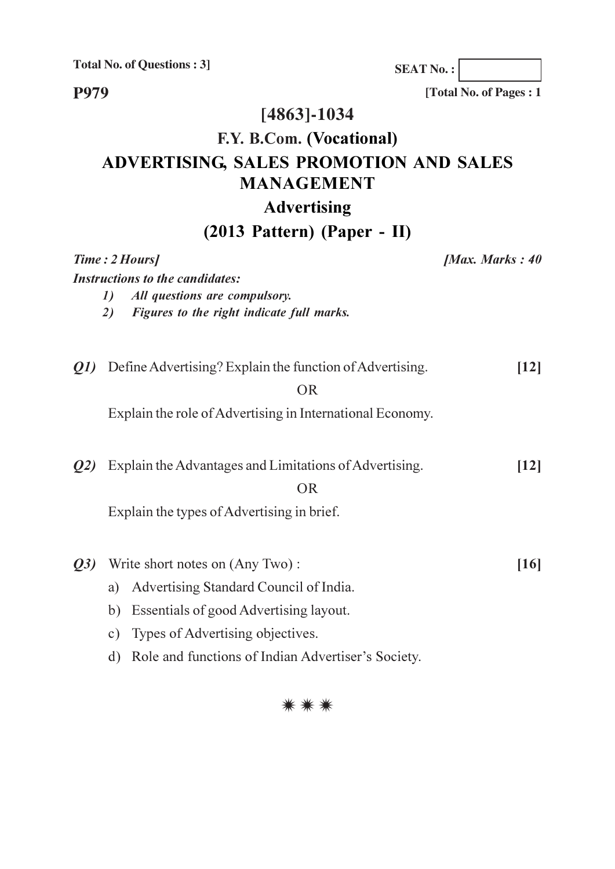**Total No. of Questions : 3]**

**SEAT No. :**

**P979**

**[Total No. of Pages : 1**

## **[4863]-1034**

# **F.Y. B.Com. (Vocational) ADVERTISING, SALES PROMOTION AND SALES MANAGEMENT**

## **Advertising**

### **(2013 Pattern) (Paper - II)**

|     | 1)<br>2)                        | Time: 2 Hours]<br><b>Instructions to the candidates:</b><br>All questions are compulsory.<br>Figures to the right indicate full marks. | [Max. Marks: $40$ |
|-----|---------------------------------|----------------------------------------------------------------------------------------------------------------------------------------|-------------------|
|     |                                 | <i>Q1</i> ) Define Advertising? Explain the function of Advertising.<br><b>OR</b>                                                      | $\vert$ 12]       |
|     |                                 | Explain the role of Advertising in International Economy.                                                                              |                   |
| Q2) |                                 | Explain the Advantages and Limitations of Advertising.<br><b>OR</b><br>Explain the types of Advertising in brief.                      | $[12]$            |
|     |                                 |                                                                                                                                        |                   |
| Q3) | Write short notes on (Any Two): |                                                                                                                                        | [16]              |
|     | a)                              | Advertising Standard Council of India.                                                                                                 |                   |
|     | b)                              | Essentials of good Advertising layout.                                                                                                 |                   |
|     |                                 | c) Types of Advertising objectives.                                                                                                    |                   |
|     | d)                              | Role and functions of Indian Advertiser's Society.                                                                                     |                   |

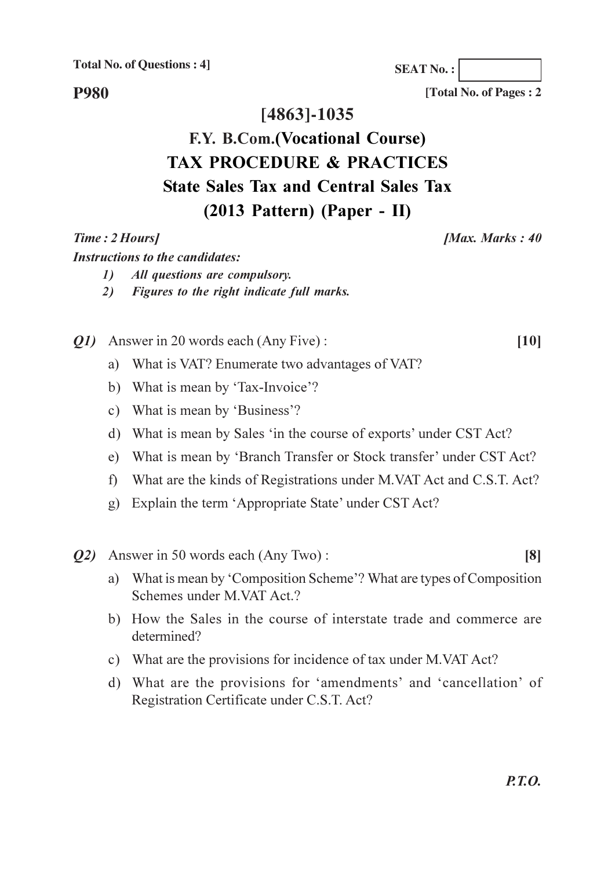**Total No. of Questions: 41** 

**SEAT No.:** 

**P980** 

### [4863]-1035

# F.Y. B.Com.(Vocational Course) **TAX PROCEDURE & PRACTICES State Sales Tax and Central Sales Tax**  $(2013$  Pattern) (Paper - II)

#### Time: 2 Hours]

#### [Max. Marks: 40]

 $[10]$ 

 $[8]$ 

[Total No. of Pages: 2

**Instructions to the candidates:** 

- $\mathcal{L}$ All questions are compulsory.
- Figures to the right indicate full marks.  $2)$
- *O1* Answer in 20 words each (Any Five):
	- a) What is VAT? Enumerate two advantages of VAT?
	- b) What is mean by 'Tax-Invoice'?
	- c) What is mean by 'Business'?
	- d) What is mean by Sales 'in the course of exports' under CST Act?
	- e) What is mean by 'Branch Transfer or Stock transfer' under CST Act?
	- f) What are the kinds of Registrations under M.VAT Act and C.S.T. Act?
	- g) Explain the term 'Appropriate State' under CST Act?
- *O2* Answer in 50 words each (Any Two):
	- a) What is mean by 'Composition Scheme'? What are types of Composition Schemes under M.VAT Act.?
	- b) How the Sales in the course of interstate trade and commerce are determined?
	- c) What are the provisions for incidence of tax under M.VAT Act?
	- d) What are the provisions for 'amendments' and 'cancellation' of Registration Certificate under C.S.T. Act?